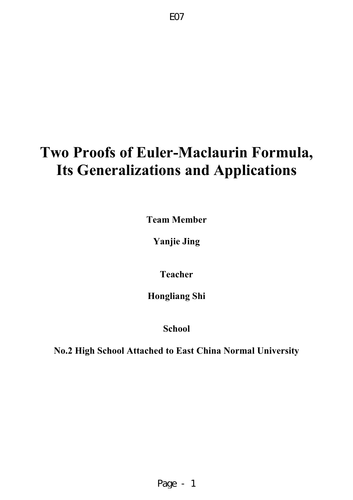# **Two Proofs of Euler-Maclaurin Formula, Its Generalizations and Applications**

**Team Member** 

**Yanjie Jing** 

**Teacher** 

**Hongliang Shi** 

**School** 

**No.2 High School Attached to East China Normal University**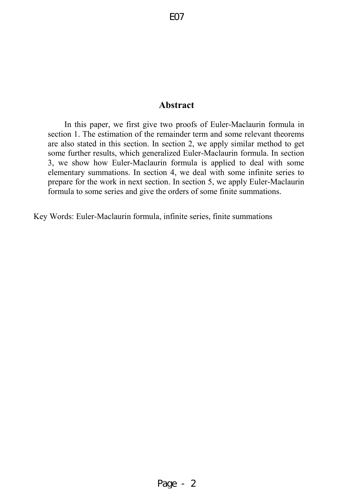# **Abstract**

In this paper, we first give two proofs of Euler-Maclaurin formula in section 1. The estimation of the remainder term and some relevant theorems are also stated in this section. In section 2, we apply similar method to get some further results, which generalized Euler-Maclaurin formula. In section 3, we show how Euler-Maclaurin formula is applied to deal with some elementary summations. In section 4, we deal with some infinite series to prepare for the work in next section. In section 5, we apply Euler-Maclaurin formula to some series and give the orders of some finite summations.

Key Words: Euler-Maclaurin formula, infinite series, finite summations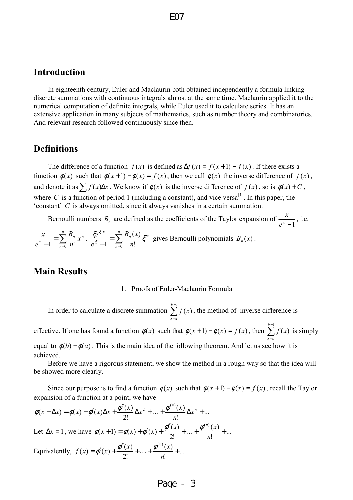# **Introduction**

In eighteenth century, Euler and Maclaurin both obtained independently a formula linking discrete summations with continuous integrals almost at the same time. Maclaurin applied it to the numerical computation of definite integrals, while Euler used it to calculate series. It has an extensive application in many subjects of mathematics, such as number theory and combinatorics. And relevant research followed continuously since then.

# **Definitions**

The difference of a function  $f(x)$  is defined as  $\Delta f(x) = f(x+1) - f(x)$ . If there exists a function  $\phi(x)$  such that  $\phi(x+1) - \phi(x) = f(x)$ , then we call  $\phi(x)$  the inverse difference of  $f(x)$ , and denote it as  $\sum f(x) \Delta x$ . We know if  $\phi(x)$  is the inverse difference of  $f(x)$ , so is  $\phi(x) + C$ , where *C* is a function of period 1 (including a constant), and vice versa<sup>[1]</sup>. In this paper, the 'constant' *C* is always omitted, since it always vanishes in a certain summation.

Bernoulli numbers  $B_n$  are defined as the coefficients of the Taylor expansion of  $e^{x} - 1$  $\frac{x}{\cdot}$ , i.e.  $\sum^{\infty}$ = *n n*  $\frac{x}{x-1}$  =  $\sum \frac{B_n}{x}$  *x B*  $\frac{x}{1} = \sum_{n=1}^{\infty} \frac{B_n}{x^n} x^n$ .  $\frac{\xi e^{\xi x}}{\xi - 1} = \sum_{n=1}^{\infty}$ ⋅ =  $(x)$  $\sum_{n=1}^{\infty}$   $B_n(x)$   $\sum_{n=1}^{\infty}$  $B_n(x)$  $\frac{\xi e^{\xi x}}{\xi} = \sum_{n=0}^{\infty} \frac{B_n(x)}{n!} \xi^n$ ξ gives Bernoulli polynomials  $B_n(x)$ .

# **Main Results**

=

*n*

=

*n*

 $-1$   $\sum_{n=0}$  n!

 $1 \frac{2}{n}$ 

*e*

ξ

 $-1 \quad \sum_{n=0}^{\infty} n!$ 

*e*

#### 1. Proofs of Euler-Maclaurin Formula

In order to calculate a discrete summation  $\sum_{n=1}^{b-1}$ = 1  $(x)$ *b ax*  $f(x)$ , the method of inverse difference is

effective. If one has found a function  $\phi(x)$  such that  $\phi(x+1) - \phi(x) = f(x)$ , then  $\sum_{n=1}^{b-1} f(x)$ = 1  $(x)$ *b ax*  $f(x)$  is simply equal to  $\phi(b) - \phi(a)$ . This is the main idea of the following theorem. And let us see how it is achieved.

Before we have a rigorous statement, we show the method in a rough way so that the idea will be showed more clearly.

Since our purpose is to find a function  $\phi(x)$  such that  $\phi(x+1) - \phi(x) = f(x)$ , recall the Taylor expansion of a function at a point, we have

$$
\phi(x + \Delta x) = \phi(x) + \phi'(x)\Delta x + \frac{\phi''(x)}{2!}\Delta x^2 + ... + \frac{\phi^{(n)}(x)}{n!}\Delta x^n + ...
$$
  
Let  $\Delta x = 1$ , we have  $\phi(x + 1) = \phi(x) + \phi'(x) + \frac{\phi''(x)}{2!} + ... + \frac{\phi^{(n)}(x)}{n!} + ...$   
Equivalently,  $f(x) = \phi'(x) + \frac{\phi''(x)}{2!} + ... + \frac{\phi^{(n)}(x)}{n!} + ...$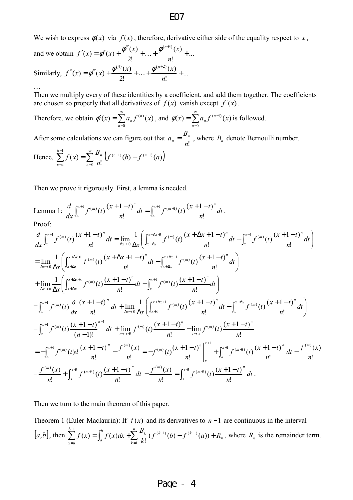We wish to express  $\phi(x)$  via  $f(x)$ , therefore, derivative either side of the equality respect to *x*,

and we obtain 
$$
f'(x) = \phi''(x) + \frac{\phi'''(x)}{2!} + ... + \frac{\phi^{(n+1)}(x)}{n!} + ...
$$
  
\nSimilarly,  $f''(x) = \phi'''(x) + \frac{\phi^{(4)}(x)}{2!} + ... + \frac{\phi^{(n+2)}(x)}{n!} + ...$ 

Then we multiply every of these identities by a coefficient, and add them together. The coefficients are chosen so properly that all derivatives of  $f(x)$  vanish except  $f'(x)$ .

Therefore, we obtain 
$$
\phi'(x) = \sum_{n=0}^{\infty} a_n f^{(n)}(x)
$$
, and  $\phi(x) = \sum_{n=0}^{\infty} a_n f^{(n-1)}(x)$  is followed.  
\nAfter some calculations we can figure out that  $a_n = \frac{B_n}{n!}$ , where  $B_n$  denote Bernoulli number.  
\nHence  $\sum_{n=0}^{b-1} f(x) = \sum_{n=0}^{\infty} \frac{B_n}{n!} \left( f^{(n-1)}(b) - f^{(n-1)}(a) \right)$ 

Hence,  $\sum_{n=0}^{b-1} f(x) = \sum_{n=0}^{\infty} \frac{B_n}{f^{(n-1)}}(b) - f^{(n-1)}(a)$ = =  $=\sum_{n=0}^{\infty} \frac{n}{2} (f^{(n-1)}(b) -$ 0  $(b)-f^{(n-1)}(a)$ !  $(x)$ *n ax*  $f^{(n-1)}(b) - f^{(n-1)}(a)$ *n xf*

…

Then we prove it rigorously. First, a lemma is needed.

Lemma 1: 
$$
\frac{d}{dx} \int_{x}^{x+1} f^{(m)}(t) \frac{(x+1-t)^{n}}{n!} dt = \int_{x}^{x+1} f^{(m+1)}(t) \frac{(x+1-t)^{n}}{n!} dt.
$$
\nProof:  
\n
$$
\frac{d}{dx} \int_{x}^{x+1} f^{(m)}(t) \frac{(x+1-t)^{n}}{n!} dt = \lim_{\Delta x \to 0} \frac{1}{\Delta x} \Biggl( \int_{x+\Delta x}^{x+\Delta x+1} f^{(m)}(t) \frac{(x+\Delta x+1-t)^{n}}{n!} dt - \int_{x}^{x+1} f^{(m)}(t) \frac{(x+1-t)^{n}}{n!} dt \Biggr)
$$
\n
$$
= \lim_{\Delta x \to 0} \frac{1}{\Delta x} \Biggl( \int_{x+\Delta x}^{x+\Delta x+1} f^{(m)}(t) \frac{(x+\Delta x+1-t)^{n}}{n!} dt - \int_{x+\Delta x}^{x+\Delta x+1} f^{(m)}(t) \frac{(x+1-t)^{n}}{n!} dt \Biggr)
$$
\n
$$
+ \lim_{\Delta x \to 0} \frac{1}{\Delta x} \Biggl( \int_{x+\Delta x}^{x+\Delta x+1} f^{(m)}(t) \frac{(x+1-t)^{n}}{n!} dt - \int_{x}^{x+1} f^{(m)}(t) \frac{(x+1-t)^{n}}{n!} dt \Biggr)
$$
\n
$$
= \int_{x}^{x+1} f^{(m)}(t) \frac{\partial}{\partial x} \frac{(x+1-t)^{n}}{n!} dt + \lim_{\Delta x \to 0} \frac{1}{\Delta x} \Biggl( \int_{x+1}^{x+\Delta x+1} f^{(m)}(t) \frac{(x+1-t)^{n}}{n!} dt - \int_{x}^{x+\Delta x} f^{(m)}(t) \frac{(x+1-t)^{n}}{n!} dt \Biggr)
$$
\n
$$
= \int_{x}^{x+1} f^{(m)}(t) \frac{(x+1-t)^{n-1}}{(n-1)!} dt + \lim_{t \to x+1} f^{(m)}(t) \frac{(x+1-t)^{n}}{n!} - \lim_{t \to x+1} f^{(m)}(t) \frac{(x+1-t)^{n}}{n!}
$$
\n<math display="block</p>

Then we turn to the main theorem of this paper.

Theorem 1 (Euler-Maclaurin): If  $f(x)$  and its derivatives to  $n-1$  are continuous in the interval  $[a,b]$ , then  $\sum_{n=0}^{b-1} f(x) = \int_{a}^{b} f(x) dx + \sum_{n=0}^{n} \frac{B_{k}}{b} (f^{(k-1)}(b) - f^{(k-1)}(a)) + R_{n}$ *k*  $\int f(x)dx + \sum_{k}^{n} B_k$  (f(k) *a b ax*  $f^{(k-1)}(b) - f^{(k-1)}(a) + R$ *k*  $f(x) = \int_0^b f(x) dx + \sum_{k=1}^n \frac{B_k}{b_k} (f^{(k-1)}(b) - f^{(k-1)}(a)) +$ =  $\sum_{k=1}^{-1} f(x) = \int_{0}^{b} f(x) dx + \sum_{k=1}^{n} B_{k} f(x) dx$  $\sum_{x=a}^{b} f(x) = \int_{a}^{b} f(x) dx + \sum_{k=1}^{b} \frac{B_k}{k!} (f^{(k-1)}(b) - f^{(k-1)}(a))$  $f(x) = \int_0^b f(x) dx + \sum_{k=1}^{B_k} (f^{(k-1)}(b) - f^{(k-1)}(b))$ 1  $\int_{0}^{1} f(x) dx = \int_{0}^{b} f(x) dx + \sum_{k=0}^{n} B_{k} f(x^{(k-1)})$ , where  $R_n$  is the remainder term.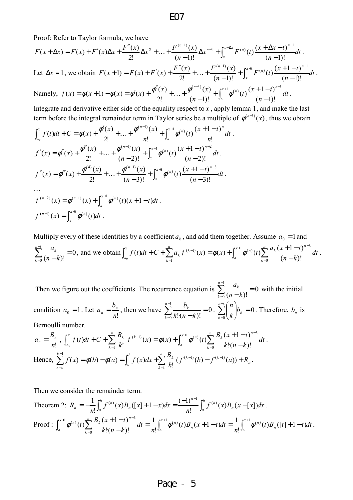Proof: Refer to Taylor formula, we have

$$
F(x + \Delta x) = F(x) + F'(x)\Delta x + \frac{F''(x)}{2!}\Delta x^2 + \dots + \frac{F^{(n-1)}(x)}{(n-1)!}\Delta x^{n-1} + \int_x^{x + \Delta x} F^{(n)}(t) \frac{(x + \Delta x - t)^{n-1}}{(n-1)!} dt.
$$
  
Let  $\Delta x = 1$ , we obtain  $F(x + 1) = F(x) + F'(x) + \frac{F''(x)}{2!} + \dots + \frac{F^{(n-1)}(x)}{(n-1)!} + \int_x^{x+1} F^{(n)}(t) \frac{(x + 1 - t)^{n-1}}{(n-1)!} dt$ .  
 Namely,  $f(x) = \phi(x + 1) - \phi(x) = \phi'(x) + \frac{\phi''(x)}{2!} + \dots + \frac{\phi^{(n-1)}(x)}{(n-1)!} + \int_x^{x+1} \phi^{(n)}(t) \frac{(x + 1 - t)^{n-1}}{(n-1)!} dt$ .

Integrate and derivative either side of the equality respect to  $x$ , apply lemma 1, and make the last term before the integral remainder term in Taylor series be a multiple of  $\phi^{(n-1)}(x)$ , thus we obtain

$$
\int_{x_0}^{x} f(t)dt + C = \phi(x) + \frac{\phi'(x)}{2!} + \dots + \frac{\phi^{(n-1)}(x)}{n!} + \int_{x}^{x+1} \phi^{(n)}(t) \frac{(x+1-t)^n}{n!} dt
$$
  

$$
f'(x) = \phi''(x) + \frac{\phi'''(x)}{2!} + \dots + \frac{\phi^{(n-1)}(x)}{(n-2)!} + \int_{x}^{x+1} \phi^{(n)}(t) \frac{(x+1-t)^{n-2}}{(n-2)!} dt
$$
  

$$
f''(x) = \phi'''(x) + \frac{\phi^{(4)}(x)}{2!} + \dots + \frac{\phi^{(n-1)}(x)}{(n-3)!} + \int_{x}^{x+1} \phi^{(n)}(t) \frac{(x+1-t)^{n-3}}{(n-3)!} dt
$$
  
...  

$$
f^{(n-2)}(x) = \phi^{(n-1)}(x) + \int_{x}^{x+1} \phi^{(n)}(t) (x+1-t) dt
$$

$$
f^{(n-1)}(x) = \int_x^{x+1} \phi^{(n)}(t) dt.
$$

Multiply every of these identities by a coefficient  $a_k$ , and add them together. Assume  $a_0 = 1$  and 0  $(n-k)!$ 1 0 =  $\sum_{k=0}^{n-1} \frac{a_k}{(n-1)^k}$ = *n k k*  $n-k$  $\frac{a_k}{a_{k+1}} = 0$ , and we obtain  $\int_0^x f(t)dt + C + \sum_{k=0}^n a_k f^{(k-1)}(x) = \phi(x) + \int_0^{x+1} \phi^{(n)}(t) \sum_{k=0}^n \frac{a_k (x+1-t)^{n-k}}{x+1} dt$  $n-k$  $f(t)dt + C + \sum_{k=1}^{n} a_k f^{(k-1)}(x) = \phi(x) + \int_{0}^{x+1} \phi^{(n)}(t) \sum_{k=1}^{n} \frac{a_k (x+1-t)}{(x+1-t)^{n-k}}$ *x n k*  $\sum_{k=0}^{n} f^{(k-1)}(x) - \phi(x) + \int_{0}^{x+1} \phi^{(n)}(t) \sum_{k=0}^{n} a_k (x+1-t)^{n-k}$ *k k k*  $\int_{x_0}^x f(t)dt + C + \sum_{k=1}^n a_k f^{(k-1)}(x) = \phi(x) + \int_x^{x+1} \phi^{(n)}(t) \sum_{k=0}^n$ = − = − −  $+C+\sum_{k=1}^{n} a_k f^{(k-1)}(x) = \phi(x) + \int_{0}^{x+1} \phi^{(n)}(t) \sum_{k=1}^{n} \frac{a_k (x+1-t)}{x-1}$ 0  $(n)$ 1  $(k-1)$  $(n-k)!$  $\int_{0}^{k} f(t)dt + C + \sum_{k=1}^{n} a_k f^{(k-1)}(x) = \phi(x) + \int_{x}^{x+1} \phi^{(n)}(t) \sum_{k=0}^{n} \frac{a_k (x+1-t)^{n-k}}{(n-k)!} dt$ .

Then we figure out the coefficients. The recurrence equation is  $\sum_{n=0}^{\infty}$  = 0  $(n-k)!$ 1 0 =  $\sum_{k=0}^{n-1} \frac{a_k}{(n-1)^k}$ = *n k k*  $n-k$  $\frac{a_k}{a_k}$  = 0 with the initial condition  $a_0 = 1$ . Let  $a_n = \frac{b_n}{n!}$  $a_n = \frac{b_n}{n!}$ , then we have  $\sum_{k=0}^{n-1} \frac{b_k}{k!(n-k)!} = 0$ 1  $\boldsymbol{0}$ =  $\sum_{k=0}^{n-1} \frac{b_k}{k! (n - 1)}$ = *n k k*  $k!(n-k)$  $\frac{b_k}{a_{k+1}} = 0$ .  $\sum_{k=0}^{n-1} {n \choose k} b_k = 0$ 1  $\sum_{k=0}^{n} b_k =$ J  $\backslash$  $\overline{\phantom{a}}$ L  $\sum_{n=1}^{n-1}$ = *n k k b k n* . Therefore,  $b_n$  is Bernoulli number.

$$
a_n = \frac{B_n}{n!}, \int_{x_0}^x f(t)dt + C + \sum_{k=1}^n \frac{B_k}{k!} f^{(k-1)}(x) = \phi(x) + \int_x^{x+1} \phi^{(n)}(t) \sum_{k=0}^n \frac{B_k (x+1-t)^{n-k}}{k! (n-k)!} dt.
$$
  
Hence, 
$$
\sum_{x=a}^{b-1} f(x) = \phi(b) - \phi(a) = \int_a^b f(x) dx + \sum_{k=1}^n \frac{B_k}{k!} (f^{(k-1)}(b) - f^{(k-1)}(a)) + R_n.
$$

Then we consider the remainder term.

Theorem 2: 
$$
R_n = -\frac{1}{n!} \int_a^b f^{(n)}(x) B_n([x] + 1 - x) dx = \frac{(-1)^{n-1}}{n!} \int_a^b f^{(n)}(x) B_n(x - [x]) dx
$$
.  
\nProof: 
$$
\int_x^{x+1} \phi^{(n)}(t) \sum_{k=0}^n \frac{B_k(x+1-t)^{n-k}}{k!(n-k)!} dt = \frac{1}{n!} \int_x^{x+1} \phi^{(n)}(t) B_n(x+1-t) dt = \frac{1}{n!} \int_x^{x+1} \phi^{(n)}(t) B_n([t] + 1 - t) dt
$$
.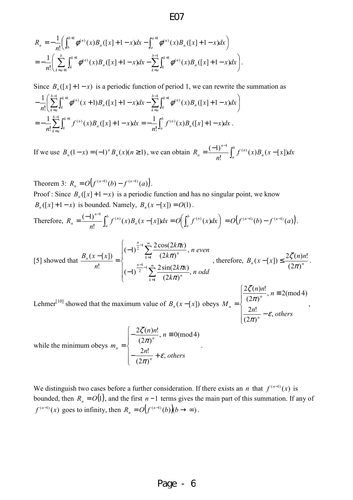$$
R_n = -\frac{1}{n!} \left( \int_b^{b+1} \phi^{(n)}(x) B_n([x]+1-x) dx - \int_a^{a+1} \phi^{(n)}(x) B_n([x]+1-x) dx \right)
$$
  
= 
$$
-\frac{1}{n!} \left( \sum_{k=a+1}^b \int_k^{k+1} \phi^{(n)}(x) B_n([x]+1-x) dx - \sum_{k=a}^{b-1} \int_k^{k+1} \phi^{(n)}(x) B_n([x]+1-x) dx \right).
$$

Since  $B_n([x]+1-x)$  is a periodic function of period 1, we can rewrite the summation as  $\overline{\phantom{a}}$ J  $\sum_{n=0}^{b-1} \int_{0}^{k+1} \phi^{(n)}(x+1) B_{n}([x]+1-x) dx - \sum_{n=0}^{b-1} \int_{0}^{k+1} \phi^{(n)}(x) B_{n}([x]+1-x) dx$ l  $-\frac{1}{n!}\left(\sum_{k=0}^{b-1} \int_{k}^{k+1} \phi^{(n)}(x+1)B_n([x]+1-x)dx-\sum_{k=0}^{b-1} \int_{k}^{k+1} \phi^{(n)}(x)B_n([x]+1-x)\right)$ =  $\frac{-1}{2}$   $\int_0^1 k+1$   $\int_0^1 (k+1) k(x) dx$   $\int_0^1 k(x) dx$   $\int_0^1 k(x) dx$ =  $\int_{0}^{1} \int_{0}^{k+1} \phi^{(n)}(x+1) B_n([x]+1-x) dx - \sum_{n=1}^{b-1} \int_{0}^{k+1} \phi^{(n)}(x) B_n([x]+1-x) dx$ !  $1\left(\sum_{k=1}^{b-1} \int_{0}^{k+1} \phi^{(n)}(x+1) B_{\alpha}(x+1-1-x) dx\right)$ *ak k*  $\mu$ <sup>*k*</sup> *n*  $\sum_{k=1}^{b-1} \int_{0}^{k+1} \phi^{(n)}(x+1) P_{k}(x+1-x) dx$   $\sum_{k=1}^{b-1} \int_{0}^{k+1} \phi^{(n)}(x+1-x) dx$  $k = a$ *k*  $\sum_{k}^{n+1} \phi^{(n)}(x+1)B_n([x]+1-x)dx - \sum_{k} \int_{k}^{n+1} \phi^{(n)}(x)B_n([x]+1-x)dx$ *n*  $\phi^{(n)}(x+1)B_n([x]+1-x)dx - \sum \phi^{(n)}(x+1)dx$  $\sum^{\mathit{b}-1}$ =  $=-\frac{1}{2}\sum_{n=1}^{\infty}\int_{0}^{k+1}f^{(n)}(x)B_n([x]+1 \int_{0}^{1} \int_{0}^{k+1} f^{(n)}(x) B_n([x]+1-x)$ !  $1\frac{b}{2}$ *ak k*  $\mathbf{r}$   $\mathbf{r}$   $\mathbf{r}$   $\mathbf{r}$   $\mathbf{r}$   $\mathbf{r}$   $\mathbf{r}$   $\mathbf{r}$   $\mathbf{r}$   $\mathbf{r}$   $\mathbf{r}$   $\mathbf{r}$   $\mathbf{r}$   $\mathbf{r}$   $\mathbf{r}$   $\mathbf{r}$   $\mathbf{r}$   $\mathbf{r}$   $\mathbf{r}$   $\mathbf{r}$   $\mathbf{r}$   $\mathbf{r}$   $\mathbf{r}$   $\mathbf{r}$   $\mathbf{$  $f^{(n)}(x)B_n([x]+1-x)dx$ *n*  $f^{(n)}(x)B_n([x]+1-x)dx$ *n b*  $\int_a^b$   $(x)D_n$  $=-\frac{1}{n!}\int_a^b f^{(n)}(x)B_n([x]+1-x)$ !  $\frac{1}{\cdot} \int_{0}^{b} f^{(n)}(x) B_n([x]+1-x) dx$ .

If we use  $B_n(1-x) = (-1)^n B_n(x)$ (*n* ≥ 1) *n*  $_{n}(1-x) = (-1)^{n} B_{n}(x)$  ( $n \ge 1$ ), we can obtain  $R_{n} = \frac{(x+y)^{n}}{n!} \int_{0}^{x} f^{(n)}(x) B_{n}(x-[x]) dx$ *n*  $R_n = \frac{(-1)^{n-1}}{n} \int_0^b$  $\begin{bmatrix} a & b \\ c & d \end{bmatrix}$  $\sum_{n=0}^{n} \frac{(-1)^{n-1}}{n!} \int_{a}^{b} f^{(n)}(x) B_n(x)$ −  $(x)B_n(x-[x])$ !  $(-1)^{n-1}$   $\int_{0}^{b} f^{(n)}$ 

Theorem 3:  $R_n = O(f^{(n-1)}(b) - f^{(n-1)}(a))$ . *n*  $= O(f^{(n-1)}(b) - f^{(n-1)}(a)).$ Proof : Since  $B_n([x]+1-x)$  is a periodic function and has no singular point, we know  $B_n([x]+1-x)$  is bounded. Namely,  $B_n(x-[x]) = O(1)$ . − *n* 1

Therefore, 
$$
R_n = \frac{(-1)^{n-1}}{n!} \int_a^b f^{(n)}(x) B_n(x-[x]) dx = O\left(\int_a^b f^{(n)}(x) dx\right) = O\left(f^{(n-1)}(b) - f^{(n-1)}(a)\right).
$$

[5] showed that 
$$
\frac{B_n(x-[x])}{n!} = \begin{cases} (-1)^{\frac{n}{2}-1} \sum_{k=1}^{\infty} \frac{2 \cos(2k\pi x)}{(2k\pi)^n}, & n \text{ even} \\ (-1)^{\frac{n-1}{2}-1} \sum_{k=1}^{\infty} \frac{2 \sin(2k\pi x)}{(2k\pi)^n}, & n \text{ odd} \end{cases}
$$
, therefore,  $B_n(x-[x]) \le \frac{2\zeta(n)n!}{(2\pi)^n}$ .

≡

,

π

Lehmer<sup>[10]</sup> showed that the maximum value of  $B_n(x - [x])$  obeys  $\overline{ }$  $\overline{a}$  $\overline{\mathcal{L}}$  $\overline{\phantom{a}}$ ∤  $\int$ − =  $\frac{n!}{n}$  –  $\varepsilon$ , others  $\frac{n}{n}$ , *n M n n n* ,  $(2\pi)$  $2n!$  $n \equiv 2 \pmod{4}$  $(2\pi)$  $2\zeta(n)n!$ ε π ζ

while the minimum obeys 
$$
m_n = \begin{cases} -\frac{2\zeta(n)n!}{(2\pi)^n}, n \equiv 0 \pmod{4} \\ -\frac{2n!}{(2\pi)^n} + \varepsilon, \text{ others} \end{cases}
$$

We distinguish two cases before a further consideration. If there exists an *n* that  $f^{(n-1)}(x)$  is bounded, then  $R_n = O(1)$ , and the first  $n-1$  terms gives the main part of this summation. If any of  $f^{(n-1)}(x)$  goes to infinity, then  $R_n = O(f^{(n-1)}(b))(b \to \infty)$ .

.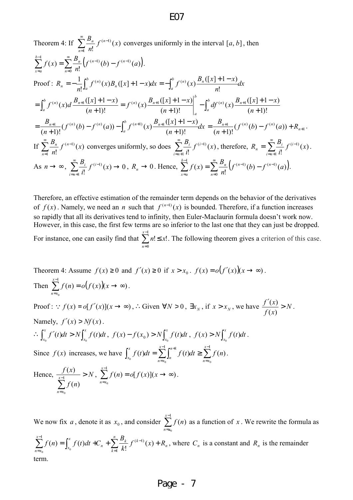Theorem 4: If 
$$
\sum_{n=1}^{\infty} \frac{B_n}{n!} f^{(n-1)}(x)
$$
 converges uniformly in the interval  $[a, b]$ , then  
\n
$$
\sum_{n=0}^{b-1} f(x) = \sum_{n=0}^{\infty} \frac{B_n}{n!} \left( f^{(n-1)}(b) - f^{(n-1)}(a) \right).
$$
  
\nProof:  $R_n = -\frac{1}{n!} \int_a^b f^{(n)}(x) B_n([x] + 1 - x) dx = -\int_a^b f^{(n)}(x) \frac{B_n([x] + 1 - x)}{n!} dx$   
\n
$$
= \int_a^b f^{(n)}(x) d \frac{B_{n+1}([x] + 1 - x)}{(n+1)!} = f^{(n)}(x) \frac{B_{n+1}([x] + 1 - x)}{(n+1)!} \Big|_a^b - \int_a^b df^{(n)}(x) \frac{B_{n+1}([x] + 1 - x)}{(n+1)!}
$$
  
\n
$$
= \frac{B_{n+1}}{(n+1)!} (f^{(n)}(b) - f^{(n)}(a)) - \int_a^b f^{(n+1)}(x) \frac{B_{n+1}([x] + 1 - x)}{(n+1)!} dx = \frac{B_{n+1}}{(n+1)!} (f^{(n)}(b) - f^{(n)}(a)) + R_{n+1}.
$$
  
\nIf  $\sum_{n=1}^{\infty} \frac{B_n}{n!} f^{(n-1)}(x)$  converges uniformly, so does  $\sum_{i=n+1}^{\infty} \frac{B_i}{i!} f^{(i-1)}(x)$ , therefore,  $R_n = \sum_{i=n+1}^{\infty} \frac{B_i}{i!} f^{(i-1)}(x)$ .  
\nAs  $n \to \infty$ ,  $\sum_{i=n+1}^{\infty} \frac{B_i}{i!} f^{(i-1)}(x) \to 0$ ,  $R_n \to 0$ . Hence,  $\sum_{x=a}^{b-1} f(x) = \sum_{n=0}^{\infty} \frac{B_n}{n!} (f^{(n-1)}(b) - f^{(n-1)}(a))$ .

Therefore, an effective estimation of the remainder term depends on the behavior of the derivatives of  $f(x)$ . Namely, we need an *n* such that  $f^{(n-1)}(x)$  is bounded. Therefore, if a function increases so rapidly that all its derivatives tend to infinity, then Euler-Maclaurin formula doesn't work now. However, in this case, the first few terms are so inferior to the last one that they can just be dropped. For instance, one can easily find that  $\sum n! \leq x!$ 1 0  $n! \leq x$ *x n*  $\sum^{x-1} n! \leq$ = . The following theorem gives a criterion of this case.

Theorem 4: Assume 
$$
f(x) \ge 0
$$
 and  $f'(x) \ge 0$  if  $x > x_0$ .  $f(x) = o(f'(x))(x \rightarrow \infty)$ .  
\nThen 
$$
\sum_{n=x_0}^{x-1} f(n) = o(f(x))(x \rightarrow \infty).
$$
\nProof:  $f(x) = o[f'(x)](x \rightarrow \infty)$ ,  $\therefore$  Given  $\forall N > 0$ ,  $\exists x_N$ , if  $x > x_N$ , we have  $\frac{f'(x)}{f(x)} > N$ .  
\nNamely,  $f'(x) > Nf(x)$ .  
\n
$$
\therefore \int_{x_0}^x f'(t)dt > N \int_{x_0}^x f(t)dt
$$
,  $f(x) - f(x_0) > N \int_{x_0}^x f(t)dt$ ,  $f(x) > N \int_{x_0}^x f(t)dt$ .  
\nSince  $f(x)$  increases, we have 
$$
\int_{x_0}^x f(t)dt = \sum_{n=x_0}^{x-1} \int_{n}^{n+1} f(t)dt \ge \sum_{n=x_0}^{x-1} f(n).
$$
  
\nHence, 
$$
\frac{f(x)}{x-1} > N
$$
, 
$$
\sum_{n=x_0}^{x-1} f(n) = o[f(x)](x \rightarrow \infty).
$$

We now fix *a*, denote it as  $x_0$ , and consider  $\sum_{n=1}^{\infty}$ = 1 0  $(n)$ *x*  $n = x$  $f(n)$  as a function of x. We rewrite the formula as *n n k k k n x x x*  $n = x$  $f^{(k-1)}(x) + R$ *k*  $\sum_{n=x_0}^{x-1} f(n) = \int_{x_0}^{x} f(t)dt + C_n + \sum_{k=1}^{n} \frac{B_k}{k!} f^{(k-1)}(x) +$  $\sum_{k=1}^{-1} f(x) - \int_{0}^{x} f(t) dt + C + \sum_{k=1}^{n} B_{k} f(t-k)$  $=x_0$   $k=1$  $\int_{0}^{1} f(x) dx = \int_{0}^{x} f(t) dt + C + \sum_{k=0}^{n} \frac{B_{k}}{f(k-1)}$  $\left( x\right)$ !  $\int_{0}^{1} f(n) = \int_{x_0}^{1} f(t)$ , where  $C_n$  is a constant and  $R_n$  is the remainder term.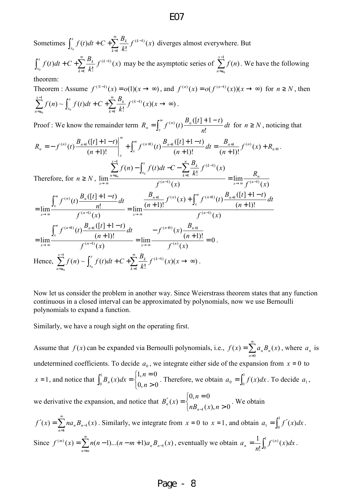Sometimes  $\int_{x_0}^{x} f(t)dt + C + \sum_{k=0}^{\infty}$ =  $+C+\sum_{k=1}^{L} f^{(k-k)}$ 1  $^{(k-1)}(x)$ !  $\int_{0}^{t} f(t)dt + C + \sum_{k}$  $\int_{k}^{x} f(t)dt + C \sum_{k}^{\infty} \frac{B_{k}}{f(k)}$  $\sum_{x_0} f(t) dt + C + \sum_{i=1}^{N} \frac{E_k}{k!} f^{(k-1)}(x)$ *k*  $f(t)dt + C + \sum_{k=1}^{\infty} \frac{B_k}{t} f^{(k-1)}(x)$  diverges almost everywhere. But 1 *x*

 $\int_{x_0}^{x} f(t)dt + C + \sum_{n=0}^{\infty}$ =  $+C+\sum_{k=1}^{L} f^{(k-k)}$ 1  $^{(k-1)}(x)$ !  $\int_{0}^{t} f(t)dt + C + \sum_{k}$  $\int_{k}^{x} f(t)dt + C \cdot \sum_{k}^{x} B_k f(k)$  $\sum_{x_0} f(t) dt + C + \sum_{i=1}^{N} \frac{E_k}{k!} f^{(k-1)}(x)$ *k*  $f(t)dt + C + \sum_{k=1}^{\infty} \frac{B_k}{L} f^{(k-1)}(x)$  may be the asymptotic series of  $\sum_{k=1}^{k-1} f^{(k-1)}(x)$ =  $\bf{0}$  $(n)$  $n = x$  $f(n)$ . We have the following

theorem:

Theorem : Assume  $f^{(N-1)}(x) = o(1)(x \to \infty)$ , and  $f^{(n)}(x) = o(f^{(n-1)}(x))(x \to \infty)$  for  $n \ge N$ , then  $(x)(x \rightarrow \infty)$ !  $(n) \sim \int f(t)$ 1  $\int_{-1}^{1} f(x) dx \int_{-1}^{x} f(t) dt + C \int_{-1}^{\infty} \int_{-1}^{1} f(x-t) dt$  $\overline{\mathcal{L}}_{\lambda_0}$  $\sum_{k=1}^{x-1} f(n) \sim \int_{x}^{x} f(t)dt + C + \sum_{k=1}^{\infty} \frac{B_k}{k!} f^{(k-1)}(x)(x \to \infty)$ =  $\sum_{k=1}^{-1} f(x)$   $\int_{0}^{x} f(t)dt + C \sum_{k=1}^{\infty} \frac{B_{k}}{\zeta(k-1)}$ =  $f^{(k-1)}(x)(x)$ *k B*  $f(n) \sim \int f(t)dt + C$ *k*  $\int_{0}^{x} f(t)dt + C + \sum_{k=0}^{8} \frac{B_k}{f(k)}$ *x x*  $n = x$ .

Proof : We know the remainder term  $R_n = \int f^{(n)}(t) \frac{P_n(t+1)}{t+1} dt$ *n*  $B_n([t]+1-t)$  $R_n = \int_0^{\infty} f^{(n)}(t) \frac{D_n}{h}$ *x n*  $n = \int_x^{\infty}$  (*i*)  $([t] + 1 - t)$  $=\int_{r}^{\infty} f^{(n)}(t) \frac{B_n([t]+1-t)}{n!} dt$  for  $n \ge N$ , noticing that

$$
R_{n} = -f^{(n)}(t) \frac{B_{n+1}([t]+1-t)}{(n+1)!} \Big|_{x}^{\infty} + \int_{x}^{\infty} f^{(n+1)}(t) \frac{B_{n+1}([t]+1-t)}{(n+1)!} dt = \frac{B_{n+1}}{(n+1)!} f^{(n)}(x) + R_{n+1}.
$$
  
\nTherefore, for  $n \ge N$ ,  $\lim_{x \to \infty} \frac{\sum_{n=x_{0}}^{x-1} f(n) - \int_{x_{0}}^{x} f(t) dt - C - \sum_{k=1}^{n} \frac{B_{k}}{k!} f^{(k-1)}(x)}{f^{(n-1)}(x)} = \lim_{x \to \infty} \frac{R_{n}}{f^{(n-1)}(x)}$   
\n
$$
= \lim_{x \to \infty} \frac{\int_{x}^{\infty} f^{(n)}(t) \frac{B_{n}([t]+1-t)}{n!} dt}{f^{(n-1)}(x)} = \lim_{x \to \infty} \frac{\frac{B_{n+1}}{(n+1)!} f^{(n)}(x) + \int_{x}^{\infty} f^{(n+1)}(t) \frac{B_{n+1}([t]+1-t)}{(n+1)!} dt}{f^{(n-1)}(x)}
$$
  
\n
$$
= \lim_{x \to \infty} \frac{\int_{x}^{\infty} f^{(n+1)}(t) \frac{B_{n+1}([t]+1-t)}{(n+1)!}}{f^{(n-1)}(x)} = \lim_{x \to \infty} \frac{-f^{(n+1)}(x) \frac{B_{n+1}}{(n+1)!}}{f^{(n)}(x)} = 0.
$$
  
\nHence,  $\sum_{n=x_{0}}^{x-1} f(n) \sim \int_{x_{0}}^{x} f(t) dt + C + \sum_{k=1}^{\infty} \frac{B_{k}}{k!} f^{(k-1)}(x) (x \to \infty).$ 

Now let us consider the problem in another way. Since Weierstrass theorem states that any function continuous in a closed interval can be approximated by polynomials, now we use Bernoulli polynomials to expand a function.

Similarly, we have a rough sight on the operating first.

Assume that  $f(x)$  can be expanded via Bernoulli polynomials, i.e.,  $f(x) = \sum_{n=1}^{\infty}$ = = 0  $(x) = \sum a_n B_n(x)$ *n*  $f(x) = \sum a_n B_n(x)$ , where  $a_n$  is undetermined coefficients. To decide  $a_0$ , we integrate either side of the expansion from  $x = 0$  to  $x = 1$ , and notice that  $\overline{\mathfrak{l}}$ ∤  $\sqrt{ }$ >  $\int_0^1 B_n(x) dx = \begin{cases} 1, n = 0 \\ 0, n > 0 \end{cases}$  $1, n = 0$  $\frac{1}{6}B_n(x)$  $0^{-n}$  <sup>n</sup> (1)  $n$   $\left|0, n\right|$ *n*  $B_n(x)dx =\begin{cases} 1, n = 0 \\ 0, n > 0 \end{cases}$ . Therefore, we obtain  $a_0 = \int_0^1$  $a_0 = \int_0^{\infty} f(x) dx$ . To decide  $a_1$ ,

we derivative the expansion, and notice that  $\overline{\mathcal{L}}$ ∤  $\int$ > =  $\prime_n(x) =$  $_{-1}(x), n>0$  $0, n = 0$  $(x)$  $n B_{n-1}(x)$ , n *n*  $B'_n(x)$ *n*  $\alpha'_n(x) = \begin{cases} \n\alpha & n > 0.$  We obtain

$$
f'(x) = \sum_{n=1}^{\infty} na_n B_{n-1}(x)
$$
. Similarly, we integrate from  $x = 0$  to  $x = 1$ , and obtain  $a_1 = \int_0^1 f'(x) dx$ .  
Since  $f^{(m)}(x) = \sum_{n=m}^{\infty} n(n-1)...(n-m+1)a_n B_{n-1}(x)$ , eventually we obtain  $a_n = \frac{1}{n!} \int_0^1 f^{(n)}(x) dx$ .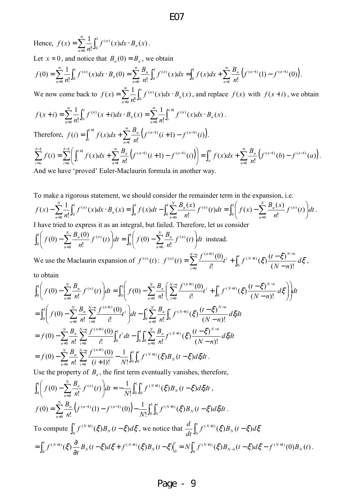Hence,  $f(x) = \sum_{n=0}^{\infty} \frac{1}{n!} \int_0^1$  $n=0$  $=\sum_{n=0}^{\infty}\frac{1}{n}\int_{0}^{1}f^{(n)}(x)dx$ . 0  $^{(n)}(x)dx \cdot B_n(x)$ !  $f(x) = \sum_{n=1}^{\infty} \frac{1}{n!} \int_{0}^{1} f^{(n)}(x) dx \cdot B_n$  $f^{(n)}(x)dx \cdot B_n(x)$ *n*  $f(x) = \sum_{n=0}^{\infty} \int_{0}^{x} f^{(n)}(x) dx \cdot B_n(x)$ . Let  $x = 0$ , and notice that  $B_n(0) = B_n$ , we obtain  $\sum_{n=0}^{\infty} \frac{1}{n} \int_0^1 f^{(n)}(x) dx \cdot B_n(0) = \sum_{n=0}^{\infty} \frac{B_n}{n} \int_0^1 f^{(n)}(x) dx = \int_0^1 f(x) dx + \sum_{n=0}^{\infty} \frac{B_n}{n!} \left( f^{(n-1)}(1) - f^{(n-1)}(0) \right).$ =  $\sum_{n=0}^{\infty} B_n \int_{-1}^{1} f^{(n)}(x) dx - \int_{-1}^{1} f^{(n)}(x) dx + \sum_{n=0}^{\infty} B_n \int_{-1}^{1} f^{(n-1)}(1) dx$ = ∞ =  $=\sum_{n=0}^{\infty} \int f^{(n)}(x)dx \cdot B_n(0) = \sum_{n=0}^{\infty} \int f^{(n)}(x)dx = \int f(x)dx + \sum_{n=0}^{\infty} \int f^{(n-1)}(1)dx$ 1  $\int_{1}^{1} f(x) dx + \sum_{n=0}^{\infty} B_n \left( f^{(n-1)}(1) - f^{(n-1)} \right)$  $\frac{1}{0}$  n!  $\frac{1}{0}$   $\frac{1}{0}$ 1 0  $(n)$ 0 1 0  $\sum_{n=0}^{(n)}(x)dx \cdot B_n(0) = \sum_{n=0}^{D_n} \int_{0}^{1} f^{(n)}(x)dx = \int_{0}^{1} f(x)dx + \sum_{n=0}^{D_n} \int_{0}^{1} f^{(n-1)}(1) - f^{(n-1)}(0)dx$ !  $(x)dx = \int f(x)$ !  $(x)dx \cdot B_n(0)$ !  $(0) = \sum_{n=1}^{\infty} \frac{1}{n}$ *n*  $\int f^{(n-1)}(1) - f^{(n-1)}(1)$ *n*  $n \int_0^1 f(n)$ *n n*  $f^{(n)}(x)dx \cdot B_n(0) = \sum_{n=0}^{\infty} \frac{B_n}{n!} \int_0^1 f^{(n)}(x)dx = \int_0^1 f(x)dx + \sum_{n=0}^{\infty} \frac{B_n}{n!} \left( f^{(n-1)}(1) - f^{(n-1)}(1) \right)dx$ *n B*  $f^{(n)}(x)dx = \int_{a}^{b} f(x)dx$ *n B*  $f^{(n)}(x)dx \cdot B$ *n*  $f(0) = \sum_{n=0}^{\infty} \int_{0}^{t} f^{(n)}(x) dx \cdot B_n(0) = \sum_{n=0}^{\infty} \int_{0}^{t} f^{(n)}(x) dx = \int_{0}^{t} f(x) dx + \sum_{n=0}^{\infty} \int_{0}^{t} f^{(n-1)}(1) - f^{(n-1)}(0) dx$ We now come back to  $f(x) = \sum_{n=0}^{\infty} \frac{1}{n} \int_{0}^{x}$ =  $=\sum_{n=0}^{\infty} \int_{0}^{x} f^{(n)}(x) dx$ .  $\boldsymbol{0}$ 1 0  $^{(n)}(x)dx \cdot B_n(x)$ !  $(x) = \sum_{n=1}^{\infty} \frac{1}{n}$ *n n*  $f^{(n)}(x)dx \cdot B_n(x)$ *n*  $f(x) = \sum_{n=1}^{\infty} \int_{0}^{f(n)} f(x) dx \cdot B_n(x)$ , and replace  $f(x)$  with  $f(x+i)$ , we obtain  $\sum_{n=1}^{\infty} \frac{1}{n} \int_{0}^{1} f^{(n)}(x+i) dx \cdot B_n(x) = \sum_{n=1}^{\infty} \frac{1}{n} \int_{0}^{1} f^{(n)}(x+i) dx \cdot B_n(x)$ =  $\sum_{i=1}^{\infty} 1$   $e^{1}$   $e^{(n)}$   $e^{(n)}$   $e^{(n)}$   $e^{(n)}$   $e^{(n)}$   $e^{(n)}$   $e^{(n)}$   $e^{(n)}$ =  $+ i) = \sum_{n=0}^{\infty} \int_{0}^{t} f^{(n)}(x+i) dx \cdot B_n(x) = \sum_{n=0}^{\infty} \int_{0}^{t} f^{(n)}(x) dx$ 0 <sup>1</sup>  $\rho(n)$ 0 1 0  $\sum_{n=0}^{(n)} (x+i)dx \cdot B_n(x) = \sum_{n=0}^{n} \int_{0}^{x+n} f^{(n)}(x)dx \cdot B_n(x)$ !  $(x+i)dx \cdot B_n(x) = \sum_{n=1}^{\infty} \frac{1}{n}$ !  $(x+i) = \sum_{i=1}^{\infty} \frac{1}{i}$ *n n i i n n n*  $J^{(n)}(x+i)dx \cdot B_n(x) = \sum_{n=0}^{\infty} \int_{0}^{x+i} f^{(n)}(x)dx \cdot B_n(x)$ *n*  $f^{(n)}(x+i)dx \cdot B_n(x)$ *n*  $f(x+i) = \sum_{n=0}^{\infty} \int_{0}^{f(n)} (x+i) dx \cdot B_n(x) = \sum_{n=0}^{\infty} \int_{0}^{f(n)} (x) dx \cdot B_n(x)$ . Therefore,  $f(i) = \int_{i}^{i+1} f(x) dx + \sum_{n=0}^{\infty} \frac{B_n}{n!} (f^{(n-1)}(i+1) - f^{(n-1)}(i)).$ =  $=\int_{0}^{i+1} f(x)dx + \sum_{n=0}^{\infty} \frac{B_n}{i} \left(f^{(n-1)}(i+1) - f^{(n-1)}(i+1)\right)dx$ 1  $\int_1^1 f(x) dx + \sum_{n=1}^{\infty} \frac{B_n}{n} \left( f^{(n-1)}(i+1) - f^{(n-1)}(i) \right)$ !  $(i) = \int f(x)$ *n*  $\int_{a}^{i+1} f(x) dx + \sum_{n}^{\infty} \frac{B_n}{a_n} \left( f^{(n-1)}(i+1) - f^{(n-1)}(i+1) \right) dx$  $\int_i^{\infty} f(x)dx + \sum_{n=1}^{\infty} \frac{p^n}{n!} \left(f^{(n-1)}(i+1) - f^{(n-1)}(i)\right)$ *n*  $f(i) = \int_{i}^{i+1} f(x)dx + \sum_{n=0}^{\infty} \frac{B_n}{n} \left( f^{(n-1)}(i+1) - f^{(n-1)}(i) \right).$  $\sum_{i=1}^{b-1} f(i) = \sum_{i=1}^{b-1} \left( \int_{i}^{i+1} f(x) dx + \sum_{i=1}^{\infty} \frac{B_i}{n!} \left( f^{(n-1)}(i+1) - f^{(n-1)}(i) \right) \right) = \int_a^b f(x) dx + \sum_{i=1}^{\infty} \frac{B_i}{n!} \left( f^{(n-1)}(b) - f^{(n-1)}(a) \right) dx$ =  $\sum_{r=1}^{\infty} \left( \int_{0}^{t+1} f(x) dx + \sum_{r=1}^{\infty} B_{n} \left( f^{(n-1)}(t+1) - f^{(n-1)}(t) \right) \right) = \int_{0}^{b} f(x) dx + \sum_{r=1}^{\infty} B_{n} \left( f^{(n-1)}(t) - f^{(n-1)}(t) \right) dx$ = ∞ =  $-\frac{1}{2} f(i) = \sum_{n=0}^{b-1} \int f^{i+1} f(n) dx + \sum_{n=0}^{\infty} B_n f^{(n-1)}(i+1) f^{(n-1)}(i+1)$ =  $= \int_{0}^{b} f(x) dx + \sum_{n=1}^{D_n} \left( f^{(n-1)}(b) - \right)$ J  $\left( \int_{0}^{i+1} f(x) dx + \sum_{n=0}^{\infty} \frac{B_n}{f^{(n-1)}(i+1)} - f^{(n-1)}(i) dx \right)$ l ſ  $= \sum_{n=0}^{\infty} \left[ \int_{0}^{n} f(x) dx + \sum_{n=0}^{\infty} \frac{P_n}{f^{(n-1)}} (i+1) - \right]$ 1  $\int_{1}^{1} \left( \int_{1}^{i+1} f(x) dx + \sum_{n=0}^{\infty} B_n \left( f^{(n-1)}(i+1) - f^{(n-1)}(i) \right) \right) dx = \int_{0}^{b} f(x) dx + \sum_{n=0}^{\infty} B_n \left( f^{(n-1)}(k) - f^{(n-1)}(k) \right) dx$ 1  $\sum_{i=1}^{n} f(i) = \sum_{i=1}^{n} \int_{0}^{i+1} f(x) dx + \sum_{i=1}^{\infty} \frac{B_n}{\int_{0}^{i} f(x-1)(i+1)} f(x-1) dx$  $(b)-f^{(n-1)}(a)$ !  $(i+1)-f^{(n-1)}(i)\big| = \int f(x)$ !  $(i) = \sum \left| \int f(x) \right|$ *n*  $\int_{a}^{b} f(x) dx + \sum_{n}^{\infty} B_n \left( f^{(n-1)}(b) - f^{(n)}(c) \right)$ *a b*  $i=a$  *n*  $\int_{a}^{i+1} f(x) dx + \sum_{n}^{\infty} \frac{B_n}{a_n} \left( f^{(n-1)}(i+1) - f^{(n-1)}(i+1) \right) dx$ *i b ai*  $f^{(n-1)}(b) - f^{(n-1)}(a)$ *n*  $f^{(n-1)}(i+1) - f^{(n-1)}(i)$  =  $\int_0^b f(x)dx + \sum_{n=0}^\infty \frac{B_n}{2^n}$ *n*  $f(i) = \sum_{n=0}^{b-1} \left( \int_{i}^{i+1} f(x) dx + \sum_{n=0}^{\infty} \frac{B_n}{i} \left( f^{(n-1)}(i+1) - f^{(n-1)}(i) \right) \right) = \int_{i}^{b} f(x) dx + \sum_{n=0}^{\infty} \frac{B_n}{i} \left( f^{(n-1)}(b) - f^{(n-1)}(a) \right).$ And we have 'proved' Euler-Maclaurin formula in another way.

To make a rigorous statement, we should consider the remainder term in the expansion, i.e.  $\sum_{n=0}^{\infty} \frac{1}{n!} \int_0^1 f^{(n)}(x) dx \cdot B_n(x) = \int_0^1 f(x) dt - \int_0^1 \sum_{n=0}^{\infty} \frac{B_n(x)}{n!} f^{(n)}(t) dt = \int_0^1 \left( f(x) - \sum_{n=0}^{\infty} \frac{B_n(x)}{n!} f^{(n)}(t) \right) dt$  $\left(f(x) - \sum_{n=1}^{N} \frac{B_n(x)}{n} f^{(n)}(t)\right)$ l ſ  $-\sum_{n=0}^{\infty} \int f^{(n)}(x) dx \cdot B_n(x) = \int f(x) dt - \int_{\infty}^{\infty} \sum_{n=0}^{\infty} f^{(n)}(t) dt = \int_{\infty}^{\infty} f(x) dx$  $=0$   $\mu$ :  $=0$   $\mu$ :  $=0$   $\mu$ :  $=0$   $\mu$ :  $=0$   $\mu$ : 1  $0\begin{pmatrix} 0 & 0 \\ 0 & 0 \end{pmatrix}$   $\overline{n=0}$  $\int_1^N B_n(x) F_n(x) d\mu$   $\int_1^1 f(x) F_n(x) d\mu(x) d\mu(x)$  $\sum_{n=0}^{\infty}$  $\int_{-1}^{1} f(x) dx$   $\int_{1}^{1} \sum_{n} B_{n}(x) f_{n}(n)$  $\frac{1}{0} n! \, \frac{30}{10}$   $\frac{1}{0}$ 1  $\boldsymbol{0}$  $\int_0^{(n)} (x) dx \cdot B_n(x) = \int_0^1 f(x) dt - \int_0^1 \sum_{n=1}^{D_n(x)} f^{(n)}(t) dt = \int_0^1 \int f(x) - \sum_{n=1}^{D_n(x)} f^{(n)}(t) dt$ !  $(t)dt = \int_{0}^{1} \left( f(x) - \sum_{n=1}^{N} \frac{B_n(x)}{n} \right)$ !  $f(x)dx \cdot B_n(x) = \int_a^1 f(x)dt - \int_a^1 \sum_{n=1}^N \frac{B_n(x)}{n!}$ !  $\mathcal{L}(x) - \sum_{n=1}^{N} \frac{1}{n} \int_{0}^{1} f^{(n)}(x) dx \cdot B_n(x) = \int_{0}^{1} f(x) dt - \int_{0}^{1} \sum_{n=1}^{N} \frac{B_n(x)}{n} f^{(n)}(t) dt = \int_{0}^{1} \left[ f(x) - \sum_{n=1}^{N} \frac{B_n(x)}{n} f^{(n)}(t) \right] dt$ *n*  $f^{(n)}(t)dt = \int_{0}^{1} \int f(x) - \sum_{n=1}^{N} \frac{B_n(x)}{n!}$ *n*  $f^{(n)}(x)dx \cdot B_n(x) = \int_0^1 f(x)dt - \int_0^1 \sum_{n=1}^{N} \frac{B_n(x)}{n!}$ *n xf N n*  $\sum_{n=1}^{N} B_n(x) e^{-\int f(x) dx} = \int_0^1 \left( f(x) - \sum_{n=1}^{N} B_n(x) \right) e^{-\int f(x) dx}$ *n*  $\sum_{n=1}^{N} \int_{0}^{1} f^{(n)}(x) dx$ ,  $R(x) = \int_{0}^{1} f(x) dx = \int_{0}^{N} \sum_{n=1}^{N} B_{n}(x) dx$ *n n*  $f^{(n)}(x)dx \cdot B_n(x) = \int_a^b f(x)dt - \int_a^b \sum_{n=1}^{D_n(x)} f^{(n)}(t)dt = \int_a^b f(x) - \sum_{n=1}^{D_n(x)} f^{(n)}(t) dt.$ 

I have tried to express it as an integral, but failed. Therefore, let us consider  
\n
$$
\int_0^1 \left( f(0) - \sum_{n=0}^N \frac{B_n(0)}{n!} f^{(n)}(t) \right) dt = \int_0^1 \left( f(0) - \sum_{n=0}^N \frac{B_n}{n!} f^{(n)}(t) \right) dt
$$
 instead.  
\nWe use the Maclaurin expansion of  $f^{(n)}(t) = f^{(n)}(t) - \sum_{n=0}^{N-n} \frac{f^{(n+i)}(0)}{n!} + \int_0^t f^{(N+1)}(t) f^{(N-1)}(t) dt$ 

We use the Maclaurin expansion of  $f^{(n)}(t)$ :  $f^{(n)}(t) = \sum_{n=0}^{N-n} \frac{f^{(n+1)}(0)}{n!} t^{i} + \int_{0}^{t} f^{(N+1)}(\xi) \frac{(t-\xi)^{N-n}}{(N+1)!} d\xi$ *nN*  $t^{i} + \int_{0}^{t} f^{(N+1)}(\xi) \frac{dt}{dt}$ *i*  $f^{(n)}(t) = \sum_{n=1}^{N-n} \frac{f^{(n)}}{n!}$ *i*  $(N - n)!$  $\left(\xi\right)\frac{(t-\xi)}{(1-\xi)}$ !  $f(t) = \sum_{i=0}^{N-n} \frac{f^{(n+i)}(0)}{i!} t^{i} + \int_{0}^{t}$ 0 −  $=\sum_{i=1}^{N-n} \frac{f^{(n+i)}(0)}{t}t^{i}+\int_{c}^{t} f^{(N+1)}(\xi)\frac{(t-1)^{N}}{N!}$ =  $\sum_{i=1}^{N-n} \frac{f^{(n+i)}(0)}{i!} t^{i} + \int_0^t f^{(N+1)}(\xi) \frac{(t-\xi)^{N-n}}{(N-n)!} d\xi,$ to obtain

$$
\int_{0}^{1} \left(f(0) - \sum_{n=0}^{N} \frac{B_{n}}{n!} f^{(n)}(t)\right) dt = \int_{0}^{1} \left(f(0) - \sum_{n=0}^{N} \frac{B_{n}}{n!} \left(\sum_{i=0}^{N-n} \frac{f^{(n+i)}(0)}{i!} t^{i} + \int_{0}^{t} f^{(N+1)}(\xi) \frac{(t-\xi)^{N-n}}{(N-n)!} d\xi\right)\right) dt
$$
  
\n
$$
= \int_{0}^{1} \left(f(0) - \sum_{n=0}^{N} \frac{B_{n}}{n!} \sum_{i=0}^{N-n} \frac{f^{(n+i)}(0)}{i!} t^{i}\right) dt - \int_{0}^{1} \sum_{n=0}^{N} \frac{B_{n}}{n!} \int_{0}^{t} f^{(N+1)}(\xi) \frac{(t-\xi)^{N-n}}{(N-n)!} d\xi dt
$$
  
\n
$$
= f(0) - \sum_{n=0}^{N} \frac{B_{n}}{n!} \sum_{i=0}^{N-n} \frac{f^{(n+i)}(0)}{i!} \int_{0}^{1} t^{i} dt - \int_{0}^{1} \int_{0}^{t} \sum_{n=0}^{N} \frac{B_{n}}{n!} f^{(N+1)}(\xi) \frac{(t-\xi)^{N-n}}{(N-n)!} d\xi dt
$$
  
\n
$$
= f(0) - \sum_{n=0}^{N} \frac{B_{n}}{n!} \sum_{i=0}^{N-n} \frac{f^{(n+i)}(0)}{(i+1)!} - \frac{1}{N!} \int_{0}^{1} \int_{0}^{t} f^{(N+1)}(\xi) B_{N}(t-\xi) d\xi dt.
$$

Use the property of  $B<sub>n</sub>$ , the first term eventually vanishes, therefore,

$$
\int_{0}^{1} \left( f(0) - \sum_{n=0}^{N} \frac{B_{n}}{n!} f^{(n)}(t) \right) dt = -\frac{1}{N!} \int_{0}^{1} \int_{0}^{t} f^{(N+1)}(\xi) B_{N}(t - \xi) d\xi dt ,
$$
  
\n
$$
f(0) = \sum_{n=0}^{N} \frac{B_{n}}{n!} \left( f^{(n-1)}(1) - f^{(n-1)}(0) \right) - \frac{1}{N!} \int_{0}^{1} \int_{0}^{t} f^{(N+1)}(\xi) B_{N}(t - \xi) d\xi dt .
$$
  
\nTo compute 
$$
\int_{0}^{t} f^{(N+1)}(\xi) B_{N}(t - \xi) d\xi
$$
, we notice that 
$$
\frac{d}{dt} \int_{0}^{t} f^{(N+1)}(\xi) B_{N}(t - \xi) d\xi
$$

$$
= \int_{0}^{t} f^{(N+1)}(\xi) \frac{\partial}{\partial t} B_{N}(t - \xi) d\xi + f^{(N+1)}(\xi) B_{N}(t - \xi) \Big|_{0}^{t} = N \int_{0}^{t} f^{(N+1)}(\xi) B_{N-1}(t - \xi) d\xi - f^{(N+1)}(0) B_{N}(t) .
$$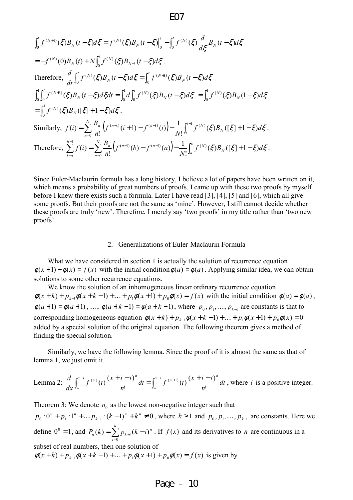$$
\int_{0}^{t} f^{(N+1)}(\xi) B_{N}(t-\xi) d\xi = f^{(N)}(\xi) B_{N}(t-\xi) \Big|_{0}^{t} - \int_{0}^{t} f^{(N)}(\xi) \frac{d}{d\xi} B_{N}(t-\xi) d\xi
$$
  
\n
$$
= -f^{(N)}(0) B_{N}(t) + N \int_{0}^{t} f^{(N)}(\xi) B_{N-1}(t-\xi) d\xi.
$$
  
\nTherefore, 
$$
\frac{d}{dt} \int_{0}^{t} f^{(N)}(\xi) B_{N}(t-\xi) d\xi = \int_{0}^{t} f^{(N+1)}(\xi) B_{N}(t-\xi) d\xi
$$
  
\n
$$
\int_{0}^{1} \int_{0}^{t} f^{(N+1)}(\xi) B_{N}(t-\xi) d\xi dt = \int_{0}^{1} d \int_{0}^{t} f^{(N)}(\xi) B_{N}(t-\xi) d\xi = \int_{0}^{1} f^{(N)}(\xi) B_{N}(1-\xi) d\xi
$$
  
\n
$$
= \int_{0}^{1} f^{(N)}(\xi) B_{N}([\xi] + 1 - \xi) d\xi.
$$
  
\nSimilarly, 
$$
f(t) = \sum_{n=0}^{N} \frac{B_{n}}{n!} (f^{(n-1)}(t+1) - f^{(n-1)}(t)) - \frac{1}{N!} \int_{i}^{i+1} f^{(N)}(\xi) B_{N}([\xi] + 1 - \xi) d\xi.
$$
  
\nTherefore, 
$$
\sum_{i=a}^{b-1} f(i) = \sum_{n=0}^{N} \frac{B_{n}}{n!} (f^{(n-1)}(b) - f^{(n-1)}(a)) - \frac{1}{N!} \int_{a}^{b} f^{(N)}(\xi) B_{N}([\xi] + 1 - \xi) d\xi.
$$

Since Euler-Maclaurin formula has a long history, I believe a lot of papers have been written on it, which means a probability of great numbers of proofs. I came up with these two proofs by myself before I knew there exists such a formula. Later I have read [3], [4], [5] and [6], which all give some proofs. But their proofs are not the same as 'mine'. However, I still cannot decide whether these proofs are truly 'new'. Therefore, I merely say 'two proofs' in my title rather than 'two new proofs'.

.

#### 2. Generalizations of Euler-Maclaurin Formula

What we have considered in section 1 is actually the solution of recurrence equation  $\phi(x+1) - \phi(x) = f(x)$  with the initial condition  $\phi(a) = \phi(a)$ . Applying similar idea, we can obtain solutions to some other recurrence equations.

We know the solution of an inhomogeneous linear ordinary recurrence equation  $\phi(x+k) + p_{k-1}\phi(x+k-1) + ... + p_1\phi(x+1) + p_0\phi(x) = f(x)$  with the initial condition  $\phi(a) = \phi(a)$ ,  $\phi(a+1) = \phi(a+1), \ldots, \phi(a+k-1) = \phi(a+k-1)$ , where  $p_0, p_1, \ldots, p_{k-1}$  are constants is that to corresponding homogeneous equation  $\phi(x+k)+p_{k-1}\phi(x+k-1)+...+p_1\phi(x+1)+p_0\phi(x)=0$ added by a special solution of the original equation. The following theorem gives a method of finding the special solution.

Similarly, we have the following lemma. Since the proof of it is almost the same as that of lemma 1, we just omit it.

Lemma 2: 
$$
\frac{d}{dx} \int_{x}^{x+i} f^{(m)}(t) \frac{(x+i-t)^{n}}{n!} dt = \int_{x}^{x+i} f^{(m+1)}(t) \frac{(x+i-t)^{n}}{n!} dt
$$
, where *i* is a positive integer.

Theorem 3: We denote  $n_0$  as the lowest non-negative integer such that  $1_0 \cdot 0^n + p_1 \cdot 1^n + \dots + p_{k-1} \cdot (k-1)^n + k^n \neq 0$  $n \frac{1}{L}n$ *k*  $p_0 \cdot 0^n + p_1 \cdot 1^n + ... p_{k-1} \cdot (k-1)^n + k^n \neq 0$ , where  $k \ge 1$  and  $p_0, p_1, ..., p_{k-1}$  are constants. Here we define  $0^0 = 1$ , and  $P_n(k) = \sum_{n=1}^{\infty}$ =  $= \sum p_{k-i} (k$ *k i n*  $P_n(k) = \sum_{k} p_{k-i} (k - i)$ 0  $(k) = \sum p_{k-i}(k-i)^n$ . If  $f(x)$  and its derivatives to *n* are continuous in a subset of real numbers, then one solution of  $\phi(x+k) + p_{k-1}\phi(x+k-1) + ... + p_1\phi(x+1) + p_0\phi(x) = f(x)$  is given by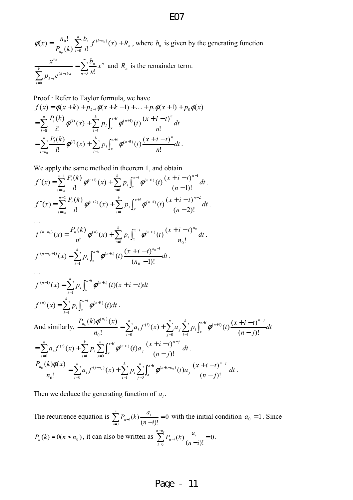*n n i i*  $f^{(i-n)}$ *n*  $f^{(t-n_0)}(x) + R$ *i b kP*  $f(x) = \frac{n_0!}{P_0(1)} \sum_{i=1}^{n} \frac{b_i}{n!} f^{(i-n_0)}(x) +$ =  $\overset{-n_{0})}{(x)}$  $(k) \sum_{i=0}^{k} i!$ !  $\left( x\right)$ 0  $\phi(x) = \frac{n_0!}{n_0!} \sum_{i=1}^{n_i} f^{(i-n_0)}(x) + R_n$ , where  $b_n$  is given by the generating function 0  $\bar{\Sigma}$  $\sum\limits_{}^{\circ}$ ∞  $-i)x$   $n=$ = − =  $(k-i)x$   $\sum_{n=0}$  *n*!  $\boldsymbol{0}$  $\bf{0}$ *n n n*  $\sum_{k=1}^{k}$   $\sum_{k=1}^{k}$ *i*  $k - i$ *n x n b*  $p_{k-i}e$  $\frac{x^{n_0}}{x^n}$  =  $\sum_{n=1}^{\infty} \frac{b_n}{x^n} x^n$  and  $R_n$  is the remainder term.

Proof : Refer to Taylor formula, we have  $f(x) = \phi(x+k) + p_{k-1}\phi(x+k-1) + ... + p_1\phi(x+1) + p_0\phi(x)$ *dt n*  $f(x) + \sum_{i=1}^{k} p_i \int_0^{x+i} \phi^{(n+1)}(t) \frac{(x+i-t)}{t}$ *i*  $P_i(k)$ <sub> $\star$ </sub>(i)  $\leftrightarrow$   $\star$ *i ix x*  $(x+i)(t)$   $(x+i-t)^n$ *i n*  $\sum_{i=0}^{n} \frac{P_i(k)}{i!} \phi^{(i)}(x) + \sum_{i=1}^{n} p_i \int_{z}$ <sup>+i</sup>  $\mathcal{A}^{(n+)}$ =  $=\sum_{i=1}^{n}\frac{P_i(k)}{P_i}$   $\phi^{(i)}(x)$  +  $\sum_{i=1}^{k} p_i \int_{0}^{x+i} \phi^{(n+1)}(t) \frac{(x+i-1)}{P_i}$ 1  $(n+1)$ 0  $(i)$ !  $f(x) + \sum_{i=1}^{k} p_i \int_{0}^{x+i} \phi^{(n+1)}(t) \frac{(x+i-t)}{t}$ !  $\frac{(k)}{n} \phi^{(i)}(x) + \sum_{r=0}^{k} p_i \int_{0}^{x+i} \phi^{(i)}(x) dx$ *dt n*  $f(x) + \sum_{i=1}^{k} p_i \int_0^{x+i} \phi^{(n+1)}(t) \frac{(x+i-t)}{t}$ *i*  $P_i(k)$ <sub>1(i)</sub>,  $\frac{k}{\sqrt{k}}$ *i ix x*  $(x+i)(x)$   $(x+i-t)^n$ *i n*  $\sum_{i=n_0}^{n} \frac{P_i(K)}{i!} \phi^{(i)}(x) + \sum_{i=1}^{n} p_i \int_0^1$ <sup>+i</sup>  $\mathcal{A}^{(n+)}$ =  $=\sum_{i=1}^{n}\frac{P_i(k)}{i}\phi^{(i)}(x)+\sum_{i=1}^{k}p_i\int_{0}^{x+i}\phi^{(n+1)}(t)\frac{(x+i-1)}{i}$ 1  $\left( i\right)$  (x)  $\sum_{n}$   $\left[ \begin{matrix} \lambda^{n+1} & \lambda^{(n+1)} \end{matrix} \right]$ !  $f(x) + \sum_{i=1}^{k} p_i \int_{0}^{x+i} \phi^{(n+1)}(t) \frac{(x+i-t)}{t}$ !  $(k)$ 0  $\phi^{(i)}(x) + \sum p_i \phi^{(n+1)}(t) \frac{(x+i)^i}{i!} dt$ .

We apply the same method in theorem 1, and obtain

$$
f'(x) = \sum_{i=n_0}^{n-1} \frac{P_i(k)}{i!} \phi^{(i+1)}(x) + \sum_{i=1}^k p_i \int_x^{x+i} \phi^{(n+1)}(t) \frac{(x+i-t)^{n-1}}{(n-1)!} dt.
$$
  

$$
f''(x) = \sum_{i=n_0}^{n-2} \frac{P_i(k)}{i!} \phi^{(i+2)}(x) + \sum_{i=1}^k p_i \int_x^{x+i} \phi^{(n+1)}(t) \frac{(x+i-t)^{n-2}}{(n-2)!} dt.
$$

$$
f^{(n-n_0)}(x) = \frac{P_n(k)}{n!} \phi^{(n)}(x) + \sum_{i=1}^k p_i \int_x^{x+i} \phi^{(n+1)}(t) \frac{(x+i-t)^{n_0}}{n_0!} dt.
$$
  

$$
f^{(n-n_0+1)}(x) = \sum_{i=1}^k p_i \int_x^{x+i} \phi^{(n+1)}(t) \frac{(x+i-t)^{n_0-1}}{(n_0-1)!} dt.
$$

$$
f^{(n-1)}(x) = \sum_{i=1}^{k} p_i \int_{x}^{x+i} \phi^{(n+1)}(t)(x+i-t)dt
$$
  

$$
f^{(n)}(x) = \sum_{i=1}^{k} p_i \int_{x}^{x+i} \phi^{(n+1)}(t)dt.
$$

And similarly,  $\frac{I_{n_0}(k)\psi - (k)}{n_0!} = \sum_{i=0}^{n} a_i f^{(i)}(x) + \sum_{j=0}^{n} a_j \sum_{i=1}^{n} p_i \int_{s}^{t}$  $^{+i}$ <sub>A(n+1)</sup>(t)</sub>  $(x+i-t)^{n-1}$  $= 0$   $(n-1)$   $(n-1)$   $\sum_{j=0}^{n} \binom{n}{j}$   $\sum_{i=1}^{n} \binom{r}{i} x$   $(n-1)$  $=\sum_{i=1}^{n} a_{i} f^{(i)}(x) + \sum_{i=1}^{n} a_{i} \sum_{i=1}^{k} p_{i} \int_{0}^{x+i} \phi^{(n+1)}(t) \frac{(x+i-1)(x+i-1)}{(x+i-1)} dt$ *n j k i ix x*  $_{n+1}$ <sub>(t)</sub>  $(x+i-t)^{n-j}$ *i*  $\bigcup$   $P$  *i n i i i n*  $\sum_{n_0}^{n_0} \frac{(x,y^2 - (x^2 - 1))}{(x^2 - 1)^2} = \sum_{n_0}^{\infty} a_n f^{(n_0)}(x) + \sum_{n_0}^{\infty} a_n \sum_{n_0}^{\infty} p_n \binom{x+1}{n_0} (t) \frac{(x+1-t)^{-n_0}}{(x+1-t)^{-n_0}} dt$  $n - j$  $a_i f^{(i)}(x) + \sum_{i=1}^{n} a_i \sum_{j=1}^{k} p_i \int_{0}^{x+i} \phi^{(n+1)}(t) \frac{(x+i-t)}{(x-i+1)}$ *n*  $P_{n_{0}}(k)\phi^{(n_{0})}(x)$ 0  $i=1$  $(n+1)$ 0  $(i)$ 0  $(n_0)$  $(n-j)!$  $f(x) + \sum_{i=1}^{n} a_i \sum_{i=1}^{k} p_i \int_{0}^{x+i} \phi^{(n+1)}(t) \frac{(x+i-t)}{(x-i+1)}$ !  $(k)\phi^{(n_0)}(x)$  $\frac{1}{a}$   $\frac{1}{a}$   $\frac{1}{b}$  =  $\sum a_i f^{(i)}(x) + \sum a_i \sum p_i \left[ \frac{1}{b} \phi^{(i)}(x) + \frac{1}{b} \phi^{(i)}(x) \right]$ φ  $\sum_{i=0}^{n} a_i f^{(i)}(x) + \sum_{i=1}^{n} p_i \sum_{j=0}^{n} \int$  $^{+i}$  (n+1) (t)  $\alpha$   $(x+i-t)^{n-1}$  $= 0$   $\sum_{i=1}^{r} {r_i} \sum_{j=0}^{r} {J_x}$   $\sum_{j=0}^{r} {r_i} \sum_{j=0}^{r} {r_j}$   $(n-1)$  $=\sum_{i=1}^{n} a_{i} f^{(i)}(x) + \sum_{i=1}^{k} p_{i} \sum_{i=1}^{n} \int_{0}^{x+i} \phi^{(n+1)}(t) a_{i} \frac{(x+i-1)}{(x+i-1)}$ *k i n j ix x*  $n-j$ *j n i n i i*  ${}_{i}f^{(i)}(x) + \sum p_{i} \sum \int_{a}^{a} \phi^{(n+1)}(t) a_{j} \frac{(x+i)^{j}}{(a-j)!} dt$ *n j*  $a_i f^{(i)}(x) + \sum_{i=1}^{k} p_i \sum_{i=1}^{n} \int_{0}^{x+i} \phi^{(n+1)}(t) a_i \frac{(x+i-t)}{(x-i+1)}$  $-1$   $j=0$  $(n+1)$ 0  $(i)$  $(n-j)!$  $f(x) + \sum_{i=1}^{k} p_i \sum_{i=1}^{n} \int_{0}^{x+i} \phi^{(n+1)}(t) a_i \frac{(x+i-t)^{n-j}}{(x-i-t)} dt$ .  $\sum_{i=0}^{n} a_i f^{(i-n_0)}(x) + \sum_{i=1}^{n} p_i \sum_{j=0}^{n} \int$  $e^{i t}$ <sub>4</sub>(n+1-n<sub>0</sub>)(t)<sub>a</sub>  $(x+i-t)^{n-1}$ = − −  $=\sum_{i=1}^{n} a_i f^{(i-n_0)}(x) + \sum_{i=1}^{k} p_i \sum_{i=1}^{n} \int_{0}^{x+i} \phi^{(n+1-n_0)}(t) a_i \frac{(x+i-1)}{x}$ *k i n j ix x*  $n-j$ *j n n i n i ni i*  $\sum_{n_0}^{n_0} \frac{(x-\mu)(x-\mu)}{(x-\mu)} = \sum a_i f^{(i-n_0)}(x) + \sum p_i \sum \int_{0}^{x+i} \phi^{(n+1-n_0)}(t) a_i \frac{(x+\mu-1)}{(x-\mu)} dt$  $n - j$  $a_i f^{(i-n_0)}(x) + \sum_{i=1}^{k} p_i \sum_{i=1}^{n} \int_{0}^{x+i} \phi^{(n+1-n_0)}(t) a_i \frac{(x+i-t)}{(x-i+1)}$ *n*  $P_{n_{\alpha}}(k)\phi(x)$  $-1$   $j=0$  $(n+1-n_0)$ 0  $(i - n_0)$  $\sum_{i=0}^{n} \frac{1}{i}$  (n - j)  $f(x) + \sum_{r=0}^{k} p_r \sum_{r=0}^{n} \int_{0}^{x+i} \phi^{(n+1-n_0)}(t) a_r \frac{(x+i-t)}{(x-i_0)^2}$ !  $(k)\phi(x)$  $\frac{1}{\phi} \frac{1}{\phi} \left( \frac{1}{\phi} \right)^{n-1} = \sum a_i f^{(1-n_0)}(x) + \sum p_i \sum \left( \frac{\phi^{(n+1-n_0)}}{n} \right)$ φ .

Then we deduce the generating function of  $a_i$ .

The recurrence equation is  $\sum P_{n-i}(k) \frac{a_i}{(n-i)!} = 0$  $(n-i)!$  $(k)$ 0 =  $\sum_{i=0}^{n} P_{n-i}(k) \frac{a_i}{(n-i)}$ *n i*  $\sum_{n-i}^{n} (k) \frac{a_i}{(n-i)}$  $P_{n-i}(k) \frac{a_i}{(n-i)!} = 0$  with the initial condition  $a_0 = 1$ . Since  $P_n(k) = 0(n < n_0)$ , it can also be written as  $\sum_{i=0} P_{n-i}(k) \frac{a_i}{(n-i)!} = 0$  $\int_{n-i}^0 (k)$ 0 =  $\sum_{i=0}^{n-n_0} P_{n-i}(k) \frac{a_i}{(n-n)}$  $\sum_{n=0}$   $\sum_{n=0}$ *nn i*  $\sum_{n-i}^{n} (k) \frac{a_i}{(n-i)}$  $P_{n-i}(k) \frac{a_i}{(k-i)!} = 0$ .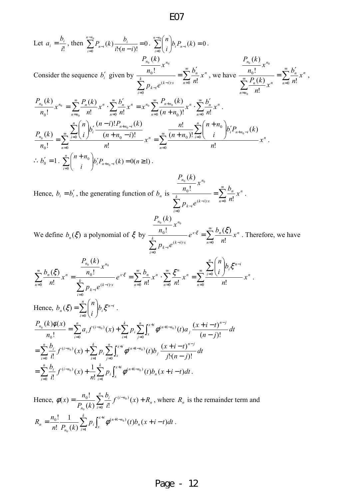Let 
$$
a_i = \frac{b_i}{i!}
$$
, then  $\sum_{i=0}^{n-n_0} P_{n-i}(k) \frac{b_i}{i!(n-i)!} = 0$ .  $\sum_{i=0}^{n-n_0} {n \choose i} b_i P_{n-i}(k) = 0$ .  
\nConsider the sequence  $b'_i$  given by  $\frac{P_{n_0}(k)}{\sum_{i=0}^{n} p_{k-i} e^{(k-i)x}} = \sum_{n=0}^{\infty} \frac{b'_n}{n!} x^n$ , we have  $\frac{P_{n_0}(k)}{\sum_{n=n_0}^{\infty} \frac{P_n(k)}{n!} x^n} = \sum_{n=0}^{\infty} \frac{b'_n}{n!} x^n$ ,  
\n $\frac{P_{n_0}(k)}{n_0!} x^{n_0} = \sum_{n=n_0}^{\infty} \frac{P_n(k)}{n!} x^n$ .  $\sum_{n=0}^{\infty} \frac{b'_n}{n!} x^n = x^{n_0} \sum_{n=0}^{\infty} \frac{P_{n+n_0}(k)}{(n+n_0)!} x^n$ .  $\sum_{n=0}^{\infty} \frac{b'_n}{n!} x^n$ .  
\n $\frac{P_{n_0}(k)}{n_0!} = \sum_{n=0}^{\infty} \frac{\sum_{i=0}^{n} {n \choose i} b'_i \frac{(n-i)! P_{n+n_0-i}(k)}{(n+n_0-i)!}}{n!} x^n = \sum_{n=0}^{\infty} \frac{\frac{n!}{(n+n_0)!} \sum_{i=0}^{n} {n+n_0 \choose i} b'_i P_{n+n_0-i}(k)}{n!} x^n$ .  
\n $\therefore b'_0 = 1$ .  $\sum_{i=0}^{n} {n+n_0 \choose i} b'_i P_{n+n_0-i}(k) = 0$  and  $n = 0$ .  
\n $P_{n_0}(k)$ .  
\n $P_{n_0}(k)$ .

Hence, 
$$
b_i = b'_i
$$
, the generating function of  $b_n$  is 
$$
\frac{\frac{P_{n_0}(k)}{n_0!} x^{n_0}}{\sum_{i=0}^{k} P_{k-i} e^{(k-i)x}} = \sum_{n=0}^{\infty} \frac{b_n}{n!} x^n.
$$

$$
\frac{P_{n_0}(k)}{P_{n_0}(k)} x^{n_0}
$$

We define  $b_n(\xi)$  a polynomial of  $\xi$  by  $\frac{n_0!}{\xi}$  =  $\sum_{k=1}^{\infty}$  $\sum\limits_{}^{\circ}$ ∞ = ⋅ =  $-i)$ − = 0  $\boldsymbol{0}$  $(k-i)$ 0 ! !  $x \in \sum_{n=1}^{\infty} b_n(\xi)$ *n*  $x \xi = \sum_{n} u_n (s) \chi_n$ *k i*  $(k-i) \cdot x$  $k-i$  $n_0$ <sup>n</sup> *x n b e*  $p_{k-i}e$ *x n*  $\zeta = \sum_{n=1}^{\infty} \frac{b_n(\xi)}{n!} x^n$ . Therefore, we have

.

$$
\sum_{n=0}^{\infty} \frac{b_n(\xi)}{n!} x^n = \frac{\frac{P_{n_0}(k)}{n_0!} x^{n_0}}{\sum_{i=0}^k P_{k-i} e^{(k-i)x}} e^{x \cdot \xi} = \sum_{n=0}^{\infty} \frac{b_n}{n!} x^n \cdot \sum_{n=0}^{\infty} \frac{\xi^n}{n!} x^n = \sum_{n=0}^{\infty} \frac{\frac{r}{i-0} {n \choose i} b_i \xi^{n-i}}{n!} x^n
$$
  
\nHence,  $b_n(\xi) = \sum_{i=0}^n {n \choose i} b_i \xi^{n-i}$ .  
\n
$$
\frac{P_{n_0}(k) \phi(x)}{n_0!} = \sum_{i=0}^n a_i f^{(i-n_0)}(x) + \sum_{i=1}^k p_i \sum_{j=0}^n \int_{x}^{x+i} \phi^{(n+1-n_0)}(t) a_j \frac{(x+i-t)^{n-j}}{(n-j)!} dt
$$
  
\n
$$
= \sum_{i=0}^n \frac{b_i}{i!} f^{(i-n_0)}(x) + \sum_{i=1}^k p_i \sum_{j=0}^n \int_{x}^{x+i} \phi^{(n+1-n_0)}(t) b_j \frac{(x+i-t)^{n-j}}{j!(n-j)!} dt
$$
  
\n
$$
= \sum_{i=0}^n \frac{b_i}{i!} f^{(i-n_0)}(x) + \frac{1}{n!} \sum_{i=1}^k p_i \int_{x}^{x+i} \phi^{(n+1-n_0)}(t) b_n(x+i-t) dt.
$$

Hence,  $\phi(x) = \frac{n_0!}{R_0!} \sum_{i=1}^{n_0} f^{(i-n_0)}(x) + R_n$ *n i i*  $f^{(i-n)}$ *n*  $f^{(t-n_0)}(x) + R$ *i b kP*  $f(x) = \frac{n_0!}{P_0(1)} \sum_{i=1}^n \frac{b_i}{n!} f^{(i-n_0)}(x) +$ =  $\overset{-n_{0})}{(x)}$  $(k)\sum_{i=0}^{k} i!$ !  $(x)$ 0  $\frac{0}{\sigma}$   $\sum_{i=1}^{U_i} f^{(i-n_0)}$ 0  $\phi(x) = \frac{n_0}{R_0} \sum_{i=1}^{n_0} f^{(i-n_0)}(x) + R_n$ , where  $R_n$  is the remainder term and  $\sum_{i=1}^{\infty} p_i \int_{\mathcal{I}}$  $=\frac{n_0!}{\cdot} \frac{1}{\sqrt{2\pi}} \sum_{n=1}^{k} p_i \int_0^{x+i} \phi^{(n+1-n_0)}(t) b_n(x+i-1)$ *k i ix x n nn i n*  $p_n = \frac{n_0!}{n!} \frac{1}{P_{n_0}(k)} \sum_{i=1}^{n} p_i \int_x^{\infty} \phi^{(n+1-n_0)}(t) b_n(x+i-t) dt$ *n R* 1  $\frac{0}{1-\mathbf{D}-(1)}\sum_{i}p_i\int_{0}^{1+i}\phi^{(n+1-n_0)}(t)b_n(x+i-t)$  $(k)$ 1 !  $\frac{1}{n} \sum_{i=1}^{k} p_i \int_{0}^{x+i} \phi^{(n+1-n_0)}(t) b_n(x+i-t) dt.$ 0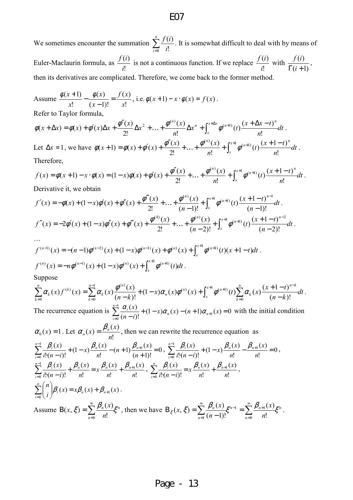We sometimes encounter the summation  $\sum_{n=1}^{\infty}$ = *n*  $\sum_{i=0}$  *i if*  $\frac{1}{0}$  i!  $\frac{(i)}{i}$ . It is somewhat difficult to deal with by means of Euler-Maclaurin formula, as !  $(i)$ *i*  $\frac{f(i)}{i}$  is not a continuous function. If we replace !  $(i)$ *i*  $\frac{f(i)}{i}$  with  $(i+1)$  $(i)$  $\Gamma(i +$  $\frac{f(i)}{i}$ , then its derivatives are complicated. Therefore, we come back to the former method.

Assume !  $(x)$  $(x-1)!$  $(x)$ !  $(x+1)$ *x xf x x x*  $\frac{x+1)}{x+1} - \frac{\phi(x)}{x+1} =$ −  $\frac{\phi(x+1)}{\phi(x+1)} - \frac{\phi(x)}{\phi(x+1)} = \frac{f(x)}{f(x)}$ , i.e.  $\phi(x+1) - x \cdot \phi(x) = f(x)$ . Refer to Taylor formula,

*dt n*  $x^{n} + \int^{x + \Delta x} \phi^{(n+1)}(t) \frac{(x + \Delta x - t)}{t}$ *n*  $(x + \Delta x) = \phi(x) + \phi'(x)\Delta x + \frac{\phi''(x)}{2!}\Delta x^2 + ... + \frac{\phi^{(n)}(x)}{2!}\Delta x^n + \int_{0}^{x+\Delta x}$ *x*  $a + \Delta x$ ) =  $\phi(x) + \phi'(x)\Delta x + \frac{\phi''(x)}{2!}\Delta x^2 + ... + \frac{\phi^{(n)}(x)}{n!}\Delta x^n + \int_x^{x+\Delta x} \phi^{(n+1)}(t) \frac{(x+\Delta x-t)^n}{n!}$ !  $(t)$  $\frac{(x + \Delta x - t)}{t}$ !  $(x)$ 2!  $\phi(x + \Delta x) = \phi(x) + \phi'(x)\Delta x + \frac{\phi''(x)}{2!}\Delta x^2 + ... + \frac{\phi^{(n)}(x)}{2!}\Delta x^n + \int_{0}^{x+\Delta x} \phi^{(n+1)}(t) \frac{(x + \Delta x - t)^n}{2!} dt$ . Let  $\Delta x = 1$ , we have  $\phi(x+1) = \phi(x) + \phi'(x) + \frac{\phi''(x)}{2!} + ... + \frac{\phi^{(x)}}{2!} + \int_{0}^{x} \phi^{(n+1)}(t) \frac{(x+1)^{n+1}}{2!} dt$ *n*  $t$ <sup>2</sup> $\frac{(x+1-t)}{t}$ *n*  $(x+1) = \phi(x) + \phi'(x) + \frac{\phi''(x)}{2!} + ... + \frac{\phi^{(n)}(x)}{n!} + \int_{0}^{x}$ *x*  $+\ldots+\frac{\phi^{(n)}(x)}{n!}+\int_{x}^{x+1}\phi^{(n+1)}(t)\frac{(x+1-t)^n}{n!}$ +1) =  $\phi(x) + \phi'(x) + \frac{\phi''(x)}{2!} + ... + \frac{\phi^{(n)}(x)}{n!} + \int_{0}^{x+1} \phi^{(n+1)}$ !  $(t)$  $\frac{(x+1-t)}{1}$ !  $(x)$ 2!  $\phi(x+1) = \phi(x) + \phi'(x) + \frac{\phi''(x)}{2!} + \ldots + \frac{\phi^{(n)}(x)}{n} + \int_{0}^{x+1} \phi^{(n+1)}(t) \frac{(x+1-t)^n}{n} dt$ Therefore,

$$
f(x) = \phi(x+1) - x \cdot \phi(x) = (1-x)\phi(x) + \phi'(x) + \frac{\phi''(x)}{2!} + \dots + \frac{\phi^{(n)}(x)}{n!} + \int_{x}^{x+1} \phi^{(n+1)}(t) \frac{(x+1-t)^n}{n!} dt.
$$

Derivative it, we obtain

$$
f'(x) = -\phi(x) + (1-x)\phi'(x) + \phi''(x) + \frac{\phi'''(x)}{2!} + \dots + \frac{\phi^{(n)}(x)}{(n-1)!} + \int_x^{x+1} \phi^{(n+1)}(t) \frac{(x+1-t)^{n-1}}{(n-1)!} dt.
$$
  

$$
f''(x) = -2\phi'(x) + (1-x)\phi''(x) + \phi'''(x) + \frac{\phi^{(4)}(x)}{2!} + \dots + \frac{\phi^{(n)}(x)}{(n-2)!} + \int_x^{x+1} \phi^{(n+1)}(t) \frac{(x+1-t)^{n-2}}{(n-2)!} dt.
$$

$$
f^{(n-1)}(x) = -(n-1)\phi^{(n-2)}(x) + (1-x)\phi^{(n-1)}(x) + \phi^{(n)}(x) + \int_x^{x+1} \phi^{(n+1)}(t)(x+1-t)dt.
$$
  

$$
f^{(n)}(x) = -n\phi^{(n-1)}(x) + (1-x)\phi^{(n)}(x) + \int_x^{x+1} \phi^{(n+1)}(t)dt.
$$

Suppose

$$
\sum_{k=0}^{n} \alpha_{k}(x) f^{(k)}(x) = \sum_{k=0}^{n-1} \alpha_{k}(x) \frac{\phi^{(n)}(x)}{(n-k)!} + (1-x)\alpha_{n}(x)\phi^{(n)}(x) + \int_{x}^{x+1} \phi^{(n+1)}(t) \sum_{k=0}^{n} \alpha_{k}(x) \frac{(x+1-t)^{n-k}}{(n-k)!} dt.
$$
  
The recurrence equation is  $\sum_{k=0}^{n-1} \alpha_{k}(x)$  and  $(x)_{n}(x)_{n}(x)_{n}(x) \geq 0$  with the initial condition

The recurrence equation is  $\sum_{n=0}^{\infty} \frac{\alpha_i(x)}{(n+1)\alpha_n(x)} + (1-x)\alpha_n(x) - (n+1)\alpha_{n+1}(x) = 0$  $(n-i)!$ 1 0  $+(1-x)\alpha_{n}(x)-(n+1)\alpha_{n+1}(x)=$  $(-i)!$ <sup>+</sup> (<sup>1</sup>  $\lambda$ ) $\alpha_n(x)$  (*n* + 1) $\alpha_{n+1}$  $\sum_{i=0}^{n} \frac{\alpha_i(x)}{(n-i)!} + (1-x)\alpha_n(x) - (n+1)\alpha_{n+1}(x)$  $n(\lambda)$   $(n+1)\alpha_n$ *i*  $\frac{\alpha_i(x)}{x_i}$  +  $(1-x)\alpha_n(x) - (n+1)\alpha_{n+1}(x) = 0$  with the initial condition  $f(x) = \frac{\beta_n(x)}{x}$  $\beta_n(x) = \frac{\beta_n(x)}{n!}$  $\alpha_n(x) = \frac{\beta_n(x)}{x}$ , then we can rewrite the recurrence equation as

$$
\alpha_0(x) = 1. \text{ Let } \alpha_n(x) = \frac{\mu_n(x)}{n!}, \text{ then we can rewrite the recurrence equation as}
$$
\n
$$
\sum_{i=0}^{n-1} \frac{\beta_i(x)}{i! \cdot (n-i)!} + (1-x) \frac{\beta_n(x)}{n!} - (n+1) \frac{\beta_{n+1}(x)}{(n+1)!} = 0, \ \sum_{i=0}^{n-1} \frac{\beta_i(x)}{i! \cdot (n-i)!} + (1-x) \frac{\beta_n(x)}{n!} - \frac{\beta_{n+1}(x)}{n!} = 0,
$$
\n
$$
\sum_{i=0}^{n-1} \frac{\beta_i(x)}{i! \cdot (n-i)!} + \frac{\beta_n(x)}{n!} = x \frac{\beta_n(x)}{n!} + \frac{\beta_{n+1}(x)}{n!}, \ \sum_{i=0}^{n} \frac{\beta_i(x)}{i! \cdot (n-i)!} = x \frac{\beta_n(x)}{n!} + \frac{\beta_{n+1}(x)}{n!},
$$
\n
$$
\sum_{i=0}^{n} {n \choose i} \beta_i(x) = x\beta_n(x) + \beta_{n+1}(x).
$$
\nAssume B(x,  $\xi$ ) =  $\sum_{i=0}^{\infty} \frac{\beta_n(x)}{i!} \frac{\xi_n}{\xi}$ , then we have B<sub>ξ</sub>(x,  $\xi$ ) =  $\sum_{i=0}^{\infty} \frac{\beta_n(x)}{i!} \frac{\xi_{n-1}}{\xi_n} = \sum_{i=0}^{\infty} \frac{\beta_{n+1}(x)}{i!} \frac{\xi_n}{\xi_n}$ .

Assume  $B(x, \xi) = \sum_{n=1}^{\infty} \frac{P_n(x)}{n} \xi^n$  $n=0$ *n* !  $(x, \xi) = \sum_{n} \frac{P_n(x)}{n} \xi^n$  $\xi$ ) =  $\sum$  $B(x, \xi) =$  $g(x, \xi) = \sum_{n=1}^{\infty} \frac{P_n(x)}{\xi^n}$ , then we have  $B_{\xi}(x, \xi) = \sum_{n=1}^{\infty} \frac{P_n(x)}{\xi^n} \xi^{n-1} = \sum_{n=1}^{\infty} \frac{P_{n+1}(x)}{\xi^n} \xi^n$ *n n*  $n-1$ !<sup>2</sup>  $\frac{2}{n-0}$  *n*  $\zeta(x,\xi) = \sum_{n=0}^{\infty} \frac{\beta_n(x)}{(n-1)!} \xi^{n-1} = \sum_{n=0}^{\infty} \frac{\beta_{n+1}(x)}{n!} \xi^{n-1}$ = = = −  $B_{\varepsilon}(x,\xi)=$ 0  $\frac{1}{1}(n-1)!$   $\frac{2}{n-0}$  n!  $(x,\xi) = \sum_{n=1}^{\infty} \frac{P_n(x)}{P_n(x)} \xi^{n-1} = \sum_{n=1}^{\infty} \frac{P_{n+1}(x)}{P_n} \xi^n$ .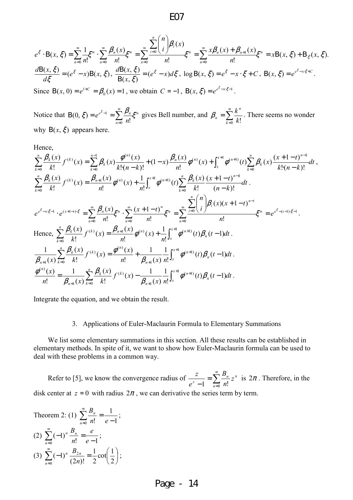$$
e^{\xi} \cdot B(x, \xi) = \sum_{n=0}^{\infty} \frac{1}{n!} \xi^{n} \cdot \sum_{n=0}^{\infty} \frac{\beta_{n}(x)}{n!} \xi^{n} = \sum_{n=0}^{\infty} \frac{x \beta_{n}(x) + \beta_{n+1}(x)}{n!} \xi^{n} = xB(x, \xi) + B_{\xi}(x, \xi).
$$
  
\n
$$
\frac{dB(x, \xi)}{d\xi} = (e^{\xi} - x)B(x, \xi), \quad \frac{dB(x, \xi)}{B(x, \xi)} = (e^{\xi} - x) d\xi, \quad \log B(x, \xi) = e^{\xi} - x \cdot \xi + C, \quad B(x, \xi) = e^{e^{\xi} - x \cdot \xi + C}.
$$
  
\nSince  $B(x, 0) = e^{1+C} = \beta_{0}(x) = 1$ , we obtain  $C = -1$ ,  $B(x, \xi) = e^{e^{\xi} - x \cdot \xi - 1}$ .

Notice that  $B(0, \xi) = e^{e^{\xi}-1} = \sum_{n=1}^{\infty} \frac{\mu_n}{n} \xi^n$ *n*  $e^{\epsilon}$ -1  $\sum P_n$ *n*  $\xi$ ) =  $e^{e^{\xi}-1} = \sum_{n=0}^{\infty} \frac{\beta_n}{n!} \xi^n$ =  $B(0, \xi) = e^{e^{\xi} - 1}$ 0 1  $(0, \xi) = e^{e^{\xi}-1} = \sum_{n=0}^{\infty} \frac{\beta_n}{n!} \xi^n$  gives Bell number, and  $\beta_n = \sum_{k=0}^{\infty}$ = =  $\sum_{k=0} k!$ *n*  $n - \sum_{k=0} k$  $\beta_n = \sum_{n=1}^{\infty} \frac{k^n}{n!}$ . There seems no wonder why  $B(x, \xi)$  appears here.

Hence,

$$
\sum_{k=0}^{n} \frac{\beta_{k}(x)}{k!} f^{(k)}(x) = \sum_{k=0}^{n-1} \beta_{k}(x) \frac{\phi^{(n)}(x)}{k! (n-k)!} + (1-x) \frac{\beta_{n}(x)}{n!} \phi^{(n)}(x) + \int_{x}^{x+1} \phi^{(n+1)}(t) \sum_{k=0}^{n} \beta_{k}(x) \frac{(x+1-t)^{n-k}}{k! (n-k)!} dt,
$$
\n
$$
\sum_{k=0}^{n} \frac{\beta_{k}(x)}{k!} f^{(k)}(x) = \frac{\beta_{n+1}(x)}{n!} \phi^{(n)}(x) + \frac{1}{n!} \int_{x}^{x+1} \phi^{(n+1)}(t) \sum_{k=0}^{n} \frac{\beta_{k}(x)}{k!} \frac{(x+1-t)^{n-k}}{(n-k)!} dt.
$$
\n
$$
e^{\epsilon^{5}-x\zeta-1} \cdot e^{(x+1-t)\zeta} = \sum_{n=0}^{\infty} \frac{\beta_{n}(x)}{n!} \zeta^{n} \cdot \sum_{n=0}^{\infty} \frac{(x+1-t)^{n}}{n!} \zeta^{n} = \sum_{n=0}^{\infty} \frac{\sum_{i=0}^{n} {n \choose i} \beta_{i}(x)(x+1-t)^{n-i}}{n!} \zeta^{n} = e^{\epsilon^{5}-(t-1)\zeta-1}.
$$
\nHence, 
$$
\sum_{k=0}^{n} \frac{\beta_{k}(x)}{k!} f^{(k)}(x) = \frac{\beta_{n+1}(x)}{n!} \phi^{(n)}(x) + \frac{1}{n!} \int_{x}^{x+1} \phi^{(n+1)}(t) \beta_{n}(t-1) dt.
$$
\n
$$
\frac{1}{\beta_{n+1}(x)} \sum_{k=0}^{n} \frac{\beta_{k}(x)}{k!} f^{(k)}(x) = \frac{\phi^{(n)}(x)}{n!} + \frac{1}{\beta_{n+1}(x)} \frac{1}{n!} \int_{x}^{x+1} \phi^{(n+1)}(t) \beta_{n}(t-1) dt.
$$
\n
$$
\frac{\phi^{(n)}(x)}{n!} = \frac{1}{\beta_{n+1}(x)} \sum_{k=0}^{n} \frac{\beta_{k}(
$$

Integrate the equation, and we obtain the result.

#### 3. Applications of Euler-Maclaurin Formula to Elementary Summations

We list some elementary summations in this section. All these results can be established in elementary methods. In spite of it, we want to show how Euler-Maclaurin formula can be used to deal with these problems in a common way.

Refer to [5], we know the convergence radius of  $\frac{z}{z-1} = \sum_{n=1}^{\infty}$ = =  $-1 \quad -\frac{2}{n-0} \quad n!$ *n n*  $\frac{2}{z-1}$  =  $\sum \frac{B_n}{n!} z$ *n B e*  $\frac{z}{z} = \sum_{n=1}^{\infty} \frac{B_n}{z^n} z^n$  is  $2\pi$ . Therefore, in the disk center at  $z = 0$  with radius  $2\pi$ , we can derivative the series term by term.

Theorem 2: (1) 
$$
\sum_{n=0}^{\infty} \frac{B_n}{n!} = \frac{1}{e-1};
$$
  
\n(2) 
$$
\sum_{n=0}^{\infty} (-1)^n \frac{B_n}{n!} = \frac{e}{e-1};
$$
  
\n(3) 
$$
\sum_{n=0}^{\infty} (-1)^n \frac{B_{2n}}{(2n)!} = \frac{1}{2} \cot\left(\frac{1}{2}\right);
$$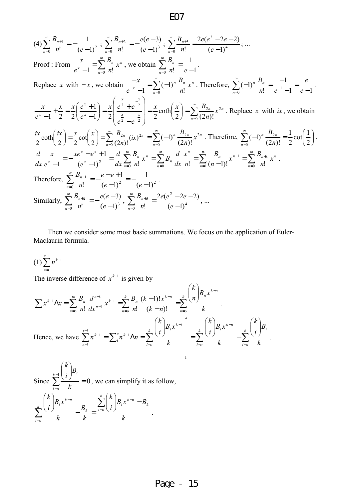$$
(4) \sum_{n=0}^{\infty} \frac{B_{n+1}}{n!} = -\frac{1}{(e-1)^2}; \sum_{n=0}^{\infty} \frac{B_{n+2}}{n!} = -\frac{e(e-3)}{(e-1)^3}; \sum_{n=0}^{\infty} \frac{B_{n+3}}{n!} = \frac{2e(e^2 - 2e - 2)}{(e-1)^4}; \dots
$$
  
\nProof: From  $\frac{x}{e^x - 1} = \sum_{n=0}^{\infty} \frac{B_n}{n!} x^n$ , we obtain  $\sum_{n=0}^{\infty} \frac{B_n}{n!} = \frac{1}{e-1}$ .  
\nReplace  $x$  with  $-x$ , we obtain  $\frac{-x}{e^{-x} - 1} = \sum_{n=0}^{\infty} (-1)^n \frac{B_n}{n!} x^n$ . Therefore,  $\sum_{n=0}^{\infty} (-1)^n \frac{B_n}{n!} = \frac{-1}{e^{-1} - 1} = \frac{e}{e-1}$ .  
\n
$$
\frac{x}{e^x - 1} + \frac{x}{2} = \frac{x}{2} \left( \frac{e^x + 1}{e^x - 1} \right) = \frac{x}{2} \left( \frac{e^{\frac{x}{2}} + e^{-\frac{x}{2}}}{e^{\frac{x}{2}} - e^{-\frac{x}{2}}} \right) = \frac{x}{2} \coth\left( \frac{x}{2} \right) = \sum_{n=0}^{\infty} \frac{B_{2n}}{(2n)!} x^{2n}
$$
. Replace  $x$  with  $ix$ , we obtain  $\frac{ix}{2} \coth\left( \frac{ix}{2} \right) = \frac{x}{2} \coth\left( \frac{x}{2} \right) = \sum_{n=0}^{\infty} \frac{B_{2n}}{(2n)!} x^{2n}$ . Therefore,  $\sum_{n=0}^{\infty} (-1)^n \frac{B_{2n}}{(2n)!} = \frac{1}{2} \cot\left( \frac{1}{2} \right)$ .  
\n
$$
\frac{d}{dx} \frac{x}{e^x - 1} = -\frac{xe^x - e^x + 1}{(e^x - 1)^2} = \frac{d}{dx} \sum_{n=0}^{\infty} \frac{B_n}{n!} x^n = \sum_{n=0}^{\infty} B_n
$$

 Then we consider some most basic summations. We focus on the application of Euler-Maclaurin formula.

$$
(1)\sum_{n=1}^{x-1} n^{k-1}
$$

The inverse difference of  $x^{k-1}$  is given by

$$
\sum x^{k-1} \Delta x = \sum_{n=0}^{\infty} \frac{B_n}{n!} \frac{d^{n-1}}{dx^{n-1}} x^{k-1} = \sum_{n=0}^{k} \frac{B_n}{n!} \frac{(k-1)! x^{k-n}}{(k-n)!} = \sum_{n=0}^{k} \frac{\binom{k}{n} B_n x^{k-n}}{k}.
$$
  
Hence, we have 
$$
\sum_{n=1}^{x-1} n^{k-1} = \sum_{n=1}^{x} n^{k-1} \Delta n = \sum_{i=0}^{k} \frac{\binom{k}{i} B_i x^{k-i}}{k} = \sum_{i=0}^{k} \frac{\binom{k}{i} B_i x^{k-n}}{k} - \sum_{i=0}^{k} \frac{\binom{k}{i} B_i}{k}.
$$

Since  $\sum_{n=1}^{\infty}$  = 0 1 =  $\overline{\phantom{a}}$ J  $\backslash$  $\overline{\phantom{a}}$  $\setminus$ ſ  $\sum^{k-1}$ = *k*  $i = o$ *i k B i k* , we can simplify it as follow, *k*  $B_{i}x^{k-n}-B$ *i k k B k*  $B_i x$ *i k k k oi nk i*  $\sum_{k}^{k}$  (*i*)<sup> $l$ </sup>  $B_{k}$ *oi*  $\sum_{i} x^{k-n}$   $\sum_{i} \left| \frac{\kappa}{i} \right| B_i x^{k-n}$ J  $\backslash$  $\overline{\phantom{a}}$ L ſ  $-\frac{B_k}{I}$  =  $\overline{\phantom{a}}$ J  $\backslash$  $\overline{\phantom{a}}$  $\setminus$  $\binom{k}{i}B_ix^{k-n}$   $\sum_{k=1}^{k}$  $\sum_{k=1}^{k} \frac{1}{i} \frac{1}{i} - \frac{B_k}{i} = \frac{E}{i}$ − = − .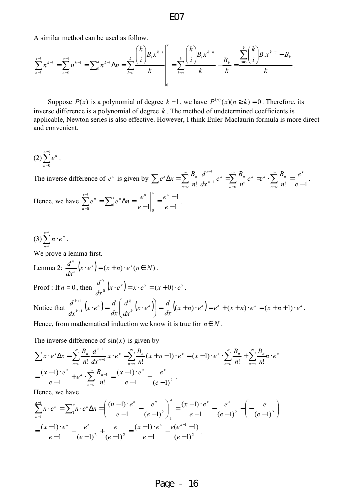A similar method can be used as follow.

$$
\sum_{n=1}^{x-1} n^{k-1} = \sum_{n=0}^{x-1} n^{k-1} = \sum_{n=0}^{x} n^{k-1} \Delta n = \sum_{i=0}^{k} \frac{{\binom{k}{i}} B_i x^{k-i}}{k} = \sum_{i=0}^{k} \frac{{\binom{k}{i}} B_i x^{k-n}}{k} - \frac{B_k}{k} = \frac{\sum_{i=0}^{k} {\binom{k}{i}} B_i x^{k-n} - B_k}{k}.
$$

Suppose  $P(x)$  is a polynomial of degree  $k-1$ , we have  $P^{(n)}(x)$ ( $n \ge k$ ) = 0. Therefore, its inverse difference is a polynomial of degree *k* . The method of undetermined coefficients is applicable, Newton series is also effective. However, I think Euler-Maclaurin formula is more direct and convenient.

$$
(2)\sum_{n=0}^{x-1}e^n.
$$

The inverse difference of  $e^x$  is given by !  $dx^{n-1}$   $\sum_{n=0}^{\infty} n!$   $\sum_{n=0}^{\infty} n!$   $e-1$ 1  $\sum e^{x} \Delta x = \sum_{n=0}^{\infty} \frac{B_n}{n!} \frac{d^{n-1}}{dx^{n-1}} e^{x} = \sum_{n=0}^{\infty} \frac{B_n}{n!} e^{x} = e^{x} \cdot \sum_{n=0}^{\infty} \frac{B_n}{n!} = \frac{e^{x}}{e-1}$ = ∞ = ∞  $\sum_{n=0}^{\infty} n! \, dx^{n-1}$ − *e e n*  $e^x = e^x \cdot \sum_{n=0}^{\infty} B$ *n*  $e^x = \sum_{n=1}^{\infty} \frac{B_n}{n}$ *dx d n*  $e^x \Delta x = \sum_{n=1}^{\infty} \frac{B_n}{\Delta x}$ *x n o x*  $\sum u_n$  $n = o$ *n x n o x n*  $\sum_{x}^{x} \Delta x = \sum_{n}^{\infty} \frac{B_n}{I_n} \frac{d^{n-1}}{I_n} e^{x} = \sum_{n}^{\infty} \frac{B_n}{I_n} e^{x} = e^{x} \cdot \sum_{n}^{\infty} \frac{B_n}{I_n} = \frac{e^{x}}{I_n}.$ Hence, we have 1 1  $e-1\vert_0$ 1  $e^{-1}\begin{bmatrix} 0 & 0 \\ 0 & 0 \end{bmatrix}$   $e^{-1}\begin{bmatrix} 0 & 0 \\ 0 & 0 \end{bmatrix}$  $=\frac{e^x-1}{e^x-1}$  $\sum_{n=0}^{x-1} e^n = \sum_{0}^{x} e^n \Delta n = \frac{e^n}{e-1}$  $e^{-1}\begin{vmatrix} e & 1 \end{vmatrix}$  e *e e*  $e^n = \sum_{n=0}^{x} e^n \Delta n = \frac{e}{\Delta n}$  $\sum_{n=0}^{x-1} a^n - \sum_{n=0}^{x} a^n \Delta n = e^{x} \Big|_{x=0}^{x} e^{x}$ *n*  $n = \sum_{n=0}^{\infty} e^n \Delta n = \frac{e}{\Delta n} = \frac{e}{\Delta n}$ .

$$
(3)\sum_{n=1}^{x-1} n\cdot e^n.
$$

We prove a lemma first.

Lemma 2: 
$$
\frac{d^n}{dx^n}(x \cdot e^x) = (x + n) \cdot e^x (n \in N)
$$
.  
\nProof: If  $n = 0$ , then  $\frac{d^0}{dx^0}(x \cdot e^x) = x \cdot e^x = (x + 0) \cdot e^x$ .  
\nNotice that  $\frac{d^{k+1}}{dx^{k+1}}(x \cdot e^x) = \frac{d}{dx} \left( \frac{d^k}{dx^k}(x \cdot e^x) \right) = \frac{d}{dx} ((x + n) \cdot e^x) = e^x + (x + n) \cdot e^x = (x + n + 1) \cdot e^x$ .

Hence, from mathematical induction we know it is true for  $n \in N$ .

The inverse difference of  $sin(x)$  is given by

$$
\sum x \cdot e^{x} \Delta x = \sum_{n=0}^{\infty} \frac{B_{n}}{n!} \frac{d^{n-1}}{dx^{n-1}} x \cdot e^{x} = \sum_{n=0}^{\infty} \frac{B_{n}}{n!} (x + n - 1) \cdot e^{x} = (x - 1) \cdot e^{x} \cdot \sum_{n=0}^{\infty} \frac{B_{n}}{n!} + \sum_{n=0}^{\infty} \frac{B_{n}}{n!} n \cdot e^{x}
$$

$$
= \frac{(x - 1) \cdot e^{x}}{e - 1} + e^{x} \cdot \sum_{n=0}^{\infty} \frac{B_{n+1}}{n!} = \frac{(x - 1) \cdot e^{x}}{e - 1} - \frac{e^{x}}{(e - 1)^{2}}.
$$

Hence, we have

$$
\sum_{n=1}^{x-1} n \cdot e^n = \sum_{1}^{x} n \cdot e^n \Delta n = \left( \frac{(n-1) \cdot e^n}{e-1} - \frac{e^n}{(e-1)^2} \right) \Big|_1^x = \frac{(x-1) \cdot e^x}{e-1} - \frac{e^x}{(e-1)^2} - \left( -\frac{e}{(e-1)^2} \right)
$$

$$
= \frac{(x-1) \cdot e^x}{e-1} - \frac{e^x}{(e-1)^2} + \frac{e}{(e-1)^2} = \frac{(x-1) \cdot e^x}{e-1} - \frac{e(e^{x-1}-1)}{(e-1)^2}.
$$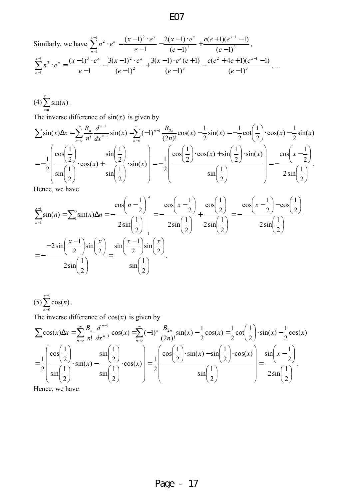Similarly, we have 
$$
\sum_{n=1}^{x-1} n^2 \cdot e^n = \frac{(x-1)^2 \cdot e^x}{e-1} - \frac{2(x-1) \cdot e^x}{(e-1)^2} + \frac{e(e+1)(e^{x-1}-1)}{(e-1)^3},
$$

$$
\sum_{n=1}^{x-1} n^3 \cdot e^n = \frac{(x-1)^3 \cdot e^x}{e-1} - \frac{3(x-1)^2 \cdot e^x}{(e-1)^2} + \frac{3(x-1) \cdot e^x (e+1)}{(e-1)^3} - \frac{e(e^2 + 4e + 1)(e^{x-1}-1)}{(e-1)^3}, \dots
$$

$$
(4)\sum_{n=1}^{x-1}\sin(n).
$$

The inverse difference of  $sin(x)$  is given by

$$
\sum \sin(x) \Delta x = \sum_{n=0}^{\infty} \frac{B_n}{n!} \frac{d^{n-1}}{dx^{n-1}} \sin(x) = \sum_{n=0}^{\infty} (-1)^{n-1} \frac{B_{2n}}{(2n)!} \cos(x) - \frac{1}{2} \sin(x) = -\frac{1}{2} \cot\left(\frac{1}{2}\right) \cdot \cos(x) - \frac{1}{2} \sin(x)
$$

$$
= -\frac{1}{2} \left( \frac{\cos\left(\frac{1}{2}\right)}{\sin\left(\frac{1}{2}\right)} \cdot \cos(x) + \frac{\sin\left(\frac{1}{2}\right)}{\sin\left(\frac{1}{2}\right)} \cdot \sin(x) \right) = -\frac{1}{2} \left( \frac{\cos\left(\frac{1}{2}\right) \cdot \cos(x) + \sin\left(\frac{1}{2}\right) \cdot \sin(x)}{\sin\left(\frac{1}{2}\right)} \right) = -\frac{\cos\left(x - \frac{1}{2}\right)}{2 \sin\left(\frac{1}{2}\right)}.
$$

Hence, we have

$$
\sum_{n=1}^{x-1} \sin(n) = \sum_{1}^{x} \sin(n) \Delta n = \frac{\cos\left(n - \frac{1}{2}\right)}{2\sin\left(\frac{1}{2}\right)} = \frac{\cos\left(x - \frac{1}{2}\right)}{2\sin\left(\frac{1}{2}\right)} + \frac{\cos\left(\frac{1}{2}\right)}{2\sin\left(\frac{1}{2}\right)} = \frac{\cos\left(x - \frac{1}{2}\right) - \cos\left(\frac{1}{2}\right)}{2\sin\left(\frac{1}{2}\right)}
$$
\n
$$
= -\frac{-2\sin\left(\frac{x-1}{2}\right)\sin\left(\frac{x}{2}\right)}{2\sin\left(\frac{1}{2}\right)} = \frac{\sin\left(\frac{x-1}{2}\right)\sin\left(\frac{x}{2}\right)}{\sin\left(\frac{1}{2}\right)}.
$$

$$
(5)\sum_{n=0}^{x-1}\cos(n).
$$

The inverse difference of  $cos(x)$  is given by

$$
\sum \cos(x) \Delta x = \sum_{n=0}^{\infty} \frac{B_n}{n!} \frac{d^{n-1}}{dx^{n-1}} \cos(x) = \sum_{n=0}^{\infty} (-1)^n \frac{B_{2n}}{(2n)!} \sin(x) - \frac{1}{2} \cos(x) = \frac{1}{2} \cot(\frac{1}{2}) \cdot \sin(x) - \frac{1}{2} \cos(x)
$$

$$
= \frac{1}{2} \left( \frac{\cos(\frac{1}{2})}{\sin(\frac{1}{2})} \cdot \sin(x) - \frac{\sin(\frac{1}{2})}{\sin(\frac{1}{2})} \cdot \cos(x) \right) = \frac{1}{2} \left( \frac{\cos(\frac{1}{2}) \cdot \sin(x) - \sin(\frac{1}{2}) \cdot \cos(x)}{\sin(\frac{1}{2})} \right) = \frac{\sin(x - \frac{1}{2})}{2 \sin(\frac{1}{2})}.
$$

Hence, we have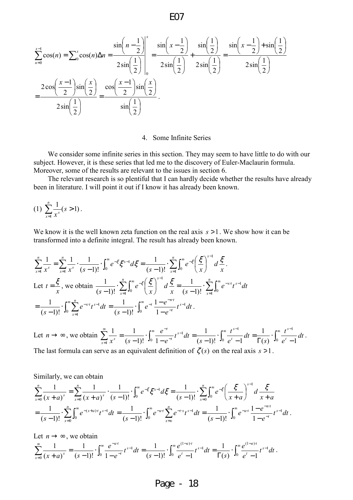$$
\sum_{n=0}^{x-1} \cos(n) = \sum_{0}^{x} \cos(n) \Delta n = \frac{\sin\left(n-\frac{1}{2}\right)}{2\sin\left(\frac{1}{2}\right)} = \frac{\sin\left(x-\frac{1}{2}\right)}{2\sin\left(\frac{1}{2}\right)} + \frac{\sin\left(\frac{1}{2}\right)}{2\sin\left(\frac{1}{2}\right)} = \frac{\sin\left(x-\frac{1}{2}\right) + \sin\left(\frac{1}{2}\right)}{2\sin\left(\frac{1}{2}\right)}
$$
\n
$$
= \frac{2\cos\left(\frac{x-1}{2}\right)\sin\left(\frac{x}{2}\right)}{2\sin\left(\frac{1}{2}\right)} = \frac{\cos\left(\frac{x-1}{2}\right)\sin\left(\frac{x}{2}\right)}{\sin\left(\frac{1}{2}\right)}.
$$

#### 4. Some Infinite Series

We consider some infinite series in this section. They may seem to have little to do with our subject. However, it is these series that led me to the discovery of Euler-Maclaurin formula. Moreover, some of the results are relevant to the issues in section 6.

The relevant research is so plentiful that I can hardly decide whether the results have already been in literature. I will point it out if I know it has already been known.

(1) 
$$
\sum_{x=1}^{n} \frac{1}{x^s} (s > 1).
$$

We know it is the well known zeta function on the real axis *s* >1. We show how it can be transformed into a definite integral. The result has already been known.

$$
\sum_{x=1}^{n} \frac{1}{x^{s}} = \sum_{x=1}^{n} \frac{1}{x^{s}} \cdot \frac{1}{(s-1)!} \cdot \int_{0}^{\infty} e^{-\xi} \xi^{s-1} d\xi = \frac{1}{(s-1)!} \cdot \sum_{x=1}^{n} \int_{0}^{\infty} e^{-\xi} \left(\frac{\xi}{x}\right)^{s-1} d\xi.
$$
  
Let  $t = \frac{\xi}{x}$ , we obtain  $\frac{1}{(s-1)!} \cdot \sum_{x=1}^{n} \int_{0}^{\infty} e^{-\xi} \left(\frac{\xi}{x}\right)^{s-1} d\xi = \frac{1}{(s-1)!} \cdot \sum_{x=1}^{n} \int_{0}^{\infty} e^{-xt} t^{s-1} dt$   
 $= \frac{1}{(s-1)!} \cdot \int_{0}^{\infty} \sum_{x=1}^{n} e^{-xt} t^{s-1} dt = \frac{1}{(s-1)!} \cdot \int_{0}^{\infty} e^{-t} \frac{1-e^{-nt}}{1-e^{-t}} t^{s-1} dt.$ 

Let  $n \to \infty$ , we obtain  $\sum_{r=0}^{\infty} \frac{1}{r^s} = \frac{1}{(s-1)!} \int_0^{\infty} \frac{e^{-t}}{1-e^{-t}} t^{s-1} dt = \frac{1}{(s-1)!} \int_0^{\infty} \frac{t^{s-1}}{e^t} dt = \frac{1}{\Gamma(s)} \int_0^{\infty} \frac{t^{s-1}}{e^t} dt$ − <sup>=</sup> − ⋅ Γ = − ⋅ − = − ⋅ −  $=\frac{1}{(s-1)!}\cdot\int_0^{\infty}\frac{e^{-t}}{1-e^{-t}}t^{s-1}dt=\frac{1}{(s-1)!}\cdot\int_0^{\infty}\frac{t}{e^{t}-1}dt=\frac{1}{\Gamma(s)}\cdot\int_0^{\infty}$ 0 0 1  $\frac{1}{4}x^s$   $(s-1)!$   $\frac{1}{20}x^t - e^{-t}$   $(s-1)!$   $\frac{1}{20}x^t - 1$   $\frac{1}{20}x^t - 1$   $\frac{1}{20}x^t - 1$ 1  $(s-1)!$   $\frac{J_0}{c} e^t - 1$ 1  $(s-1)!$  <sup>J<sub>0</sub></sup> 1  $\frac{1}{s} = \frac{1}{(s-1)!} \int_{0}^{\infty} \frac{e^{-t}}{t^{s-1}} dt = \frac{1}{(s-1)!} \int_{0}^{\infty} \frac{t^{s-1}}{t^{s-1}} dt = \frac{1}{\Gamma(s)} \int_{0}^{\infty} \frac{t^{s-1}}{t^{s-1}} dt$ *e t s dt e t s*  $t^{s-l}dt$ *e e*  $x^s$   $(s-1)!$   $y_0$   $1-e^{-t}$   $(x-1)!$   $y_0$   $e^t-1$   $(x-1)e^{t}$ *t*  $s-1$ <sub>dt</sub>  $1$   $\int_{0}^{\infty} t^{s}$ *t*  $\sum_{x=1}^{1} \frac{1}{x^s} = \frac{1}{(s-1)!} \cdot \int_0^1 \frac{e^{-t}}{1-e^{-t}} t^{s-1} dt = \frac{1}{(s-1)!} \cdot \int_0^1 \frac{t}{e^t-1} dt = \frac{1}{\Gamma(s)} \cdot \int_0^1 \frac{t}{e^t-1} dt$ . The last formula can serve as an equivalent definition of  $\zeta(s)$  on the real axis  $s > 1$ .

Similarly, we can obtain

$$
\sum_{x=0}^{n} \frac{1}{(x+a)^s} = \sum_{x=0}^{n} \frac{1}{(x+a)^s} \cdot \frac{1}{(s-1)!} \cdot \int_0^{\infty} e^{-\xi} \xi^{s-1} d\xi = \frac{1}{(s-1)!} \cdot \sum_{x=0}^{n} \int_0^{\infty} e^{-\xi} \left(\frac{\xi}{x+a}\right)^{s-1} d\frac{\xi}{x+a}
$$
  
= 
$$
\frac{1}{(s-1)!} \cdot \sum_{x=0}^{n} \int_0^{\infty} e^{-(x+a)t} t^{s-1} dt = \frac{1}{(s-1)!} \cdot \int_0^{\infty} e^{-at} \sum_{x=0}^{n} e^{-tx} t^{s-1} dt = \frac{1}{(s-1)!} \cdot \int_0^{\infty} e^{-at} \frac{1-e^{-nt}}{1-e^{-t}} t^{s-1} dt.
$$

Let  $n \to \infty$ , we obtain

$$
\sum_{x=0}^{\infty} \frac{1}{(x+a)^s} = \frac{1}{(s-1)!} \cdot \int_0^{\infty} \frac{e^{-at}}{1-e^{-t}} t^{s-1} dt = \frac{1}{(s-1)!} \cdot \int_0^{\infty} \frac{e^{(1-a)t}}{e^t - 1} t^{s-1} dt = \frac{1}{\Gamma(s)} \cdot \int_0^{\infty} \frac{e^{(1-a)t}}{e^t - 1} t^{s-1} dt.
$$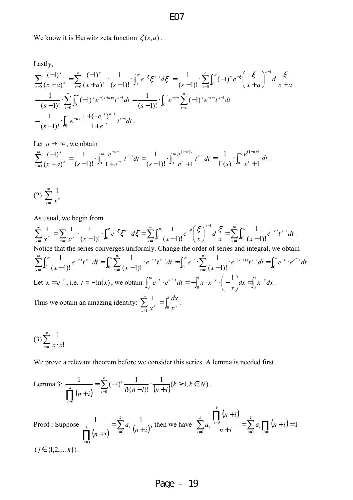We know it is Hurwitz zeta function  $\zeta(s, a)$ .

Lastly,

$$
\sum_{x=0}^{n} \frac{(-1)^x}{(x+a)^s} = \sum_{x=0}^{n} \frac{(-1)^x}{(x+a)^s} \cdot \frac{1}{(s-1)!} \cdot \int_0^\infty e^{-\xi} \xi^{s-1} d\xi = \frac{1}{(s-1)!} \cdot \sum_{x=0}^{n} \int_0^\infty (-1)^x e^{-\xi} \left(\frac{\xi}{x+a}\right)^{s-1} d\frac{\xi}{x+a}
$$
  
=  $\frac{1}{(s-1)!} \cdot \sum_{x=0}^{n} \int_0^\infty (-1)^x e^{-(x+a)t} t^{s-1} dt = \frac{1}{(s-1)!} \cdot \int_0^\infty e^{-at} \sum_{x=0}^{n} (-1)^x e^{-tx} t^{s-1} dt$   
=  $\frac{1}{(s-1)!} \cdot \int_0^\infty e^{-at} \frac{1+(-e^{-t})^{n+1}}{1+e^{-t}} t^{s-1} dt$ .

Let  $n \rightarrow \infty$ , we obtain

$$
\sum_{x=0}^{\infty} \frac{(-1)^x}{(x+a)^s} = \frac{1}{(s-1)!} \cdot \int_0^{\infty} \frac{e^{-at}}{1+e^{-t}} t^{s-1} dt = \frac{1}{(s-1)!} \cdot \int_0^{\infty} \frac{e^{(1-a)t}}{e^t + 1} t^{s-1} dt = \frac{1}{\Gamma(s)} \cdot \int_0^{\infty} \frac{e^{(1-a)t}}{e^t + 1} dt.
$$

$$
(2) \sum_{x=1}^{\infty} \frac{1}{x^x}
$$

As usual, we begin from

 $\sum_{r=0}^{\infty} \frac{1}{r^{r}} = \sum_{r=0}^{\infty} \frac{1}{r^{r}} \cdot \frac{1}{(r-1)!} \cdot \int_{0}^{\infty} e^{-\xi} \xi^{r-1} d\xi = \sum_{r=0}^{\infty} \int_{0}^{r}$ = ∞  $1 \t\t \epsilon(\xi)^{x-}$  $\sum_{r=1}^{\infty} \frac{1}{r} \int_{-\infty}^{\infty} e^{-\xi} z^{x-1} d\xi = \sum_{r=1}^{\infty} \int_{-\infty}^{\infty} \frac{1}{r^2} e^{-\frac{1}{r^2}}$ = ∞ =  $\overline{\phantom{a}}$ J  $(\tilde{\mathcal{E}})$ l ſ −  $\cdot \int_{0}^{1} e^{-\xi} \xi^{x-1} d\xi =$ −  $=\sum_{x} \frac{1}{x}$ .  $\frac{1}{1}$ <sup> $\frac{1}{0}$ </sup> 1 0 1  $\frac{1}{x} x^x$   $\frac{1}{x-1} x^x$   $(x-1)!$   $\frac{1}{x}$   $(x-1)!$ 1  $(x-1)!$  $1 \times 1 \times 1$ *x x x*  $\sum_{x=1}^{\infty} x^x$   $\sum_{x=1}^{\infty} x^x$   $(x-1)!$  **b**  $\sum_{x=1}^{\infty} x^x$   $\sum_{x=1}^{\infty} y^0 (x-1)!$   $\sum_{x=1}^{\infty} (x^x)$   $\sum_{x=1}^{\infty} x^x$ *d x e x*  $e^{-\xi} \xi^{x-1} d$  $x^x$   $\sum_{x=1}^x x^x$  (x  $\zeta^{\xi} \xi^{x-l} d\xi = \sum_{n=0}^{\infty} \int_{0}^{\infty} \frac{1}{(x-l)!} e^{-\zeta} \left( \frac{\xi}{x} \right)^{x-l} d\xi = \sum_{n=0}^{\infty} \int_{0}^{\infty} d\xi$ =  $\sim$   $\frac{1}{e^{-x}t}$ − =  $\frac{1}{1}$ J $_0$ 1  $(x-1)!$ 1 *x*  $e^{-x \cdot t} t^{x-1} dt$ *x* . Notice that the series converges uniformly. Change the order of series and integral, we obtain  $\sum_{n=0}^{\infty} \int_{0}^{\infty} \frac{1}{(x-1)!} e^{-x} t^{x-1} dt = \int_{0}^{\infty} \sum_{n=0}^{\infty}$ =  $\sum_{i=1}^{\infty} \int_{-\infty}^{\infty} 1$   $e^{-xt} \cdot x^{-1} dt = \int_{-\infty}^{\infty} \int_{-\infty}^{\infty} 1$   $e^{-xt} \cdot x^{-1}$ =  $\sum_{k=1}^{\infty} \frac{1}{e^{-xt}t^{x-1}} dt = \int_{0}^{\infty} \sum_{k=1}^{\infty} \frac{1}{(1-t^{x})^k}$ − =  $-1$ )!  $J_0 \sum_{x=1}$ 1  $\frac{1}{1}$ J $_0$ 1  $(x-1)!$ 1  $(x-1)!$  $\frac{1}{\sqrt{t}}e^{-xt}t^{x-1}dt = \int_{0}^{\infty}\sum_{n=0}^{\infty}\frac{1}{(x-1)^{n}}e^{-xt}t^{x-1}dt$ *x*  $e^{-x \cdot t} t^{x-1} dt$  $(x-1)!$   $\int_0^1 f(x) dx$  $x \cdot t$ <sub>4</sub>  $x$ *x*  $f^{x}t^{x-1}dt = \int_0^\infty \sum_{r=0}^\infty \frac{1}{(r-1)!} \cdot e^{-xt}t^{x-1}dt = \int_0^\infty e^{-t} \cdot \sum_{r=0}^\infty \frac{1}{(r-1)!} \cdot e^{-(x-1)t}t^{x-1}dt = \int_0^\infty e^{-t} \cdot e^{e^{-t}}dt$ =  $e^{-t} \cdot \sum_{n=0}^{\infty} \frac{1}{(x-1)^n} e^{-(x-1)t} t^{x-1} dt = \int_{0}^{\infty} e^{-t} \cdot e^{e^{-t}} dt$ −  $=\int_0^{\infty} e^{-t} \cdot \sum_{x=1}^{\infty} \frac{1}{(x-1)!} \cdot e^{-(x-1)t} t^{x-1} dt = \int_0^{\infty}$  $(x-1)$ <sup>t</sup><sub>t</sub> $x-1$  $(x-1)!$  $\frac{1}{dx} \cdot e^{-(x-1)t} t^{x-1} dt = \int_{0}^{\infty} e^{-t} \cdot e^{e^{-t} t} dt$ *x*  $e^{-t} \cdot \sum_{r} \frac{1}{(1-t)^{r}} \cdot e^{-(x-1)t} t^{x-1} dt = \int_{0}^{\infty} e^{-t} \cdot e^{e^{-t} t}$ *x*  $t \cdot \sum \frac{1}{(x-1)!} \cdot e^{-(x-1)t} t^{x-1} dt = \int_{0}^{\infty} e^{-t} \cdot e^{e^{-t} t} dt$ . Let  $x = e^{-t}$ , i.e.  $t = -\ln(x)$ , we obtain  $\int_0^{\infty} e^{-t} \cdot e^{-t-t} dt = -\int_0^1 x \cdot x^{-x} \cdot \left(-\frac{1}{x}\right) dx = \int_0^1 x^{-x} dx$ J  $\left(-\frac{1}{\cdot}\right)$ l ſ  $-e^{e^{-t}t}dt=-\int_{0}^{1}x\cdot x^{-x}\cdot\bigg(-\frac{1}{x}\bigg)dx=\int_{0}^{1}$ 0 1  $0 \qquad \qquad \mathbf{J}$  $\frac{1}{x} dx = \int_{0}^{1} x^{-x} dx$ *x*  $e^{-t} \cdot e^{e^{-t} \cdot t} dt = -\int_{0}^{1} x \cdot x^{-x} \cdot \Big(-\frac{1}{x}\Big) dx = \int_{0}^{1} x^{-x} dx$ . Thus we obtain an amazing identity:  $\sum_{n=1}^{\infty} \frac{1}{n^x} = \int_0^{\infty}$ ∞ = 1  $\int x^x$  J<sub>0</sub> 1  $\sum_{x=1}^{\infty} x^x$  **J**<sub>0</sub>  $x^x$ *dx x* .

$$
(3)\sum_{x=1}^{\infty}\frac{1}{x\cdot x!}
$$

We prove a relevant theorem before we consider this series. A lemma is needed first.

Lemma 3: 
$$
\frac{1}{\prod_{i=0}^{k} (n+i)} = \sum_{i=0}^{k} (-1)^{i} \frac{1}{i!(n-i)!} \cdot \frac{1}{(n+i)} (k \ge 1, k \in N).
$$
  
\nProof: Suppose  $\frac{1}{\prod_{i=0}^{k} (n+i)} = \sum_{i=0}^{k} a_{i} \frac{1}{(n+i)}$ , then we have  $\sum_{i=0}^{k} a_{i} \frac{\prod_{i=0}^{k} (n+i)}{n+i} = \sum_{i=0}^{k} a_{i} \prod_{j \ne i} (n+i) = 1$   
\n $(j \in \{1,2,...k\})$ .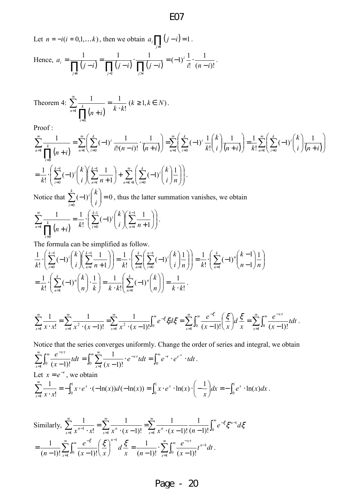Let  $n = -i(i = 0,1,...k)$ , then we obtain  $a_i \prod_{j \neq i} (j - i) = 1$  $a_i$   $\prod (j-i)=1$ . Hence,  $a_i = \frac{1}{\prod_{j \neq i} (j - i)} = \frac{1}{\prod_{j \leq i} (j - i)} \cdot \frac{1}{\prod_{j > i} (j - i)}$ − ⋅ − = − = *ij ij ij*  $\prod_{i}^{i}$   $\prod_{j}^{i}$  $\prod_{j}^{i}$  $\prod_{j}^{i}$  $\prod_{j}^{i}$  $\prod_{j}^{i}$  $\prod_{j}^{i}$  $a_i = \frac{1}{\sqrt{1 + (1 - \lambda)}} = \frac{1}{\sqrt{1 + (1 - \lambda)}} \cdot \frac{1}{\sqrt{1 + (1 - \lambda)}}$  $(n-i)!$ 1 !  $(-1)^i \frac{1}{n}$ *i*!  $(n-i)$ *i* −  $= (-1)^i - \frac{1}{2}$ .

Theorem 4: 
$$
\sum_{n=1}^{\infty} \frac{1}{\prod_{i=0}^{k} (n+i)} = \frac{1}{k \cdot k!} (k \ge 1, k \in N).
$$

Proof :

$$
\sum_{n=1}^{\infty} \frac{1}{\prod_{i=0}^{k} (n+i)} = \sum_{n=1}^{\infty} \left( \sum_{i=0}^{k} (-1)^{i} \frac{1}{i!(n-i)!} \cdot \frac{1}{(n+i)} \right) = \sum_{n=1}^{\infty} \left( \sum_{i=0}^{k} (-1)^{i} \frac{1}{k!} {k \choose i} \frac{1}{(n+i)} \right) = \frac{1}{k!} \sum_{n=1}^{\infty} \left( \sum_{i=0}^{k} (-1)^{i} {k \choose i} \frac{1}{(n+i)} \right)
$$

$$
= \frac{1}{k!} \cdot \left( \sum_{i=0}^{k-1} (-1)^{i} {k \choose i} \sum_{n=i}^{k-1} \frac{1}{n+1} \right) + \sum_{n=k+1}^{\infty} \left( \sum_{i=0}^{k} (-1)^{i} {k \choose i} \frac{1}{n} \right).
$$

Notice that  $\sum_{ }^{n}$  $\sum_{i=0}^{\infty}(-1)^i\binom{n}{i}$ J  $\backslash$  $\overline{\phantom{a}}$ J ſ − *i i i k* 0  $(-1)^{1}$   $= 0$ , thus the latter summation vanishes, we obtain  $(n + i)$  $\Bigg\}$ J  $\backslash$  $\overline{\phantom{a}}$  $\setminus$ ſ  $\overline{\phantom{a}}$ J  $\left(\sum_{k=1}^{k-1} 1\right)$ J ſ  $\sum_{n=i}^{\infty} \frac{1}{n+i}$ J  $\backslash$  $\overline{\phantom{a}}$  $\setminus$ ſ  $=\frac{1}{\cdot}$ .  $\sum$   $(-$ +  $\sum_{k} \frac{1}{\sqrt{k}} = \frac{1}{\omega} \cdot \left( \sum_{k} (-1)^{i} \left| \sum_{k} \right| \sum_{k} \right)$  $\prod (n+i)^{\kappa_1}$ − = ∞ = = 1- 0 1  $\frac{1}{1}$   $\prod_{n=1}^{k}$   $\binom{n}{n+1}$   $k!$   $\left(\frac{1}{i}\right)^{k}$   $\binom{n}{i}$   $\binom{n}{n-i}$   $n+1$ 0  $(-1)^{i}$  $\left(\begin{array}{c} k \\ k \end{array}\right)$  $\sum_{k=1}^{k-1}$ ! 1  $\left\lfloor \frac{k}{2} \right\rfloor$ *i k in i*  $\sum_{n=1}^k \frac{k}{\prod_{i=1}^k (n+i)}$   $k! \left( \sum_{i=0}^{k} \binom{n}{i} \right) \left( \sum_{n=i}^{k} n \right)$ *i k*  $(n+i)$ <sup>k</sup> .

The formula can be simplified as follow.

$$
\frac{1}{k!} \cdot \left( \sum_{i=0}^{k-1} (-1)^i \binom{k}{i} \left( \sum_{n=i}^{k-1} \frac{1}{n+1} \right) \right) = \frac{1}{k!} \cdot \left( \sum_{n=1}^{k} \binom{n-1}{i} (-1)^i \binom{k}{i} \frac{1}{n} \right) = \frac{1}{k!} \cdot \left( \sum_{n=1}^{k} (-1)^n \binom{k-1}{n-1} \frac{1}{n} \right)
$$
\n
$$
= \frac{1}{k!} \cdot \left( \sum_{n=1}^{k} (-1)^n \binom{k}{n} \cdot \frac{1}{k} \right) = \frac{1}{k \cdot k!} \left( \sum_{n=1}^{k} (-1)^n \binom{k}{n} \right) = \frac{1}{k \cdot k!}.
$$

$$
\sum_{x=1}^{\infty} \frac{1}{x \cdot x!} = \sum_{x=1}^{\infty} \frac{1}{x^2 \cdot (x-1)!} = \sum_{x=1}^{\infty} \frac{1}{x^2 \cdot (x-1)!} \int_0^{\infty} e^{-\xi} \xi d\xi = \sum_{x=1}^{\infty} \int_0^{\infty} \frac{e^{-\xi}}{(x-1)!} \left(\frac{\xi}{x}\right) d\frac{\xi}{x} = \sum_{x=1}^{\infty} \int_0^{\infty} \frac{e^{-xt}}{(x-1)!} t dt.
$$

Notice that the series converges uniformly. Change the order of series and integral, we obtain ∑∫ ∞ =  $\int e^{-x}$  $\sum_{x=1}^{1}$ **J**<sub>0</sub>  $(x-1)!$ *tx tdt x*  $\frac{e^{-xt}}{(x-1)!}t dt = \int_0^\infty \sum_{r=0}^\infty \frac{1}{(x-1)!} \cdot e^{-xt}t dt = \int_0^\infty e^{-rt}t dt$ =  $\cdot e^{-x \cdot t} t dt = \int_{0}^{\infty} e^{-t} \cdot e^{e^{-t}}$ . −  $=\int_{0}^{\infty}\sum \frac{1}{(1-x)^{1}}\cdot e^{-x}t dt = \int_{0}^{\infty}e^{-t}\cdot e^{-t}$  $0 \sum_{x=1}^{\infty} (x-1)!$   $J_0$  $\frac{1}{\sqrt{t}} \cdot e^{-x \cdot t} t dt = \int_{0}^{\infty} e^{-t} \cdot e^{e^{-t}} \cdot t dt$ *x*  $t \cdot e^{-t}$ *x*  $x^t t dt = \int_{0}^{\infty} e^{-t} \cdot e^{e^{-t}} \cdot t dt$ . Let  $x = e^{-t}$ , we obtain  $\sum_{x}^{n} \frac{1}{x-x^{n}} = -\int_{0}^{1} x \cdot e^{x} \cdot (-\ln(x)) d(-\ln(x))$ ⋅ ∞ = 1  $\frac{1}{1} x \cdot x!$   $\frac{1}{0}$  $(-\ln(x))d(-\ln(x))$ !  $\frac{1}{x} = -\int_0^1 x \cdot e^x \cdot (-\ln(x)) d(-\ln(x))$  $x \cdot x$ *x*  $\sum_{x=1}^{\infty} \frac{1}{x \cdot x!} = -\int_0^1 x \cdot e^x \cdot (-\ln(x)) d(-\ln(x)) = \int_0^1 x \cdot e^x \cdot \ln(x) \cdot \left(-\frac{1}{x}\right) dx = -\int_0^1 e^x \cdot$ J  $\left( -1\right)$ J ſ  $=\int_{0}^{1} x \cdot e^{x} \cdot \ln(x) \cdot \left(-\frac{1}{x}\right) dx = -\int_{0}^{1} dx$ 0 1  $\int_{0}^{1} x \cdot e^{x} \cdot \ln(x) \cdot \left( -\frac{1}{x} \right) dx = -\int_{0}^{1} e^{x} \cdot \ln(x) dx$ *x*  $x \cdot e^x \cdot \ln(x) \cdot \Big| - \frac{1}{x} \Big| dx = - \int_0^x e^x \cdot \ln(x) dx$ .

Similarly, 
$$
\sum_{x=1}^{\infty} \frac{1}{x^{n-1} \cdot x!} = \sum_{x=1}^{\infty} \frac{1}{x^n \cdot (x-1)!} = \sum_{x=1}^{\infty} \frac{1}{x^n \cdot (x-1)!} \frac{1}{(n-1)!} \int_0^{\infty} e^{-\xi} \xi^{n-1} d\xi
$$

$$
= \frac{1}{(n-1)!} \sum_{x=1}^{\infty} \int_0^{\infty} \frac{e^{-\xi}}{(x-1)!} \left(\frac{\xi}{x}\right)^{n-1} d\xi = \frac{1}{(n-1)!} \sum_{x=1}^{\infty} \int_0^{\infty} \frac{e^{-xt}}{(x-1)!} t^{n-1} dt.
$$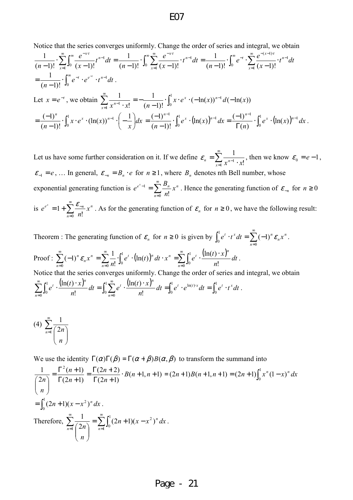Notice that the series converges uniformly. Change the order of series and integral, we obtain

$$
\frac{1}{(n-1)!} \cdot \sum_{x=1}^{\infty} \int_{0}^{\infty} \frac{e^{-xt}}{(x-1)!} t^{n-1} dt = \frac{1}{(n-1)!} \cdot \int_{0}^{\infty} \sum_{x=1}^{\infty} \frac{e^{-xt}}{(x-1)!} dt = \frac{1}{(n-1)!} \cdot \int_{0}^{\infty} e^{-t} \cdot \sum_{x=1}^{\infty} \frac{e^{-(x-1)t}}{(x-1)!} dt
$$
\n
$$
= \frac{1}{(n-1)!} \cdot \int_{0}^{\infty} e^{-t} \cdot e^{-t} \cdot t^{n-1} dt.
$$
\nLet  $x = e^{-t}$ , we obtain  $\sum_{x=1}^{\infty} \frac{1}{x^{n-1} \cdot x!} = -\frac{1}{(n-1)!} \cdot \int_{0}^{1} x \cdot e^{x} \cdot (-\ln(x))^{n-1} d(-\ln(x))$ \n
$$
= \frac{(-1)^{n}}{(n-1)!} \cdot \int_{0}^{1} x \cdot e^{x} \cdot (\ln(x))^{n-1} \cdot \left(-\frac{1}{x}\right) dx = \frac{(-1)^{n-1}}{(n-1)!} \cdot \int_{0}^{1} e^{x} \cdot (\ln(x))^{n-1} dx = \frac{(-1)^{n-1}}{\Gamma(n)} \cdot \int_{0}^{1} e^{x} \cdot (\ln(x))^{n-1} dx.
$$

Let us have some further consideration on it. If we define  $\varepsilon_n = \sum_{n=1}^{\infty}$  $\equiv$ <sub>1</sub>  $x^{n-1}$ . =  $\int_1^1 x^{n-1} \cdot x!$ 1  $\varepsilon_n = \sum_{x=1}^n \frac{1}{x^{n-1} \cdot x!}$ , then we know  $\varepsilon_0 = e-1$ ,  $\varepsilon_{-1} = e$ , ... In general,  $\varepsilon_{-n} = B_n \cdot e$  for  $n \ge 1$ , where  $B_n$  denotes nth Bell number, whose

exponential generating function is  $e^{e^{x}-1} = \sum_{n=1}^{\infty}$ =  $^{-1}$  =  $\boldsymbol{0}$ 1  $\sum_{n=0}$  n!  $e^{x}-1 = \sum_{n} \frac{D_n}{n} x^n$ *n B*  $e^{e^{x}-1} = \sum_{n=0}^{\infty} \frac{B_n}{n!} x^n$ . Hence the generating function of  $\varepsilon_{-n}$  for  $n \ge 0$ is  $e^{e^x} = 1 + \sum_{n=1}^{\infty}$ =  $=1+\sum_{i=1}^{6}$  $\frac{1}{0}$  n! 1 *n*  $e^{x} = 1 + \sum_{n=1}^{\infty} \frac{c_{-n}}{n} x^{n}$ *n*  $e^{e^x} = 1 + \sum_{n=1}^{\infty} \frac{\mathcal{E}_{-n}}{n!} x^n$ . As for the generating function of  $\mathcal{E}_n$  for  $n \ge 0$ , we have the following result:

Theorem : The generating function of  $\varepsilon_n$  for  $n \ge 0$  is given by  $\int_0^1 e^t \cdot t^x dt = \sum_{n=0}^\infty (-1)^n \varepsilon_n x^n$ *n n*  $\int_0^1 e^t \cdot t^x dt = \sum_{n=0}^\infty (-1)^n \varepsilon_n x$ =  $-t^x dt = \sum (-$ 0 1  $\int_0^1 e^t \cdot t^x dt = \sum_{n=0}^{\infty} (-1)^n \varepsilon_n x^n$ . Proof :  $\sum_{n=0}^{\infty} (-1)^n \varepsilon_n x^n = \sum_{n=0}^{\infty} \frac{1}{n!} \int_0^1 e^t \cdot (\ln(t))^n dt \cdot x^n = \sum_{n=0}^{\infty} \int_0^1 e^t \cdot \frac{(\ln(t) \cdot x)^n}{n!} dt$ = ∞ = ∞ =  $(-1)^n \varepsilon_n x^n = \sum_{n=0}^{\infty} \frac{1}{n!} \cdot \int_0^1 e^t \cdot (\ln(t))^n dt \cdot x^n = \sum_{n=0}^{\infty} \int_0^1 e^t \cdot \frac{(\ln(t))^n}{n!} dt$ 0 1 0 1  $\frac{1}{n-0}$   $\frac{n!}{n!}$   $\frac{1}{0}$   $\frac{1}{0}$   $\frac{1}{n}$   $\frac{1}{n}$   $\frac{1}{n}$   $\frac{1}{n}$  $\ln(t)$ <sup>n</sup> dt · x<sup>n</sup> =  $\sum_{n=1}^{\infty} \int_{0}^{1} e^{t} \cdot \frac{(\ln(t))}{\ln(t)}$ !  $(-1)^n \mathcal{E}_n x^n = \sum_{n=1}^{\infty} \frac{1}{n}$ *n*  $\int_0^t$   $(\ln(t))^n dt$   $\int_0^x e^{t^2} e^{t^2} dx$   $\int_0^1 e^{t^2} (ln(t) \cdot x)^n dx$  $n=0$  *n n n*  $\int_{a}^{b} \mathcal{E}_{n} x^{n} = \sum \frac{1}{a} \int_{c}^{b} e^{t} \cdot (\ln(t))^{n} dt \cdot x^{n} = \sum \int_{c}^{d} e^{t} \cdot \frac{(\ln(t) \cdot x)}{t} dt$ *n*  $e^t \cdot (\ln(t))^n dt \cdot x^n = \sum_{k=0}^{\infty} \int_0^1 e^t \cdot \frac{(\ln(t) \cdot x)}{t}$ *n*  $\varepsilon_n x^n = \sum -\left[ e^t \cdot (\ln(t))^n dt \cdot x^n = \sum_{k=0}^{\infty} e^t \cdot \frac{(\ln(t)^n x)}{n} dt \right].$ Notice that the series converges uniformly. Change the order of series and integral, we obtain  $\sum_{n=0}^{\infty} \int_0^1 e^t \cdot \frac{(\ln(t) \cdot x)^n}{n!} dt = \int_0^1 \sum_{n=0}^{\infty} e^t \cdot \frac{(\ln(t) \cdot x)^n}{n!} dt = \int_0^1 e^t \cdot e^{\ln(t) \cdot x} dt = \int_0^1 e^t$ = ∞ = 1 0 1 0  $\int_0^1 \sum_{i=1}^{\infty} t_i \left( \ln(t) \cdot x \right)^n dt = \int_0^1 dt \quad \text{and}$  $\frac{1}{0}$   $\frac{1}{0}$   $\frac{n!}{0}$   $\frac{1}{n=0}$ 1 0  $n!$   $\frac{J_0}{n=0}$   $n!$  $ln(t)$ !  $\frac{\ln(t) \cdot x)^n}{t} dt = \int_0^1 \sum_{i=1}^{\infty} e^t \cdot \frac{(\ln(t) \cdot x)^n}{t} dt = \int_0^1 e^t \cdot e^{\ln(t) \cdot x} dt = \int_0^1 e^t \cdot t^x dt$ *n*  $dt = \int_{0}^{1} \sum_{i=1}^{\infty} e^{t} \cdot \frac{(\ln(t) \cdot x)}{t}$ *n*  $e^t \cdot \frac{(\ln(t) \cdot x)^n}{t} dt = \int_0^1 \sum_{r=0}^\infty e^t \cdot \frac{(\ln(t) \cdot x)^n}{t} dt = \int_0^1 e^t \cdot e^{\ln(t) \cdot x} dt = \int_0^1 e^t \cdot t^x$ *n n t n n*  $t \cdot \frac{\ln(t) \cdot x}{t} dt = \int_{0}^{t} \sum e^{t} \cdot \frac{\ln(t) \cdot x}{t} dt = \int_{0}^{t} e^{t} \cdot e^{\ln(t) x} dt = \int_{0}^{t} e^{t} \cdot t^{x} dt$ .

$$
(4) \sum_{n=1}^{\infty} \frac{1}{\binom{2n}{n}}
$$

We use the identity  $\Gamma(\alpha)\Gamma(\beta) = \Gamma(\alpha + \beta)B(\alpha, \beta)$  to transform the summand into

$$
\frac{1}{\binom{2n}{n}} = \frac{\Gamma^2(n+1)}{\Gamma(2n+1)} = \frac{\Gamma(2n+2)}{\Gamma(2n+1)} \cdot B(n+1, n+1) = (2n+1)B(n+1, n+1) = (2n+1)\int_0^1 x^n (1-x)^n dx
$$
  
= 
$$
\int_0^1 (2n+1)(x-x^2)^n dx
$$
.  
Therefore, 
$$
\sum_{n=1}^\infty \frac{1}{\binom{2n}{n}} = \sum_{n=1}^\infty \int_0^1 (2n+1)(x-x^2)^n dx
$$
.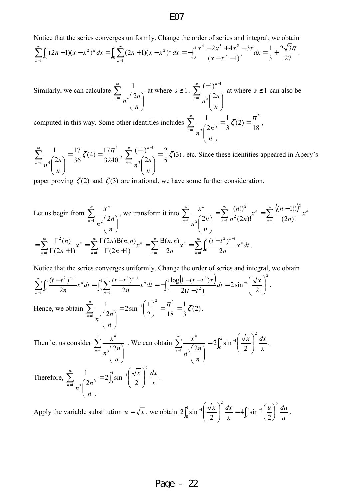Notice that the series converges uniformly. Change the order of series and integral, we obtain

$$
\sum_{n=1}^{\infty} \int_0^1 (2n+1)(x-x^2)^n dx = \int_0^1 \sum_{n=1}^{\infty} (2n+1)(x-x^2)^n dx = -\int_0^1 \frac{x^4-2x^3+4x^2-3x}{(x-x^2-1)^2} dx = \frac{1}{3} + \frac{2\sqrt{3}\pi}{27}.
$$

Similarly, we can calculate  $\sum_{n=1}^{\infty}$  $\begin{bmatrix} -1 & n \end{bmatrix}$ J  $\backslash$  $\overline{\phantom{a}}$ l  $\frac{1}{1}$ <sub>2</sub>  $\left(2\right)$ 1  $n=1$   $\alpha$  *s n n n* at where  $s \leq 1$ .  $\sum_{n=1}^{\infty}$ = −  $\overline{\phantom{a}}$ J  $\backslash$  $\overline{\phantom{a}}$  $\setminus$ ſ − 1 1 2  $(-1)$  $n=1$   $\alpha$  *s n n n n* at where  $s \leq 1$  can also be

computed in this way. Some other identities includes 18  $(2)$ 3 1 2 1 1  $\epsilon$   $\pi^2$  $\frac{1}{2}$   $\frac{2}{2}$  $=\frac{1}{2}\zeta(2)=\frac{\pi}{4}$  $\overline{\phantom{a}}$ J  $\backslash$  $\overline{\phantom{a}}$ l  $\sum_{n=1}^{\infty} \frac{1}{\sqrt{n}}$ *n*= *n n n* ,

3240  $(4) = \frac{17}{32}$ 36 17 2 1 17  $\epsilon$  17 $\pi^4$  $1 \frac{1}{11}$  $=\frac{1}{26}\zeta(4)=\frac{1}{224}$  $\overline{\phantom{a}}$ J  $\backslash$  $\overline{\phantom{a}}$ l  $\sum_{n=1}^{\infty} \frac{1}{4}$ *n*= *n n n*  $\sum_{1}^{1} \frac{1}{(2)}$  =  $\frac{2}{5}\zeta(3)$ 5 2 2  $(-1)$ <sup>1</sup>  $\frac{3}{2}$ 1  $=\frac{2}{5}\zeta$  $\overline{\phantom{a}}$ J  $\backslash$  $\overline{\phantom{a}}$ l ſ  $\sum^{\infty}$   $\frac{(-1)^{n-1}}{2}$ = − *n n n n n* . etc. Since these identities appeared in Apery's

paper proving  $\zeta(2)$  and  $\zeta(3)$  are irrational, we have some further consideration.

Let us begin from 
$$
\sum_{n=1}^{\infty} \frac{x^n}{n^2 \binom{2n}{n}},
$$
 we transform it into 
$$
\sum_{n=1}^{\infty} \frac{x^n}{n^2 \binom{2n}{n}} = \sum_{n=1}^{\infty} \frac{(n!)^2}{n^2 (2n)!} x^n = \sum_{n=1}^{\infty} \frac{((n-1)!)^2}{(2n)!} x^n
$$

$$
= \sum_{n=1}^{\infty} \frac{\Gamma^2(n)}{\Gamma(2n+1)} x^n = \sum_{n=1}^{\infty} \frac{\Gamma(2n)B(n,n)}{\Gamma(2n+1)} x^n = \sum_{n=1}^{\infty} \frac{B(n,n)}{2n} x^n = \sum_{n=1}^{\infty} \int_0^1 \frac{(t-t^2)^{n-1}}{2n} x^n dt.
$$

Notice that the series converges uniformly. Change the order of series and integral, we obtain

$$
\sum_{n=1}^{\infty} \int_0^1 \frac{(t-t^2)^{n-1}}{2n} x^n dt = \int_0^1 \sum_{n=1}^{\infty} \frac{(t-t^2)^{n-1}}{2n} x^n dt = -\int_0^1 \frac{\log(1-(t-t^2)x)}{2(t-t^2)} dt = 2\sin^{-1}\left(\frac{\sqrt{x}}{2}\right)^2.
$$
  
Hence, we obtain 
$$
\sum_{n=1}^{\infty} \frac{1}{n^2 \binom{2n}{n}} = 2\sin^{-1}\left(\frac{1}{2}\right)^2 = \frac{\pi^2}{18} = \frac{1}{3} \zeta(2).
$$

Then let us consider  $\sum_{n=1}^{\infty}$  $\begin{vmatrix} -1 & n^3 \\ n & n \end{vmatrix}$ J  $\backslash$  $\overline{\phantom{a}}$ l  $\sum_{n=1}$   $\binom{3}{2}$ *n n n n*  $\frac{x^n}{(2)}$ . We can obtain  $\sum_{n=1}^{\infty} \frac{x^n}{(2^n)}$  =  $\overline{\phantom{a}}$ J  $\backslash$  $\overline{\phantom{a}}$  $\setminus$  $\sum_{n=1}^{\infty} \frac{x}{\sqrt{n}}$  $\sum_{n=1}$   $\frac{3}{2}$  2 *n n n n*  $\frac{x^n}{(2n)} = 2 \int_0^x \sin^{-1} \left( \frac{\sqrt{x}}{2} \right)$ J  $\backslash$  $\overline{\phantom{a}}$  $\setminus$  $\frac{x}{\sin^{-1}}$ *x dxx* 0 1 2  $2\left[\sin^{-1}\left(\frac{\sqrt{x}}{2}\right)\right]$   $\frac{ax}{2}$ . 1  $\backslash$  $\frac{1}{\sin^{-1}}$ 2

Therefore,  $\sum \frac{1}{2}$  =  $\overline{\phantom{a}}$ J  $\backslash$  $\overline{\phantom{a}}$  $\setminus$  $\sum_{n=1}^{\infty} \frac{1}{\sqrt{n}}$  $\frac{1}{2}$   $\frac{3}{2}$ *n n n n*  $\int_0^1 \sin^{-1} \left| \frac{\sqrt{x}}{2} \right|$ J  $\overline{\phantom{a}}$  $\setminus$ 0 1 2  $2\sin$ *x*  $\left(\frac{x}{x}\right) \frac{dx}{x}$ .

Apply the variable substitution  $u = \sqrt{x}$ , we obtain  $2 \int_0^1 \sin^{-1} \left| \frac{\sqrt{x}}{2} \right| dx = 4 \int_0^1 \sin^{-1} \left| \frac{u}{2} \right| dx$ J  $\left(\frac{u}{2}\right)$  $\setminus$ ſ  $\frac{dx}{r}$  = J  $\backslash$  $\overline{\phantom{a}}$  $\setminus$  $_{-1}(\sqrt{x})^2 dx = 4 \int_{0}^{1} \sin^{-1} x dx$ 0 2  $\int_{0}^{1} \sin^{-1} \left( \sqrt{x} \right) dx = 4 \int_{0}^{1} \sin^{-1} x dx$ 0 2 1 2  $4 \sin$ 2  $2\sin$ *u*  $u \rangle^2$  *du x*  $\left(\frac{x}{2}\right)^2 \frac{dx}{2} = 4\left[\sin^{-1}\left(\frac{u}{2}\right)^2 \frac{du}{2}\right].$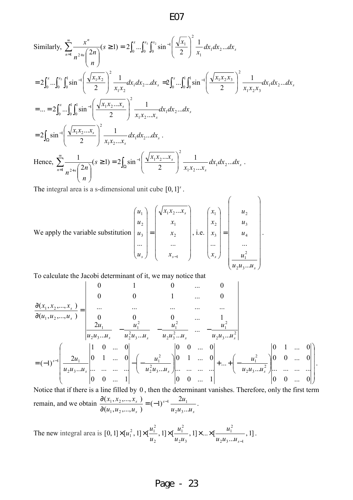Similarly, 
$$
\sum_{n=1}^{\infty} \frac{x^n}{n^{2+s} \binom{2n}{n}} (s \ge 1) = 2 \int_0^x ... \int_0^{x_3} \int_0^{x_2} \sin^{-1} \left( \frac{\sqrt{x_1}}{2} \right)^2 \frac{1}{x_1} dx_1 dx_2...dx_s
$$
  
\n
$$
= 2 \int_0^x ... \int_0^{x_3} \int_0^1 \sin^{-1} \left( \frac{\sqrt{x_1 x_2}}{2} \right)^2 \frac{1}{x_1 x_2} dx_1 dx_2...dx_s = 2 \int_0^x ... \int_0^1 \int_0^1 \sin^{-1} \left( \frac{\sqrt{x_1 x_2 x_3}}{2} \right)^2 \frac{1}{x_1 x_2 x_3} dx_1 dx_2...dx_s
$$
  
\n
$$
= ... = 2 \int_0^x ... \int_0^1 \int_0^1 \sin^{-1} \left( \frac{\sqrt{x_1 x_2 ... x_s}}{2} \right)^2 \frac{1}{x_1 x_2 ... x_s} dx_1 dx_2...dx_s
$$
  
\n
$$
= 2 \int_{\Omega} \sin^{-1} \left( \frac{\sqrt{x_1 x_2 ... x_s}}{2} \right)^2 \frac{1}{x_1 x_2 ... x_s} dx_1 dx_2...dx_s.
$$
  
\nHence, 
$$
\sum_{n=1}^{\infty} \frac{1}{n^{2+s} \binom{2n}{n}} (s \ge 1) = 2 \int_{\Omega} \sin^{-1} \left( \frac{\sqrt{x_1 x_2 ... x_s}}{2} \right)^2 \frac{1}{x_1 x_2 ... x_s} dx_1 dx_2...dx_s.
$$

The integral area is a s-dimensional unit cube  $[0,1]$ <sup>s</sup>.

We apply the variable substitution 
$$
\begin{pmatrix} u_1 \\ u_2 \\ u_3 \\ \dots \\ u_s \end{pmatrix} = \begin{pmatrix} \sqrt{x_1 x_2 ... x_s} \\ x_1 \\ x_2 \\ \dots \\ x_{s-1} \end{pmatrix}
$$
, i.e.  $\begin{pmatrix} x_1 \\ x_2 \\ x_3 \\ \dots \\ x_s \end{pmatrix} = \begin{pmatrix} u_2 \\ u_3 \\ u_4 \\ \dots \\ u_1^2 \\ \frac{u_1^2}{u_2 u_3 ... u_s} \end{pmatrix}$ .

To calculate the Jacobi determinant of it, we may notice that

$$
\frac{\partial(x_1, x_2, ..., x_s)}{\partial(u_1, u_2, ..., u_s)} = \begin{vmatrix}\n0 & 1 & 0 & ... & 0 \\
0 & 0 & 1 & ... & 0 \\
... & ... & ... & ... & ... \\
0 & 0 & 0 & 1 & ... & 0 \\
2u_1 & -u_1^2 & -u_1^2 & ... & -u_1^2 \\
u_2u_3...u_s & -u_2u_3...u_s & -u_2u_3...u_s & ... & -u_2u_3...u_s^2\n\end{vmatrix}
$$
\n
$$
= (-1)^{s-1} \begin{pmatrix}\n2u_1 & 0 & ... & 0 \\
2u_1 & 0 & 1 & ... & 0 \\
u_2u_3...u_s & ... & ... & ... \\
u_2u_3...u_s & ... & ... & -u_s\n\end{pmatrix} - \begin{pmatrix}\nu_1^2 & 0 & 0 & ... & 0 \\
0 & 1 & ... & 0 & 0 \\
u_2^2u_3...u_s & ... & ... & ... \\
0 & 0 & ... & 1\n\end{pmatrix} + ... + \begin{pmatrix}\nu_1^2 & 0 & 1 & ... & 0 \\
-u_1^2 & 0 & 0 & ... & 0 \\
-u_2u_3...u_s^2 & ... & ... & ... \\
0 & 0 & ... & 0\n\end{pmatrix}.
$$

Notice that if there is a line filled by 0 , then the determinant vanishes. Therefore, only the first term remain, and we obtain *s s s s*  $u_2u_3...u$ *u*  $u_1, u_2, ..., u$  $x_1, x_2, ..., x_k$ ...  $(-1)^{s-1}$   $\frac{2}{s-1}$  $(u_1, u_2,...,u_s)$  $(x_1, x_2,...,x_s)$  $2^{\mu_3}$  $1 \quad 2u_1$  $1, u_2$  $\frac{1, \lambda_2, ..., \lambda_s}{1} = (-1)^{s-1}$ ∂ ∂ .

The new integral area is  $[0,1] \times [u_1^2,1] \times [\frac{u_1}{\cdots},1] \times [\frac{u_1}{\cdots},1] \times ... \times [\frac{u_n}{\cdots},1]$ ...  $[0,1]\times[u_1^2,1]\times[\frac{u_1}{\cdots},1]\times[\frac{u_1}{\cdots},1]\times...\times[$  $2^{u_3...u_{s-1}}$ 2 1  $2^{\boldsymbol{\mu}}$ 3 2 1 2  $\binom{2}{1}, 1] \times \left[\frac{u_1^2}{\cdots}\right]$ −  $\times [u_1^2,1] \times [\frac{u_1}{\cdots},1] \times [\frac{u_1}{\cdots},1] \times ... \times$  $u_2u_3...u_s$ *u*  $u_2u$ *u u*  $u_1^2$ , 1] $\times$ [ $\frac{u_1^2}{u_1^2}$ , 1] $\times$ [ $\frac{u_1^2}{u_1^2}$ , 1] $\times$  [ $\times$ [ $\frac{u_1^2}{u_1^2}$ , 1].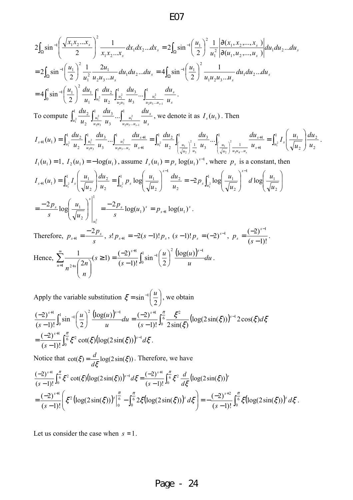$$
2\int_{\Omega} \sin^{-1}\left(\frac{\sqrt{x_1 x_2 ... x_s}}{2}\right)^2 \frac{1}{x_1 x_2 ... x_s} dx_1 dx_2 ... dx_s = 2\int_{\Omega} \sin^{-1}\left(\frac{u_1}{2}\right)^2 \frac{1}{u_1^2} \frac{\partial(x_1, x_2, ..., x_s)}{\partial(u_1, u_2, ..., u_s)} du_1 du_2 ... du_s
$$
  
\n
$$
= 2\int_{\Omega} \sin^{-1}\left(\frac{u_1}{2}\right)^2 \frac{1}{u_1^2} \frac{2u_1}{u_2 u_3 ... u_s} du_1 du_2 ... du_s = 4\int_{\Omega} \sin^{-1}\left(\frac{u_1}{2}\right)^2 \frac{1}{u_1 u_2 u_3 ... u_s} du_1 du_2 ... du_s
$$
  
\n
$$
= 4\int_0^1 \sin^{-1}\left(\frac{u_1}{2}\right)^2 \frac{du_1}{u_1} \int_{u_1^2}^1 \frac{du_2}{u_2} \int_{\frac{u_1^2}{u_2 u_3}}^1 \frac{du_3}{u_3} ... \int_{\frac{u_1^2}{u_2 u_3 ... u_s}}^1 \frac{du_s}{u_3} ...
$$
  
\nTo compute 
$$
\int_{u_1^2}^1 \frac{du_2}{u_2} \int_{\frac{u_1^2}{u_2 u_3}}^1 \frac{du_3}{u_3} ... \int_{\frac{u_1^2}{u_2 u_3 ... u_s}}^1 \frac{du_s}{u_s} ... \int_{\frac{u_1^2}{u_2 u_3 ... u_s}}^1 \frac{du_s}{u_s} ...
$$
  
\n
$$
I_{s+1}(u_1) = \int_{u_1^2}^1 \frac{du_2}{u_2} \int_{\frac{u_1^2}{u_2 u_3}}^1 \frac{du_3}{u_3} ... \int_{\frac{u_1^2}{u_2 u_3 ... u_s}}^1 \frac{du_3}{u_{s+1}} = \int_{u_1^2}^1 \frac{du_2}{u_2} \int_{\frac{u_1}{u_3 u_3}}^1 \frac{du_3}{u_3} ... \int_{\frac{u_1^2}{u_3 u_3 ... u_s}}^1 \frac{du_3}{u_3 ... u_s} ...
$$
  
\n<math display="</math>

Apply the variable substitution  $\xi = \sin^{-1} \left| \frac{a}{2} \right|$ J  $\left(\frac{u}{2}\right)$ J ſ  $=$  sin<sup>-</sup> 2  $\xi = \sin^{-1} \left( \frac{u}{2} \right)$ , we obtain  $\frac{(\log(u))^{s-1}}{du} = \frac{(-2)^{s+1}}{(s-1)(s-1)} \left( \frac{\xi^2}{s-1} \left( \log(2\sin(\xi)) \right)^{s-1} 2\cos(\xi) d\xi \right)$ ξ  $\frac{\pi}{6}$   $\xi^2$  (log(2sin( $\xi$ ))<sup>s-1</sup> 2cos( $\xi$ )d *s du u*  $u \nightharpoonup^2 (\log(u$ *s*  $\int_{0}^{s+1} \int_{0}^{1} \sin^{-1} (u)^2 (log(u))^{s-1} du$   $(-2)^{s+1} \int_{0}^{\pi} \xi^2 (log(2 \sin(\xi)))^{s-1} du$  $\log(2\sin(\xi)))^{s-1}2\cos(\xi)$  $(s-1)!$ <sup>J</sup><sup>0</sup>  $2\sin(\xi)$  $\log(u)$ <sup>s-1</sup><sub>d</sub> (-2) 2 sin  $(s-1)!$  $\left(-2\right)^{s+1}$   $\int_{0}^{1} \sin^{-1}\left(\frac{u}{u}\right)^{2} \frac{(\log(u))^{s-1}}{\log(u)} du = \left(-2\right)^{s+1} \int_{0}^{\frac{\pi}{6}}$  $\boldsymbol{0}$  $\int_{1}^{1}$   $\int_{1}^{1}$   $(u)^{2}$   $(\log(u))^{s-1}$   $\int_{1}^{1}$   $(-2)^{s+1}$   $\int_{1}^{\pi}$   $\xi^{2}$   $(\log(2\sin(\xi)))^{s-1}$ 0  $^{2}$  (1  $\geq$  (...) )<sup>s-1</sup>  $\int_0^1 \sin^{-1}\left(\frac{u}{2}\right)^2 \frac{(\log(u))^{s-1}}{u} du = \frac{(-2)^{s+1}}{(s-1)!} \int_0^{\frac{\pi}{6}} \frac{\xi^2}{2 \sin(\xi)} (\log(2\sin(\xi)))^{s-1} du$ −  $\int^2 \frac{(\log(u))^{s-1}}{du} du = \frac{(-1)^s}{(s-1)^s}$ J  $\left(\frac{u}{u}\right)$  $\setminus$ ſ − −  $\frac{\pi}{6} \xi^2 \cot(\xi) (\log(2\sin(\xi)))^{s-1} d\xi$ *s*  $\int_0^{s+1} \int_0^{\frac{\pi}{6}} \xi^2 \cot(\xi) (\log(2\sin(\xi)))^{s-1}$ −  $=\frac{(-2)^{s+1}}{s+1}$ 0  $\int_{0}^{1} \frac{\pi}{6} \xi^{2} \cot(\xi) (\log(2 \sin(\xi)))^{s-1}$  $\cot(\xi)(\log(2\sin(\xi)))$  $(s-1)!$  $\frac{(-2)^{s+1}}{s} \int_{0}^{\frac{\pi}{s}} \xi^2 \cot(\xi) (\log(2\sin(\xi)))^{s-1} d\xi$ . Notice that  $\cot(\xi) = \frac{u}{\xi} \log(2\sin(\xi))$ ξ  $=\frac{d}{dt} \log(2\sin(\xi))$ . Therefore, we have

$$
\frac{(-2)^{s+1}}{(s-1)!} \int_0^{\frac{\pi}{6}} \xi^2 \cot(\xi) (\log(2\sin(\xi)))^{s-1} d\xi = \frac{(-2)^{s+1}}{(s-1)!} \int_0^{\frac{\pi}{6}} \xi^2 \frac{d}{d\xi} (\log(2\sin(\xi)))^s
$$
  
= 
$$
\frac{(-2)^{s+1}}{(s-1)!} \left( \xi^2 (\log(2\sin(\xi)))^s \Big|_0^{\frac{\pi}{6}} - \int_0^{\frac{\pi}{6}} 2\xi (\log(2\sin(\xi)))^s d\xi \right) = -\frac{(-2)^{s+2}}{(s-1)!} \int_0^{\frac{\pi}{6}} \xi (\log(2\sin(\xi)))^s d\xi.
$$

Let us consider the case when  $s = 1$ .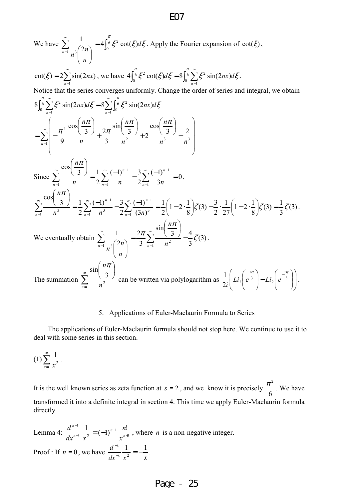We have  $\sum_{n=1}^{\infty}$  $\begin{bmatrix} -1 & n^3 & n \end{bmatrix}$ J  $\backslash$  $\overline{\phantom{a}}$  $\setminus$  $\frac{1}{1}$   $\frac{3}{2}$ 1 *n n n n*  $=4\int_0^{\frac{\pi}{6}} \xi^2 \cot(\xi) d\xi$ 0  $4\left[\frac{6}{5}\xi^2\cot(\xi)d\xi\right]$ . Apply the Fourier expansion of  $\cot(\xi)$ ,  $\sum^{\infty}$ = = 1  $\cot(\xi) = 2\sum \sin(2nx)$ *n*  $\zeta(\xi) = 2\sum_{n=1}^{\infty} \sin(2nx)$ , we have  $4\int_{0}^{\frac{\pi}{6}} \xi^{2} \cot(\xi) d\xi = 8\int_{0}^{\frac{\pi}{6}} \sum_{n=1}^{\infty} \xi^{2} \sin(2nx) d\xi$  $\int_0^{\frac{\pi}{6}} \xi^2 \cot(\xi) d\xi = 8 \int_0^{\frac{\pi}{6}} \sum_{n=1}^{\infty}$ =  $= 8^{6}$  $\begin{array}{c} \n0 \n\end{array}$   $\overline{n=1}$  $\sqrt{6}$   $\xi^2$  cot( $\zeta d\xi = 8\sqrt{6} \sum \xi^2$ 0  $4\left[\frac{6}{5}\xi^2\cot(\xi)d\xi = 8\left[\frac{6}{5}\sum \xi^2\sin(2nx)d\xi\right]$ . Notice that the series converges uniformly. Change the order of series and integral, we obtain  $\int_0^{\frac{\pi}{6}} \sum_{i=1}^{\infty} \xi^2 \sin(2nx) d\xi = 8 \sum_{i=1}^{\infty} \int_0^{\frac{\pi}{6}} f(x) \, dx$ = ∞ = = 1 6 0  $\sqrt{6} \sum \zeta^2 \sin(2\pi x) d\zeta = 8 \sum \sqrt{6} \zeta^2$  $\begin{array}{c} \n0 \n\end{array}$   $\overline{n=1}$  $8\left[\frac{6}{5}\sum \xi^2 \sin(2nx) d\xi = 8\sum \left[\frac{6}{5}\xi^2 \sin(2nx)\right]$  $n=1$  *n*  $\frac{\pi}{6} \sum_{n=1}^{\infty} \xi^2 \sin(2nx) d\xi = 8 \sum_{n=1}^{\infty} \int_{0}^{\frac{\pi}{6}} \xi^2 \sin(2nx) d\xi$  $\sum^{\infty}$  $\begin{bmatrix} -1 \\ 1 \end{bmatrix}$   $\begin{bmatrix} 1 \\ 2 \end{bmatrix}$   $\begin{bmatrix} n \\ n \end{bmatrix}$  $\overline{\phantom{a}}$  $\overline{\phantom{a}}$  $\bigg)$ J  $\mathbf{r}$  $\mathbf{r}$  $\mathbf{r}$  $\int$ L −  $\overline{\phantom{a}}$ J  $\left(\frac{n\pi}{\pi}\right)$ l ſ +  $\overline{\phantom{a}}$ J  $\left(\frac{n\pi}{\pi}\right)$ l ſ +  $\overline{\phantom{a}}$ J  $\left(\frac{n\pi}{\pi}\right)$ l ſ − ∑|  $\begin{array}{ccccc} 1 & 9 & n & 3 & n^2 & n^3 & n^3 \end{array}$  $2^{\circ}$   $\frac{3}{2}\pi$   $2\pi$   $\frac{3}{2}\pi$   $3\pi$   $3\pi$ cos  $\frac{3}{2}$ +2 sin 3 3 ) 2 cos  $\sum_{n=1}^{\infty}$  9 *n* 3 *n*<sup>2</sup> *n*<sup>3</sup> *n n n n n*  $n\pi$  and  $n\pi$  and  $n\pi$ π π π Since  $\sum \frac{1}{1-\frac{1}{2}} = \frac{1}{2}\sum \frac{1}{1-\frac{1}{2}} - \frac{3}{2}\sum \frac{1}{1-\frac{1}{2}} = 0$ 3  $(-1)$ 2  $(-1)^{n-1}$  3 2  $3$   $\frac{1}{1}$ cos 1 1 1 1 1  $=\frac{1}{2}\sum_{n=1}^{\infty}\frac{(-1)^{n-1}}{n-1}-\frac{3}{2}\sum_{n=1}^{\infty}\frac{(-1)^{n-1}}{n}=$  $\overline{\phantom{a}}$ J  $\left(\frac{n\pi}{\pi}\right)$ l ſ  $\sum_{n=1}^{\infty} \frac{\cos \left(\frac{3}{2}\right)}{n} = \frac{1}{2} \sum_{n=1}^{\infty} \frac{(-1)^{n-1}}{n} - \frac{3}{2} \sum_{n=1}^{\infty}$ = ∞  $(-1)^{n-1}$  2 ∞  $(-1)^{n-1}$ =  $\infty$   $\infty$   $\begin{array}{ccc} 2 & 1 & \infty & (-1)^{n-1} \\ -2 & 1 & \infty & (-1)^{n-1} \end{array}$  $\mu$   $\mu$   $\mu$   $\mu$   $\mu$   $\mu$ *n n n*  $\sum_{n=1}^{\infty}$  *n*  $\sum_{n=1}^{\infty}$  *n*  $\sum_{n=1}^{\infty}$  3*n n*<sup>π</sup> ,  $(3)$ 3  $(3) = \frac{1}{3}$ 8  $1 - 2 \cdot \frac{1}{2}$ 27 1 2  $(3) - \frac{3}{2}$ 8  $1 - 2 \cdot \frac{1}{2}$ 2 1  $(3n)$  $(-1)$ 2  $(-1)^{n-1}$  3 2  $3$   $\frac{1}{1}$ cos  $\int_1^2 (3n)^3$ 1  $\frac{1}{1}$   $n^3$ 1  $\frac{1}{4} \frac{1}{n^3} - \frac{2}{2} \frac{1}{n^3} - \frac{1}{2} \sum_{n=1}^{\infty} \frac{1}{n^3} - \frac{3}{2} \sum_{n=1}^{\infty} \frac{1}{(3n)^3} = \frac{1}{2} \left[ 1 - 2 \cdot \frac{1}{8} \right] \zeta(3) - \frac{3}{2} \cdot \frac{1}{27} \left[ 1 - 2 \cdot \frac{1}{8} \right] \zeta(3) = \frac{1}{3} \zeta$ π  $\zeta(3)$  = J  $\left(1-2\cdot\frac{1}{2}\right)$ l  $\left|\zeta(3)-\frac{3}{2}\cdot\frac{1}{25}\right|1-2$ . J  $\left(1-2\cdot\frac{1}{2}\right)$  $\setminus$ ſ  $=\frac{1}{2}\sum_{n=1}^{\infty}\frac{(-1)^{n-1}}{n^{n-1}}-\frac{3}{2}\sum_{n=1}^{\infty}\frac{(-1)^{n-1}}{n^{n-1}}=\frac{1}{2}\left(1-2\right).$  $\overline{\phantom{a}}$ J  $\left(\frac{n\pi}{\pi}\right)$  $\setminus$ ſ  $\sum_{n=0}^{\infty} \frac{\cos{\left(\frac{n}{2}\right)}}{n^3} = \frac{1}{2} \sum_{n=0}^{\infty} \frac{(-1)^{n-1}}{n^3} - \frac{3}{2} \sum_{n=0}^{\infty}$ = ∞  $(-1)^{n-1}$  2 ∞  $(-1)^{n-1}$ =  $\infty$   $\infty$   $\begin{array}{ccc} 2 & 1 & \infty & (-1)^{n-1} \\ -2 & 1 & \infty & (-1)^{n-1} \end{array}$  $=$ 1 *n*  $\leq n$ <sub>*n*=1</sub> *n*  $\leq n$ *n n n*  $\sum_{n=1}^{\infty}$  *n*<sup>3</sup> 2  $\sum_{n=1}^{\infty}$  *n*<sup>3</sup> 2  $\sum_{n=1}^{\infty}$  (3*n n* . We eventually obtain  $\sum^{\infty}$  $\begin{bmatrix} -1 & n^3 & 2n \\ n & n \end{bmatrix}$ J  $\backslash$  $\overline{\phantom{a}}$ l  $\frac{1}{1}$   $\frac{3}{2}$ 1 *n n n n*  $\sum^{\infty}$ = −  $\overline{\phantom{a}}$ J  $\left(\frac{n\pi}{\pi}\right)$  $\setminus$ ſ =  $\frac{3}{n^2} - \frac{3}{3}\zeta(3)$ 3 3 4 sin 3 2  $\sum_{n=1}$  *n n* ζ π  $\frac{\pi}{2} \sum_{0}^{\infty} \frac{3}{2} - \frac{4}{2} \zeta(3)$ . The summation  $\sum_{n=1}^{\infty}$ =  $\overline{\phantom{a}}$ J  $\left(\frac{n\pi}{2}\right)$ l ſ  $\frac{1}{1}$   $n^2$ 3 sin  $\sum_{n=1}$  *n n*<sup>π</sup> can be written via polylogarithm as  $\frac{1}{2i}$   $\left| Li_2 \right| e^{-3}$   $\left| -Li_2 \right| e^{-3}$ J  $\backslash$ I  $\mathsf{I}$ L ſ  $\overline{\phantom{a}}$ J  $\backslash$  l ſ − J  $\backslash$  $\overline{\phantom{a}}$ l  $\frac{1}{2i}\left(Li_2\left(e^{\frac{i\pi}{3}}\right)-Li_2\left(e^{\frac{-i\pi}{3}}\right)\right)$  $1\left[\begin{array}{c}i\pi\\i\pi\end{array}\right]\begin{array}{c}i\pi\\i\pi\end{array}\right]$  $Li_2$ |  $e^3$  |  $-Li_2$ |  $e$ *i* .

#### 5. Applications of Euler-Maclaurin Formula to Series

The applications of Euler-Maclaurin formula should not stop here. We continue to use it to deal with some series in this section.

$$
(1)\sum_{x=1}^{\infty}\frac{1}{x^2}.
$$

It is the well known series as zeta function at  $s = 2$ , and we know it is precisely 6  $rac{\pi^2}{\epsilon}$ . We have transformed it into a definite integral in section 4. This time we apply Euler-Maclaurin formula directly.

Lemma 4:  $\frac{u}{dx^{n-1}} \frac{1}{x^2} = (-1)^{n-1} \frac{u!}{x^{n+1}}$  $1 \ldots 2$  $\frac{1}{1-\frac{1}{2}} = (-1)^{n-1} \frac{n!}{1-\frac{1}{2}}$ + − − −  $= (-1)^{n-1} \frac{n}{n}$ *n n x n*  $dx^{n-1}$  *x*  $\frac{d^{n-1}}{dt^{n-1}} \frac{1}{t^{n-2}} = (-1)^{n-1} \frac{n!}{t^{n-1}}$ , where *n* is a non-negative integer. Proof : If  $n = 0$ , we have  $dx^{-1} x^2$  *x*  $d^{-1}$  1 1  $1, 2$ 1  $\frac{1}{-1}$   $\frac{1}{n^2}$  =  $-$ − .

# E07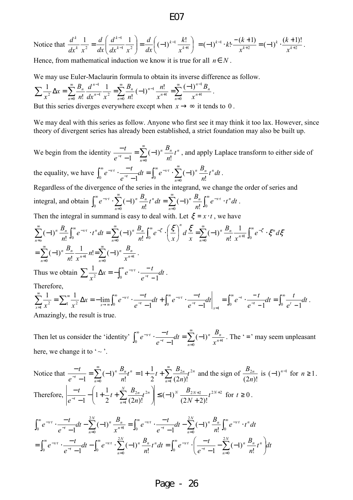Notice that 
$$
\frac{d^k}{dx^k} \frac{1}{x^2} = \frac{d}{dx} \left( \frac{d^{k-1}}{dx^{k-1}} \frac{1}{x^2} \right) = \frac{d}{dx} \left( (-1)^{k-1} \frac{k!}{x^{k+1}} \right) = (-1)^{k-1} \cdot k! \cdot \frac{-(k+1)}{x^{k+2}} = (-1)^k \cdot \frac{(k+1)!}{x^{k+2}}.
$$

Hence, from mathematical induction we know it is true for all  $n \in N$ .

We may use Euler-Maclaurin formula to obtain its inverse difference as follow.

$$
\sum \frac{1}{x^2} \Delta x = \sum_{n=0}^{\infty} \frac{B_n}{n!} \frac{d^{n-1}}{dx^{n-1}} \frac{1}{x^2} = \sum_{n=0}^{\infty} \frac{B_n}{n!} (-1)^{n-1} \frac{n!}{x^{n+1}} = \sum_{n=0}^{\infty} \frac{(-1)^{n-1} B_n}{x^{n+1}}
$$

But this series diverges everywhere except when  $x \rightarrow \infty$  it tends to 0.

We may deal with this series as follow. Anyone who first see it may think it too lax. However, since theory of divergent series has already been established, a strict foundation may also be built up.

.

We begin from the identity  $\frac{-t}{e^{-t}-1} = \sum_{r=0}^{\infty}$  $\frac{c}{-t-1} = \sum_{n=0}$  (-− −  $\frac{1}{0}$  n!  $(-1)$  $1 \frac{2}{n}$  $n \nightharpoonup n$ <sub>*+n*</sub>  $\frac{t}{t-1} = \sum_{n=1}^{\infty} (-1)^n \frac{B_n}{n!} t^n$ *n B e*  $\sum_{n=1}^{t}$  =  $\sum_{n=1}^{\infty}$  (-1)<sup>n</sup>  $\frac{B_n}{t}$  t<sup>n</sup>, and apply Laplace transform to either side of the equality, we have  $\int_0^{\infty} e^{-xt} \cdot \frac{-t}{e^{-t}} dt = \int_0^{\infty} e^{-xt} \cdot \sum_{n=0}^{\infty}$ =  $\int_{0}^{\infty} e^{-x \cdot t} dt = \int_{0}^{\infty} e^{-x \cdot t} dt$ −  $e^{-x\cdot t}\cdot\frac{-\iota}{\cdot}-dt=\int_{-\infty}^{\infty}e^{-x\cdot t}\cdot\sum_{\nu}(-dt)$ − − ⋅ 0 0 <sup>0</sup> !  $(-1)$ 1  $t^n dt$ *n B*  $dt = \int e^t$ *e*  $e^{-x \cdot t} \cdot \frac{-t}{-t}$ *n*  $x \in \sum (1)^n P_{n+1}$ *t*  $f^{x}$  .  $\frac{-t}{-t}dt = \int_{0}^{\infty} e^{-xt} \cdot \sum_{n=1}^{\infty} (-1)^{n} \frac{L_n}{t} t^n dt$ . Regardless of the divergence of the series in the integrand, we change the order of series and integral, and obtain  $\int_0^{\infty} e^{-xt} \cdot \sum_{n=0}^{\infty} (-1)^n \frac{B_n}{n!} t^n dt = \sum_{n=0}^{\infty} (-1)^n \frac{B_n}{n!} \int_0^{\infty} dt$ =  $\sum_{n=x}^{\infty}$   $\sum_{n=0}^{\infty}$   $\sum_{n=0}^{\infty}$   $\sum_{n=0}^{\infty}$   $\sum_{n=0}^{\infty}$   $\sum_{n=0}^{\infty}$ =  $e^{-xt} \cdot \sum_{n=0}^{\infty} (-1)^n \frac{D_n}{\cdot} t^n dt = \sum_{n=0}^{\infty} (-1)^n \frac{D_n}{\cdot} \int_{0}^{\infty} e^{-xt} dt$ 0  $\overline{n=0}$   $n!$   $\overline{n=0}$   $n!$   $\overline{J_0}$  $(-1)$ !  $(-1)$ *n*  $n \mathbf{v}_n \sim a^{-x} t + n$ *n*  $f^{xt}$   $\cdot \sum_{n=1}^{\infty} (-1)^n \frac{D_n}{n} t^n dt = \sum_{n=1}^{\infty} (-1)^n \frac{D_n}{n} \int_{0}^{\infty} e^{-xt} \cdot t^n dt$ *n B dtt n*  $e^{-xt} \cdot \sum_{n=0}^{\infty} (-1)^n \frac{B_n}{t} t^n dt = \sum_{n=0}^{\infty} (-1)^n \frac{B_n}{t} \int_{0}^{\infty} e^{-xt} \cdot t^n dt$ .

Then the integral in summand is easy to deal with. Let  $\xi = x \cdot t$ , we have

$$
\sum_{n=0}^{\infty} (-1)^n \frac{B_n}{n!} \int_0^{\infty} e^{-xt} \cdot t^n dt = \sum_{n=0}^{\infty} (-1)^n \frac{B_n}{n!} \int_0^{\infty} e^{-\zeta} \cdot \left(\frac{\zeta}{x}\right)^n dt = \sum_{n=0}^{\infty} (-1)^n \frac{B_n}{n!} \frac{1}{x^{n+1}} \int_0^{\infty} e^{-\zeta} \cdot \zeta^n d\zeta
$$
  
= 
$$
\sum_{n=0}^{\infty} (-1)^n \frac{B_n}{n!} \frac{1}{x^{n+1}} n! = \sum_{n=0}^{\infty} (-1)^n \frac{B_n}{x^{n+1}}.
$$
  
Thus we obtain 
$$
\sum_{n=0}^{\infty} \frac{1}{n!} \Delta x = -\int_0^{\infty} e^{-xt} \cdot \frac{-t}{-t} dt.
$$

Thus we obtain  $\sum_{i=1}^{n} \Delta x = -\int_{\Delta} e^{-x} dx$ *e*  $\sum \frac{1}{x^2} \Delta x = -\int_0^\infty e^{-x} dx \cdot \frac{1}{e^{-t}}$ −  $\frac{1}{2} \Delta x = -\int_0^\infty e^{-x \cdot t} \cdot \frac{-t}{e^{-t} - 1}$ Therefore,

$$
\sum_{x=1}^{\infty} \frac{1}{x^2} = \sum_{1}^{\infty} \frac{1}{x^2} \Delta x = -\lim_{x \to \infty} \int_0^{\infty} e^{-x} dx + \int_0^{\infty} e^{-x} dx + \int_0^{\infty} e^{-x} dx = -\frac{t}{e^{-t} - 1} dt = \int_0^{\infty} e^{-t} dx = -\frac{t}{e^{-t} - 1} dt = \int_0^{\infty} \frac{t}{e^t - 1} dt
$$
\nAnswer 1.4.1

Amazingly, the result is true.

Then let us consider the 'identity'  $\int_0^{\infty} e^{-xt} \cdot \frac{-t}{e^{-t}-1} dt = \sum_{k=1}^{\infty}$  $\sum_{n=0}^{\infty}$   $\binom{n}{n}$ ∞ −  $e^{-xt} \cdot \frac{-t}{-t} dt = \sum_{t} (-t)^{-t} dt$ −  $\cdot \frac{-}{-t}$  $e^{-xt} \cdot \frac{1}{e^{-t} - 1} dt = \sum_{n=0}^{\infty} (-1)^n \frac{B_n}{x^{n+1}}$  $1^{n}$   $\sum_{n=0}^{n}$   $\binom{n}{n}$   $x^{n}$ *n n t tx x B dt e*  $e^{-xt}$   $\cdot \frac{-t}{-t}dt = \sum_{n=1}^{\infty} (-1)^n \frac{B_n}{-t}$ . The '=' may seem unpleasant here, we change it to  $\sim$   $\cdot$ .

Notice that 
$$
\frac{-t}{e^{-t} - 1} = \sum_{n=0}^{\infty} (-1)^n \frac{B_n}{n!} t^n = 1 + \frac{1}{2} t + \sum_{n=1}^{\infty} \frac{B_{2n}}{(2n)!} t^{2n}
$$
 and the sign of  $\frac{B_{2n}}{(2n)!}$  is  $(-1)^{n-1}$  for  $n \ge 1$ .  
Therefore, 
$$
\left| \frac{-t}{e^{-t} - 1} - \left( 1 + \frac{1}{2} t + \sum_{n=1}^{N} \frac{B_{2n}}{(2n)!} t^{2n} \right) \right| \le (-1)^N \frac{B_{2N+2}}{(2N+2)!} t^{2N+2}
$$
 for  $t \ge 0$ .

$$
\int_0^{\infty} e^{-xt} \cdot \frac{-t}{e^{-t} - 1} dt - \sum_{n=0}^{2N} (-1)^n \frac{B_n}{x^{n+1}} = \int_0^{\infty} e^{-xt} \cdot \frac{-t}{e^{-t} - 1} dt - \sum_{n=0}^{2N} (-1)^n \frac{B_n}{n!} \int_0^{\infty} e^{-xt} \cdot t^n dt
$$
  
= 
$$
\int_0^{\infty} e^{-xt} \cdot \frac{-t}{e^{-t} - 1} dt - \int_0^{\infty} e^{-xt} \cdot \sum_{n=0}^{2N} (-1)^n \frac{B_n}{n!} t^n dt = \int_0^{\infty} e^{-xt} \cdot \left(\frac{-t}{e^{-t} - 1} - \sum_{n=0}^{2N} (-1)^n \frac{B_n}{n!} t^n\right) dt
$$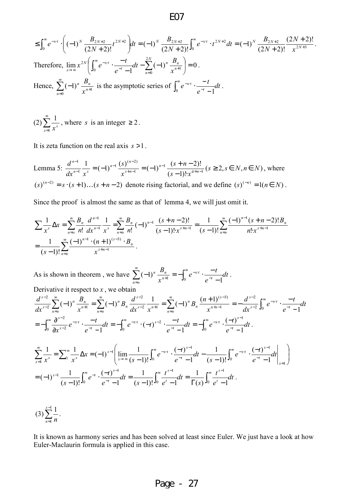$$
\leq \int_0^{\infty} e^{-x \cdot t} \cdot \left( (-1)^N \frac{B_{2N+2}}{(2N+2)!} t^{2N+2} \right) dt = (-1)^N \frac{B_{2N+2}}{(2N+2)!} \int_0^{\infty} e^{-x \cdot t} \cdot t^{2N+2} dt = (-1)^N \frac{B_{2N+2}}{(2N+2)!} \frac{(2N+2)!}{x^{2N+3}}.
$$
  
Therefore,  $\lim_{x \to \infty} x^{2N} \left( \int_0^{\infty} e^{-x \cdot t} \cdot \frac{-t}{e^{-t} - 1} dt - \sum_{n=0}^{2N} (-1)^n \frac{B_n}{x^{n+1}} \right) = 0.$   
Hence,  $\sum_{n=0}^{\infty} (-1)^n \frac{B_n}{x^{n+1}}$  is the asymptotic series of  $\int_0^{\infty} e^{-x \cdot t} \cdot \frac{-t}{e^{-t} - 1} dt$ .

(2) 
$$
\sum_{x=1}^{\infty} \frac{1}{x^s}
$$
, where *s* is an integer  $\geq 2$ .

It is zeta function on the real axis *s* >1.

Lemma 5:  $\frac{a}{a}$  =  $(-1)^{n-1}$   $\frac{(3)^n}{2}$  =  $(-1)^{n-1}$   $\frac{(3+n-2)!}{2}$   $(s \ge 2, s \in N, n \in N)$  $(s-1)!$  $\frac{1}{s} = (-1)^{n-1} \frac{(s)^{(n-2)}}{(s+n-1)} = (-1)^{n-1} \frac{(s+n-2)!}{(s+n-1)!}$ 1 1 1  $_1$   $(s)$ <sup>(n-2)</sup> 1 1  $s \geq 2, s \in N, n \in N$  $(s-1)! \cdot x$ *ns x s*  $dx^{n-1}$  *x d n n ns*  $_{n-1}(s)^{(n)}$  $n-1$ , s *n*  $\geq 2, s \in N, n \in$ −1)!·  $=(-1)^{n-1}\frac{(s)^{(n-2)}}{s^{s+n-1}}=(-1)^{n-1}\frac{(s+n-2)!}{(s-1)!\cdot s^{n+n-1}}$  $+n _{-1}(s)^{(n-1)}$ − −  $\frac{2f!}{v+n-1}$  ( $s \geq 2$ ,  $s \in N, n \in N$ ), where  $(s)^{(n-2)} = s \cdot (s+1)...(s+n-2)$  denote rising factorial, and we define  $(s)^{(-n)} = 1(n \in N)$ .

Since the proof is almost the same as that of lemma 4, we will just omit it.

$$
\sum \frac{1}{x^s} \Delta x = \sum_{n=0}^{\infty} \frac{B_n}{n!} \frac{d^{n-1}}{dx^{n-1}} \frac{1}{x^s} = \sum_{n=0}^{\infty} \frac{B_n}{n!} (-1)^{n-1} \frac{(s+n-2)!}{(s-1)! \cdot x^{s+n-1}} = \frac{1}{(s-1)!} \sum_{n=0}^{\infty} \frac{(-1)^{n-1} (s+n-2)! B_n}{n! \cdot x^{s+n-1}}
$$

$$
= \frac{1}{(s-1)!} \sum_{n=0}^{\infty} \frac{(-1)^{n-1} \cdot (n+1)^{(s-3)} \cdot B_n}{x^{s+n-1}}.
$$

As is shown in theorem, we have  $\sum (-1)^n \frac{a_n}{a_n} = -\int_0^1 e^{-xt} \cdot \frac{t}{e^{-t}} dt$ *e*  $e^{-x \cdot t} \cdot \frac{-t}{-t}$ *x B t tx*  $\sum_{n=0}^{\infty} (-1)^n \frac{B_n}{x^{n+1}} = -\int_0^{\infty}$ −  $\sum_{n=0}^{\infty}$   $\sum_{n=0}^{\infty}$   $B_n$   $\sum_{n=0}^{\infty}$  $\sum_{i=0}^{n}$   $\binom{n+1}{i}$   $\binom{n+1}{0}$   $\binom{n+1}{0}$   $e^{-t}$   $\binom{n+1}{0}$  $(-1)^n \frac{B_n}{x^{n+1}} = -\int_0^\infty e^{-x \cdot t} \cdot \frac{-t}{e^{-t} - 1}$  $(-1)^n \frac{E_n}{a+1} = -\int_0^1 e^{-x \cdot t} \cdot \frac{t}{-t} dt$ . Derivative it respect to  $x$ , we obtain

$$
\frac{d^{s-2}}{dx^{s-2}}\sum_{n=0}^{\infty}(-1)^n\frac{B_n}{x^{n+1}}=\sum_{n=0}^{\infty}(-1)^nB_n\frac{d^{s-2}}{dx^{s-2}}\frac{1}{x^{n+1}}=\sum_{n=0}^{\infty}(-1)^nB_n\frac{(n+1)^{(s-3)}}{x^{n+s-1}}=-\frac{d^{s-2}}{dx^{s-2}}\int_0^{\infty}e^{-xt}\cdot\frac{-t}{e^{-t}-1}dt
$$
\n
$$
=-\int_0^{\infty}\frac{\partial^{s-2}}{\partial x^{s-2}}e^{-xt}\cdot\frac{-t}{e^{-t}-1}dt=-\int_0^{\infty}e^{-xt}\cdot(-t)^{s-2}\cdot\frac{-t}{e^{-t}-1}dt=-\int_0^{\infty}e^{-xt}\cdot\frac{(-t)^{s-1}}{e^{-t}-1}dt.
$$

$$
\sum_{x=1}^{\infty} \frac{1}{x^s} = \sum_{1}^{\infty} \frac{1}{x^s} \Delta x = (-1)^{s-1} \left( \lim_{x \to \infty} \frac{1}{(s-1)!} \int_0^{\infty} e^{-xt} \cdot \frac{(-t)^{s-1}}{e^{-t} - 1} dt - \frac{1}{(s-1)!} \int_0^{\infty} e^{-xt} \cdot \frac{(-t)^{s-1}}{e^{-t} - 1} dt \right) \Big|_{x=1}
$$
\n
$$
= (-1)^{s-1} \frac{1}{(s-1)!} \int_0^{\infty} e^{-t} \cdot \frac{(-t)^{s-1}}{e^{-t} - 1} dt = \frac{1}{(s-1)!} \int_0^{\infty} \frac{t^{s-1}}{e^t - 1} dt = \frac{1}{\Gamma(s)} \int_0^{\infty} \frac{t^{s-1}}{e^t - 1} dt.
$$

$$
(3)\sum_{n=1}^{x-1}\frac{1}{n}.
$$

It is known as harmony series and has been solved at least since Euler. We just have a look at how Euler-Maclaurin formula is applied in this case.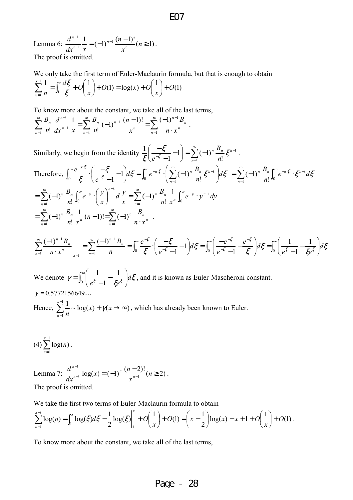Lemma 6:  $\frac{d^{n-1}}{1}$  =  $(-1)^{n-1}$   $\frac{(n-1)!}{n}(n \ge 1)$ 1 1  $= (-1)^{n-1} \frac{(n-1)!}{n} (n \geq$ − − *n x n*  $dx^{n-1}$  *x d n n n n* The proof is omitted.

We only take the first term of Euler-Maclaurin formula, but that is enough to obtain  $\frac{1}{s} = \int_0^x \frac{d\xi}{s} + O\left(\frac{1}{s}\right) + O(1) = \log(x) + O\left(\frac{1}{s}\right) + O(1)$ 1 1 1 *O x*  $O(1) = log(x) + O$ *x*  $\frac{d\xi}{d} + O$ *n*  $\sum_{x=1}^{x-1} 1$  cx *n*  $|+$ J  $\left(\frac{1}{\cdot}\right)$  $\setminus$  $+O(1) = \log(x) + O($ J  $\left(\frac{1}{\cdot}\right)$ l  $\sum_{n=1}^{x-1} \frac{1}{n} = \int_{1}^{x} \frac{d\xi}{\xi} + O(x)$  $\frac{1}{n}$  n  $\frac{J_1}{5}$  $\frac{\sqrt{2}}{2} + O\left(\frac{1}{2}\right) + O(1) = \log(x) + O\left(\frac{1}{2}\right) + O(1)$ .

.

To know more about the constant, we take all of the last terms,

 $\sum_{n=1}^{\infty} \frac{B_n}{n!} \frac{d^{n-1}}{d x^{n-1}} \frac{1}{d x} = \sum_{n=1}^{\infty} \frac{B_n}{d x^{n-1}} (-1)^{n-1} \frac{(n-1)!}{d x^{n}} = \sum_{n=1}^{\infty}$ =  $\infty$  R  $(n-1)!$   $\infty$   $(-1)^{n-1}$ =  $\sum_{n=0}^{\infty} B_n d^{n-1} 1 - \sum_{n=0}^{\infty} B_{n}$  $\equiv$  n!  $dx^{n-}$ − ⋅ −  $=\sum_{n=0}^{\infty}\frac{B_n}{(n-1)^{n-1}}\frac{(n-1)!}{(n-1)!}=$ 1 1 1 1  $\pi$  n!  $dx^{n-1}$  $\frac{1}{1} - \frac{1}{1} = \sum_{n=1}^{\infty} \frac{B_n}{(1 - 1)^{n-1}} \frac{(n-1)!}{(n-1)!} = \sum_{n=1}^{\infty} \frac{(-1)^n}{(1 - 1)!}$ ! 1  $\therefore$   $dx^{n-1}$   $x \xrightarrow[n=1]{n} n!$   $x^n$   $x^n$ *n n*  $\sum_{n=1}^{\infty} n!$   $x^n$  $n \leftarrow 1$ <sup>n</sup>  $\sum_{n=1}^{\infty} n! dx^n$  $\int_a^n d^n$  $n \cdot x$ *B x n n B*  $dx^{n-1}$  *x d n B* .

Similarly, we begin from the identity  $\frac{1}{\epsilon} \left( \frac{-\xi}{-\xi} - 1 \right) = \sum_{k=1}^{\infty}$ = −  $\frac{5}{-\xi-1}-1$  =  $\sum$  (-J  $\left(\frac{-\xi}{\xi}-1\right)$  $\setminus$ ſ − − − 1 1 !  $1 = \sum (-1)$ 1 1 *n n n n n B e*  $\left(\frac{\xi}{\xi}-1\right) = \sum_{n=0}^{\infty} (-1)^n \frac{B_n}{\xi} \xi$  $\xi\left(e^{-\xi}\right)$ . Therefore,  $\int_0^{\infty} \frac{e^{-x\xi}}{z} \cdot \left( \frac{-\xi}{e^{-\xi}} - 1 \right) d\xi = \int_0^{\infty} e^{-x\xi} \cdot \left( \sum_{k=1}^{\infty} \frac{e^{-k\xi}}{k} \right) d\xi$ =  $\int e^{-x} \cdot e^{-x} dx = \int_{-1}^{\infty} e^{-x} \cdot e^{-x} dx$ −  $-\frac{x\xi}{r} \cdot \left( \frac{-\xi}{r} - 1 \right) d\xi = \int_{-\infty}^{\infty} e^{-x\xi} \cdot \left( \sum_{n=0}^{\infty} (-1)^n \frac{B_n}{r} \xi^{n-1} \right)$ J  $\left(\sum_{n=1}^{\infty}(-1)^n\frac{B_n}{2}\xi^{n-1}\right)$ J ſ  $d\xi = \int e^{-x \cdot \xi} \cdot |\sum (-$ J  $\left(\frac{-\xi}{\xi}-1\right)$ J ſ − −  $-\left(\frac{-\xi}{e^{-\xi}-1}-1\right)d\xi = \int_0^{\infty} e^{-x\cdot\xi} \cdot \left(\sum_{n=1}^{\infty}$ 1  $0 \quad \xi \quad (e^{-\xi} - 1)$   $0 \quad \frac{\xi}{n-1}$   $n!$  $1 |d\xi = |e^{-x \xi} \cdot | \sum_{i=1}^{\infty} (-1)$ 1  $\frac{\xi}{\xi} - 1 \, dz = \int_{-\infty}^{\infty} e^{-x \xi} \cdot \left( \sum_{n=1}^{\infty} (-1)^n \frac{B_n}{n!} \xi^{n-1} \right) dz$ ξ ξ ξ ξ *d n*  $d\xi = \int_{0}^{\infty} e^{-x \cdot \xi} \cdot \left( \sum_{n=1}^{\infty} (-1)^n \frac{B_n}{n} \right)$ *e e n*  $\frac{x\xi}{z} \cdot \left( \frac{-\xi}{e^{-\xi} - 1} - 1 \right) d\xi = \int_0^\infty e^{-x\xi} \cdot \left( \sum_{n=0}^\infty (-1)^n \frac{B_n}{n!} \xi^{n-1} \right) d\xi = \sum_{n=0}^\infty (-1)^n \frac{B_n}{n!} \int_0^\infty e^{-x\xi} \cdot \xi^{n-1}$ =  $=\sum_{n}(-1)^{n}\frac{P_{n}}{n!}\int_{0}e^{-x\cdot\xi}$ . 1  $\frac{1}{1}$  n!  $(-1)^n \frac{D_n}{\cdot} \int_{0}^{\infty} e^{-x \cdot \xi} \cdot \xi^{n-1} d\xi$ *n*  $B_n$   $\int_{a}^{\infty}$   $e^{-x \cdot \xi}$   $\varepsilon n$ *n n n*  $\sum_{n=0}^{\infty} (-1)^n \frac{B_n}{n!} \int_0^{\infty} e^{-y} \cdot \left(\frac{y}{x}\right)^{n-1} dy dx = \sum_{n=0}^{\infty} (-1)^n \frac{B_n}{n!} \frac{1}{x^n} \int_0^1$ =  $\sum_{i=1}^{\infty}$   $\sum_{j=1}^{n}$   $\sum_{j=1}^{\infty}$   $\sum_{j=1}^{\infty}$   $\sum_{j=1}^{\infty}$   $\sum_{j=1}^{\infty}$   $\sum_{j=1}^{\infty}$   $\sum_{j=1}^{\infty}$   $\sum_{j=1}^{\infty}$   $\sum_{j=1}^{\infty}$   $\sum_{j=1}^{\infty}$   $\sum_{j=1}^{\infty}$   $\sum_{j=1}^{\infty}$   $\sum_{j=1}^{\infty}$   $\sum_{j=1}^{\infty}$ = ∞  $(\nu)^{n-}$  $e^{-y}$ .  $\left| \frac{y}{z} \right|$   $d \frac{y}{z} = \sum_{n=0}^{\infty} (-1)^n \frac{D_n}{z} \frac{1}{n} \int_{0}^{\infty} e^{-y}$ . J  $\left(\frac{y}{x}\right)$  $\setminus$ ſ  $=\sum (-1)^n \frac{E_n}{\cdot} \int e^{-y}$ .  $n! \; x^n \; 30$ 1  $n!$  J<sub>0</sub>  $\int_{-d}^{1} y \sum_{n=1}^{\infty}$   $B_n$  1 !  $(-1)$ !  $(-1)$ *n ny n n n n n*  $\int_a^b \frac{D_n}{\cdot} \left[ \int_a^{\infty} e^{-y} \cdot \left| \frac{y}{\cdot} \right| \right] dy = \sum_{n=0}^{\infty} (-1)^n \left[ \frac{D_n}{\cdot} \frac{1}{n} \right]_a^{\infty} e^{-y} \cdot y^{n-1} dy$ *n*! *x B x*  $d^{\frac{y}{2}}$ *x*  $e^{-y}$  ·  $\left(\frac{y}{y}\right)$ *n B*  $\sum_{n=0}^{\infty}(-1)^n \frac{B_n}{n!} \frac{1}{n!} (n-1)! = \sum_{n=0}^{\infty}$ = ∞  $=$   $\begin{array}{ccc} n! & x^n & \cdots & x^{n-1} & n \end{array}$  $=\sum (-1)^n \frac{p^n}{n} \frac{1}{n} (n-1)! = \sum (-1)^n$  $n! \lambda$   $n=1$  $\frac{1}{n}(n-1)! = \sum_{n=1}^{\infty} (-1)$ !  $(-1)$  $\sum_{n=1}^{n}$   $\binom{n}{n}$   $\binom{n}{n}$ *n n*  $\sum_{n=1}^{\infty}$  <sup>1</sup>, n!  $x^n$ *n n*  $n \cdot x$ *B n n*! *x*  $\frac{B_n}{\cdot} \frac{1}{n} (n-1)! = \sum_{n=0}^{\infty} (-1)^n \frac{B_n}{\cdot}$ .  $\frac{1}{\epsilon}$   $\Big| d \xi$ . 1 1 1 1 1  $(-1)^{n-1} B_n$   $\longrightarrow$   $(-1)$  $\frac{1}{4}$  n  $\frac{30}{5}$   $\zeta$   $(e^{-5}-1)$   $\frac{30}{5}$   $(e^{-5}-1)$   $\zeta$   $\frac{30}{5}$   $\zeta$ 1 1 1  $\sum_{n=0}^{\infty} \frac{(-1)^{n-1}B_n}{n-x^n} = \sum_{n=0}^{\infty} \frac{(-1)^{n-1}B_n}{n} = \int_0^{\infty} \frac{e^{-\xi}}{\xi} \cdot \left( \frac{-\xi}{e^{-\xi}-1} - 1 \right) d\xi = \int_0^{\infty} \left( \frac{-e^{-\xi}}{e^{-\xi}-1} - \frac{e^{-\xi}}{\xi} \right) d\xi = \int_0^{\infty} d\xi$ −  $\sim e^{-\xi}$   $\left(-\xi\right)$   $\sim$   $\left(-e^{-\frac{1}{2}\xi}\right)$ −  $\approx$   $(-1)^{n-1}R$   $\approx$   $e^{-}$ = ∞  $(-1)^{n-1}R$  ∞  $(-1)^{n-1}$ = = −  $\overline{\phantom{a}}$ J  $\backslash$  $\overline{\phantom{a}}$ l ſ −  $\int d\xi = \int_0^\infty \left( \frac{1}{e^{\xi}} \right)$ J  $\backslash$  $\overline{\phantom{a}}$ l ſ − −  $\frac{1}{d\xi} = \int_{\infty}^{\infty} \left( \frac{-1}{\xi} \right) d\xi$ J  $\left(\frac{-\xi}{\xi}-1\right)$ l ſ − −  $=\sum_{n=0}^{\infty}\frac{(-1)^{n-1}B_n}{B_n}=\int_{-\infty}^{\infty}\frac{e^{-\xi}}{2\pi}\cdot\left(-\frac{e^{-\xi}}{2\pi}\right)$ ⋅  $\left.\frac{(-1)^{n-1}B_n}{\sigma}\right|_{\mathcal{F}} = \sum_{k=0}^{\infty} \frac{(-1)^{n-1}B_n}{\sigma} = \int_{0}^{\infty} \frac{e^{-\xi}}{\xi} \cdot \left(\frac{-\xi}{\xi} - 1\right) d\xi = \int_{0}^{\infty} \left(\frac{-e^{-\xi}}{\xi} - \frac{e^{-\xi}}{\xi}\right) d\xi = \int_{0}^{\infty} \left(\frac{1}{\xi} - \frac{1}{\xi} - \frac{1}{\xi}\right) d\xi$ ξ ξ ξ  $\left(\frac{\xi}{2}-1\right)d\xi$  $\xi$  (e<sup>-5</sup> -1 )<sup>2</sup>  $\int_0^{\pi}$   $\int_0^{\pi} e^{-\xi}$  -1  $\xi$  )<sup>2</sup>  $\int_0^{\pi}$   $\int_0^{\pi} e^{-\xi}$  -1  $\xi e^{\xi}$ ξ ξ ξ ξ ξ *d*  $e^{\xi}$  – 1  $\xi e$  $\left(\frac{e^{-\zeta}}{e}\right)d$ *e*  $d\xi = \int_{0}^{\infty} \frac{-e}{e^{z}}$ *e e n B*  $n \cdot x$ *B n n n x*  $\sum_{n=1}$   $n \cdot x^n$ *n n*

We denote  $\gamma = \int_0^\infty$  $\overline{\phantom{a}}$ J  $\backslash$  $\overline{\phantom{a}}$  $\setminus$ ſ − −  $=$   $\int_0$ 1 1  $\frac{1}{\epsilon} - \frac{1}{\epsilon} d\xi$  $\gamma = \int_0^{\infty} \left( \frac{1}{e^{\xi} - 1} - \frac{1}{\xi e^{\xi}} \right) dt$ *ee* , and it is known as Euler-Mascheroni constant.  $\gamma = 0.5772156649...$ Hence,  $\sum_{n=1}^{x-1} \frac{1}{n} \sim \log(x) + \gamma(x \to \infty)$ 1  $\sum_{n=1}^{x-1} \frac{1}{n} \sim \log(x) + \gamma(x \to \infty)$ =  $x)+\gamma(x)$ *n x n*  $\gamma(x \rightarrow \infty)$ , which has already been known to Euler.

$$
(4)\sum_{n=1}^{x-1}\log(n).
$$

Lemma 7:  $\frac{d^{n-1}}{dx^{n-1}}\log(x) = (-1)^n \frac{(n-2)!}{x^{n-1}} (n \ge 2)$ 1  $\frac{1}{n-1}\log(x) = (-1)^n \frac{(n-2)!}{n^{n-1}} (n \geq$ − *n x*  $f(x) = (-1)^n \frac{(n+1)^n}{n!}$ *dx d n n n n* . The proof is omitted.

We take the first two terms of Euler-Maclaurin formula to obtain

$$
\sum_{n=1}^{x-1} \log(n) = \int_1^x \log(\xi) d\xi - \frac{1}{2} \log(\xi) \Big|_1^x + O\left(\frac{1}{x}\right) + O(1) = \left(x - \frac{1}{2}\right) \log(x) - x + 1 + O\left(\frac{1}{x}\right) + O(1).
$$

To know more about the constant, we take all of the last terms,

### E07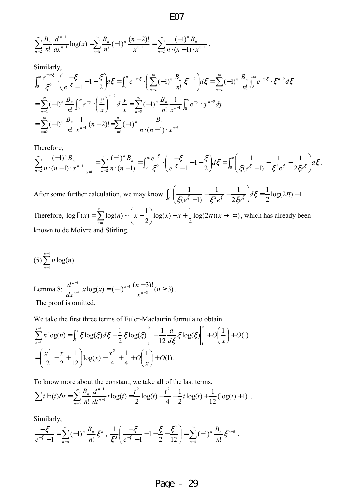$$
\mathrm{EO}7
$$

$$
\sum_{n=2}^{\infty} \frac{B_n}{n!} \frac{d^{n-1}}{dx^{n-1}} \log(x) = \sum_{n=2}^{\infty} \frac{B_n}{n!} (-1)^n \frac{(n-2)!}{x^{n-1}} = \sum_{n=2}^{\infty} \frac{(-1)^n B_n}{n \cdot (n-1) \cdot x^{n-1}}.
$$

Similarly,

$$
\int_0^{\infty} \frac{e^{-x\cdot\xi}}{\xi^2} \cdot \left(\frac{-\xi}{e^{-\xi}-1} - 1 - \frac{\xi}{2}\right) d\xi = \int_0^{\infty} e^{-x\cdot\xi} \cdot \left(\sum_{n=2}^{\infty} (-1)^n \frac{B_n}{n!} \xi^{n-2}\right) d\xi = \sum_{n=2}^{\infty} (-1)^n \frac{B_n}{n!} \int_0^{\infty} e^{-x\cdot\xi} \cdot \xi^{n-2} d\xi
$$
  
= 
$$
\sum_{n=2}^{\infty} (-1)^n \frac{B_n}{n!} \int_0^{\infty} e^{-y} \cdot \left(\frac{y}{x}\right)^{n-2} d\xi = \sum_{n=2}^{\infty} (-1)^n \frac{B_n}{n!} \frac{1}{x^{n-1}} \int_0^{\infty} e^{-y} \cdot y^{n-2} dy
$$
  
= 
$$
\sum_{n=2}^{\infty} (-1)^n \frac{B_n}{n!} \frac{1}{x^{n-1}} (n-2)! = \sum_{n=2}^{\infty} (-1)^n \frac{B_n}{n \cdot (n-1) \cdot x^{n-1}}.
$$

Therefore,

$$
\sum_{n=2}^{\infty} \frac{(-1)^n B_n}{n \cdot (n-1) \cdot x^{n-1}} \bigg|_{x=1} = \sum_{n=2}^{\infty} \frac{(-1)^n B_n}{n \cdot (n-1)} = \int_0^{\infty} \frac{e^{-\xi}}{\xi^2} \cdot \left( \frac{-\xi}{e^{-\xi} - 1} - 1 - \frac{\xi}{2} \right) d\xi = \int_0^{\infty} \left( \frac{1}{\xi(e^{\xi} - 1)} - \frac{1}{\xi^2 e^{\xi}} - \frac{1}{2\xi e^{\xi}} \right) d\xi.
$$

After some further calculation, we may know  $\int_{\mathbb{R}} \left| \frac{1}{\zeta(\zeta - \zeta)} - \frac{1}{\zeta(\zeta - \zeta)} \right| d\zeta = \frac{1}{2} \log(2\pi) - 1$ 2 1 2 1 1  $(e^{\zeta}-1)$ 1  $\int_{0}^{\infty} \left( \frac{1}{\xi(e^{\xi}-1)} - \frac{1}{\xi^{2}e^{\xi}} - \frac{1}{2\xi(e^{\xi})} \right) d\xi = \frac{1}{2} \log(2\pi) -$ J  $\backslash$  $\overline{\phantom{a}}$  $\setminus$ ſ  $-\frac{1}{\sqrt{2-\xi}} \int_0^{\infty} \left( \frac{1}{\xi(e^{\xi}-1)} - \frac{1}{\xi^2 e^{\xi}} - \frac{1}{2\xi e^{\xi}} \right) d\xi = \frac{1}{2} \log(2\pi)$  $\frac{1}{\xi(e^{\xi}-1)} - \frac{1}{\xi^2 e^{\xi}} - \frac{1}{2\xi e^{\xi}}\bigg]d$  $e^{5}-1$ )  $\xi^{2}e^{5}$  2 $\xi e$ . Therefore,  $\log \Gamma(x) = \sum \log(n) \sim |x - \frac{1}{2}| \log(x) - x + \frac{1}{2} \log(2\pi)(x \to \infty)$ 2  $\log(x) - x + \frac{1}{2}$ 2  $\log \Gamma(x) = \sum_{n=1}^{x-1} \log(n) \sim \left(x - \frac{1}{2}\right)$ 1 1  $\log(x)-x+\frac{1}{2}\log(2\pi)(x\to\infty)$ J  $\left(x-\frac{1}{2}\right)$ l  $\Gamma(x) = \sum_{n=1}^{x-1} \log(n) \sim \left(x - \frac{1}{x}\right)$ =  $f(x) = \sum \log(n) \sim |x - \frac{1}{2}| \log(x) - x + \frac{1}{2} \log(2\pi)(x)$ *x n*  $\pi$ )( $x \rightarrow \infty$ ), which has already been known to de Moivre and Stirling.

$$
(5)\sum_{n=1}^{x-1} n \log(n).
$$

Lemma 8:  $\frac{d^{n-1}}{dx^{n-1}} x \log(x) = (-1)^{n-1} \frac{(n-3)!}{x^{n-2}} (n \ge 3)$ 1 1 1  $= (-1)^{n-1} \frac{(n-3)!}{n^{n-2}} (n \geq$ − − *n x*  $x \log(x) = (-1)^{n-1} \frac{(n-1)^n}{n}$ *dx d n n n n* . The proof is omitted.

We take the first three terms of Euler-Maclaurin formula to obtain

$$
\sum_{n=1}^{x-1} n \log(n) = \int_1^x \xi \log(\xi) d\xi - \frac{1}{2} \xi \log(\xi) \Big|_1^x + \frac{1}{12} \frac{d}{d\xi} \xi \log(\xi) \Big|_1^x + O\left(\frac{1}{x}\right) + O(1)
$$
  
=  $\left(\frac{x^2}{2} - \frac{x}{2} + \frac{1}{12}\right) \log(x) - \frac{x^2}{4} + \frac{1}{4} + O\left(\frac{1}{x}\right) + O(1).$ 

To know more about the constant, we take all of the last terms,

$$
\sum t \ln(t) \Delta t = \sum_{n=0}^{\infty} \frac{B_n}{n!} \frac{d^{n-1}}{dt^{n-1}} t \log(t) = \frac{t^2}{2} \log(t) - \frac{t^2}{4} - \frac{1}{2} t \log(t) + \frac{1}{12} (\log(t) + 1) .
$$

Similarly,

$$
\frac{-\xi}{e^{-\xi}-1}=\sum_{n=0}^{\infty}(-1)^n\,\frac{B_n}{n!}\,\xi^n\,,\,\frac{1}{\xi^3}\bigg(\frac{-\xi}{e^{-\xi}-1}-1-\frac{\xi}{2}-\frac{\xi^2}{12}\bigg)=\sum_{n=3}^{\infty}(-1)^n\,\frac{B_n}{n!}\,\xi^{n-3}\,.
$$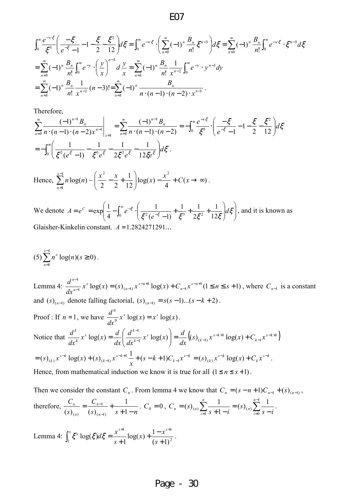$$
\int_0^\infty \frac{e^{-x\zeta}}{\zeta^3} \left( \frac{-\zeta}{e^{-\zeta}-1} - 1 - \frac{\zeta}{2} - \frac{\zeta^2}{12} \right) d\zeta = \int_0^\infty e^{-x\zeta} \cdot \left( \sum_{n=3}^\infty (-1)^n \frac{B_n}{n!} \zeta^{n-3} \right) d\zeta = \sum_{n=3}^\infty (-1)^n \frac{B_n}{n!} \int_0^\infty e^{-x\zeta} \cdot \zeta^{n-3} d\zeta
$$
  
= 
$$
\sum_{n=3}^\infty (-1)^n \frac{B_n}{n!} \int_0^\infty e^{-y} \cdot \left( \frac{y}{x} \right)^{n-3} d\frac{y}{x} = \sum_{n=3}^\infty (-1)^n \frac{B_n}{n!} \frac{1}{x^{n-2}} \int_0^\infty e^{-y} \cdot y^{n-3} dy
$$
  
= 
$$
\sum_{n=3}^\infty (-1)^n \frac{B_n}{n!} \frac{1}{x^{n-2}} (n-3)! = \sum_{n=3}^\infty (-1)^n \frac{B_n}{n \cdot (n-1) \cdot (n-2) \cdot x^{n-1}}.
$$

Therefore,

$$
\sum_{n=3}^{\infty} \frac{(-1)^{n-1} B_n}{n \cdot (n-1) \cdot (n-2) x^{n-1}} \bigg|_{x=1} = \sum_{n=3}^{\infty} \frac{(-1)^{n-1} B_n}{n \cdot (n-1) \cdot (n-2)} = -\int_0^{\infty} \frac{e^{-t \cdot \xi}}{\xi^3} \cdot \left( \frac{-\xi}{e^{-\xi} - 1} - 1 - \frac{\xi}{2} - \frac{\xi^2}{12} \right) d\xi
$$
  
=  $-\int_0^{\infty} \left( \frac{1}{\xi^2 (e^{\xi} - 1)} - \frac{1}{\xi^3 e^{\xi}} - \frac{1}{2 \xi^2 e^{\xi}} - \frac{1}{12 \xi e^{\xi}} \right) d\xi.$ 

Hence,  $\sum n \log(n) \sim \frac{x}{2} - \frac{x}{2} + \frac{1}{12} \log(x) - \frac{x}{2} + C(x \to \infty)$ 4  $log(x)$ 12 1 2 2  $log(n)$  ~  $1 \qquad \qquad \begin{pmatrix} x^2 & x & 1 \end{pmatrix} \qquad \qquad x^2$  $\sum_{1}$ n log(n) ~  $\left(\frac{x}{2} - \frac{x}{2} + \frac{1}{12}\right)$ log(x) -  $\frac{x}{4}$  +  $C(x \rightarrow \infty)$ J  $\backslash$  $\overline{\phantom{a}}$  $\setminus$  $\sum_{n=1}^{x-1} n \log(n) \sim \left( \frac{x^2}{2} - \frac{x}{2} + \right)$ =  $x \log(n) \sim \left( \frac{x^2}{2} - \frac{x}{2} + \frac{1}{2} \right) \log(x) - \frac{x^2}{2} + C(x)$ *x n* .

We denote  $A = e^C = \exp \left| \frac{1}{A} - \int_0^{\infty} e^{-\xi} \cdot \right| \frac{1}{\xi^2 (e^{-\xi} - 1)} + \frac{1}{\xi^3} + \frac{1}{2\xi^2} + \frac{1}{12\xi} d\xi$ J  $\backslash$  $\overline{\phantom{a}}$ l ſ  $\overline{\phantom{a}}$ J  $\backslash$  $\overline{\phantom{a}}$ J ſ  $+\frac{1}{2}+\frac{1}{2}+\frac{1}{2}$  $= e^C = \exp \left( \frac{1}{4} - \int_0^{\infty} e^{-\xi} \cdot \left( \frac{1}{\xi^2 (e^{-\xi} - \xi)} \right)$ − − <sup>0</sup>  $\xi^2(e^{-\xi}-1)$   $\xi^3$   $2\xi^2$  12 1 2  $1 \t1$  $(e^{-\zeta}-1)$ 1 4  $\exp\left(-\frac{1}{2} - \int_{0}^{\infty} e^{-\xi} \cdot \left( \frac{1}{e^{2\xi} - e^{-\xi} - 1} + \frac{1}{e^{2\xi}} + \frac{1}{e^{-\xi}} \right) d\xi\right)$  $\xi^2(e^{-\xi}-1)$   $\xi^3$   $2\xi^2$   $12\xi$  $\frac{1}{\epsilon}$ ,  $\frac{1}{\epsilon^2}$ ,  $\frac{1}{\epsilon^2}$  +  $\frac{1}{\epsilon^2}$  +  $\frac{1}{\epsilon^2}$  +  $\frac{1}{\epsilon^2}$  d *e*  $A = e^C = \exp\left[-\frac{1}{2} - \int_0^\infty e^{-\xi} \cdot \left( \frac{1}{\xi^2 - \xi} + \frac{1}{\xi^2} + \frac{1}{\xi^2} + \frac{1}{\xi^2} + \frac{1}{\xi^2} \right) d\xi \right]$ , and it is known as Glaisher-Kinkelin constant.  $A = 1.2824271291...$ 

$$
(5)\sum_{n=1}^{x-1} n^s \log(n) (s \ge 0).
$$

Lemma 4:  $\frac{u}{x}$   $\frac{u}{x}$   $\frac{u}{\sqrt{x}}$   $\log(x) = (s)_{(n-1)} x^{s-n+1} \log(x) + C_{n-1} x^{s-n+1} (1 \le n \le s+1)$ 1 1  $1^{1}$   $(1^{1})^{1}$   $(3^{1})^{1}$ 1  $=(s)_{n-1}x^{s-n+1}\log(x) + C_{n-1}x^{s-n+1}$   $(1 \le n \le s +$ −  $-n+$  $-1$   $\lambda$   $\log(\lambda) - (\lambda) / (n-1)$ −  $x^{s}\log(x) = (s)_{n=1}x^{s-n+1}\log(x) + C_{n-1}x^{s-n+1}$  (1  $\leq n \leq s$ *dx*  $d^{n-1}$   $x^s \log(x) - (s)$   $x^{s-n+1} \log(x) + C$   $x^{s-n}$ *n ns n s n n* , where  $C_{n-1}$  is a constant and  $(s)_{(n-1)}$  denote falling factorial,  $(s)_{(n-1)} = s(s-1)...(s-k+2)$ . Proof : If  $n = 1$ , we have  $\frac{d}{dx} x^s \log(x) = x^s \log(x)$ 0  $x^s \log(x) = x^s \log(x)$ *dx*  $\frac{d^0}{dx^0} x^s \log(x) = x^s \log(x)$ . Notice that  $\frac{u}{1+k}x^s \log(x) = \frac{u}{1+k} \left| \frac{u}{1+k}x^s \log(x) \right| = \frac{u}{1+(s)} \left( \frac{u}{1+(s+1)}x^{s-k+1} \log(x) + C_{k-1}x^{s-k+1} \right)$ 1 1  $1^{1}$   $(1^{1})$   $(1^{1})$   $(1^{1})^{1}$ 1  $\log(x) = \frac{a}{1} \left| \frac{a}{1+k-1} x^s \log(x) \right| = \frac{a}{1} \left( \frac{s}{k-1} x^{s-k+1} \log(x) + C_{k-1} x^{s-k+1} \right)$ −  $-k+$  $\left| \begin{matrix} -1 \end{matrix} \right|$   $\left| \begin{matrix} -1 \end{matrix} \right|$   $\left| \begin{matrix} -1 \end{matrix} \right|$   $\left| \begin{matrix} -1 \end{matrix} \right|$ −  $=\frac{u}{dx}\left(\left(s\right)_{(k-1)}x^{s-k+1}\log(x)+\right)$ J  $\backslash$  $\overline{\phantom{a}}$ l ſ  $=\frac{a}{l} \left| \frac{a}{l^{k-1}} x^s \log(x) \right| = \frac{a}{l^{k-1}} \left( \frac{s}{l^{k-1}} x^{s-k+1} \log(x) + C_{l-1} x^{s-k} \right)$ *k ks k s k*  $\int_a^s$ **l b d**  $\int_a^b d^k$ *k k*  $S_{(k-1)} x^{s-k+1} \log(x) + C_{k-1} x$ *dx*  $x^s \log(x) = \frac{d}{dx}$ *dx d dx*  $x^s \log(x) = \frac{d}{dx}$ *dx d ks k ks k ks*  $\int_{k}^{s-k} \log(x) + (s)_{(k-1)} x^{s-k+1} + (s-k+1)C_{k-1}x$ *x*  $\int_{(k)} x^{s-k} \log(x) + (s)_{(k-1)} x^{s-k+1} + (s-k+1)C_{k-1} x^{s-k}$ −  $-k+$ −  $=(s)_{(k)} x^{s-k} \log(x) + (s)_{(k-1)} x^{s-k+1} \frac{1}{t} + (s-k+1)C_{k-1}$  $(s)_{(k)} x^{s-k} \log(x) + (s)_{(k-1)} x^{s-k+1} \frac{1}{k+1} + (s-k+1)C_{k-1} x^{s-k} = (s)_{(k)} x^{s-k} \log(x) + C_k x^{s-k}$ *k ks*  $=(s)_{(k)} x^{s-k} \log(x) + C_k x^{s-k}.$ Hence, from mathematical induction we know it is true for all  $(1 \le n \le s+1)$ . emma 4 we know that  $C_n = (s - n + 1)C_{n-1} + (s)_{n-1}$ ,

Then we consider the constant 
$$
C_n
$$
. From lemma 4 we know that  $C_n = (s - n + 1)C_{n-1} + (s)_{n-1}$ ,  
therefore, 
$$
\frac{C_n}{(s)_{(n)}} = \frac{C_{n-1}}{(s)_{(n-1)}} + \frac{1}{s+1-n}
$$
.  $C_0 = 0$ ,  $C_n = (s)_{(n)} \sum_{i=1}^n \frac{1}{s+1-i} = (s)_{(n)} \sum_{i=0}^{n-1} \frac{1}{s-i}$ .

Lemma 4:  $\int_1^{\pi} \xi^s \log(\xi) d\xi = \frac{x}{s+1} \log(x) + \frac{1-x}{(s+1)^2}$ 1  $r^{s+1}$  $s+1$   $(s+1)$  $\log(x) + \frac{1}{x}$ 1  $log( \xi )$ +  $+\frac{1-}{1}$ + =  $\int_1^x \xi^s \log(\xi) d\xi = \frac{x^{s+1}}{s+1} \log(x) + \frac{1-x^{s+1}}{(s+1)}$  $f(x) + \frac{1-x}{x}$ *s*  $d\xi = \frac{x}{x}$  $\zeta^x \zeta^s \log(\zeta) d\zeta = \frac{x^{s+1}}{s} \log(x) + \frac{1 - x^{s+1}}{(s+1)^2}.$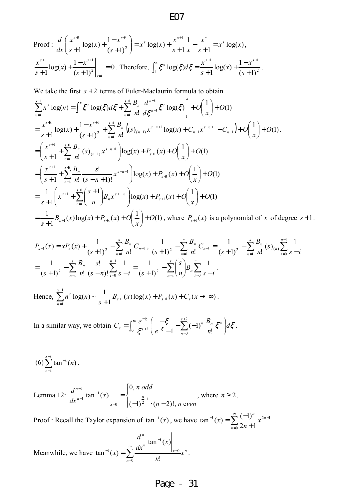Proof: 
$$
\frac{d}{dx} \left( \frac{x^{s+1}}{s+1} \log(x) + \frac{1-x^{s+1}}{(s+1)^2} \right) = x^s \log(x) + \frac{x^{s+1}}{s+1} \frac{1}{x} - \frac{x^s}{s+1} = x^s \log(x),
$$

$$
\frac{x^{s+1}}{s+1} \log(x) + \frac{1-x^{s+1}}{(s+1)^2} \Big|_{x=1} = 0.
$$
 Therefore, 
$$
\int_1^x \xi^s \log(\xi) d\xi = \frac{x^{s+1}}{s+1} \log(x) + \frac{1-x^{s+1}}{(s+1)^2}.
$$

We take the first  $s + 2$  terms of Euler-Maclaurin formula to obtain

$$
\sum_{n=1}^{x-1} n^s \log(n) = \int_1^x \zeta^s \log(\zeta) d\zeta + \sum_{n=1}^{s+1} \frac{B_n}{n!} \frac{d^{n-1}}{d\zeta^{n-1}} \zeta^s \log(\zeta) \Big|_1^x + O\left(\frac{1}{x}\right) + O(1)
$$
  
\n
$$
= \frac{x^{s+1}}{s+1} \log(x) + \frac{1-x^{s+1}}{(s+1)^2} + \sum_{n=1}^{s+1} \frac{B_n}{n!} \left( (s)_{(n-1)} x^{s-n+1} \log(x) + C_{n-1} x^{s-n+1} - C_{n-1} \right) + O\left(\frac{1}{x}\right) + O(1).
$$
  
\n
$$
= \left( \frac{x^{s+1}}{s+1} + \sum_{n=1}^{s+1} \frac{B_n}{n!} (s)_{(n-1)} x^{s-n+1} \right) \log(x) + P_{s+1}(x) + O\left(\frac{1}{x}\right) + O(1)
$$
  
\n
$$
= \left( \frac{x^{s+1}}{s+1} + \sum_{n=1}^{s+1} \frac{B_n}{n!} \frac{s!}{(s-n+1)!} x^{s-n+1} \right) \log(x) + P_{s+1}(x) + O\left(\frac{1}{x}\right) + O(1)
$$
  
\n
$$
= \frac{1}{s+1} \left( x^{s+1} + \sum_{n=1}^{s+1} \binom{s+1}{n} B_n x^{s+1-n} \right) \log(x) + P_{s+1}(x) + O\left(\frac{1}{x}\right) + O(1)
$$
  
\n
$$
= \frac{1}{s+1} B_{s+1}(x) \log(x) + P_{s+1}(x) + O\left(\frac{1}{x}\right) + O(1), \text{ where } P_{s+1}(x) \text{ is a polynomial of } x \text{ of degree } s+1.
$$

$$
P_{s+1}(x) = xP_s(x) + \frac{1}{(s+1)^2} - \sum_{n=1}^s \frac{B_n}{n!} C_{n-1}, \quad \frac{1}{(s+1)^2} - \sum_{n=1}^s \frac{B_n}{n!} C_{n-1} = \frac{1}{(s+1)^2} - \sum_{n=1}^s \frac{B_n}{n!} (s)_{(n)} \sum_{i=0}^{n-1} \frac{1}{s-i}
$$
  
= 
$$
\frac{1}{(s+1)^2} - \sum_{n=1}^s \frac{B_n}{n!} \frac{s!}{(s-n)!} \sum_{i=0}^{n-1} \frac{1}{s-i} = \frac{1}{(s+1)^2} - \sum_{n=1}^s {s \choose n} B_n \sum_{i=0}^{n-1} \frac{1}{s-i}.
$$

Hence,  $\sum_{n} n^{s} \log(n) \sim \frac{1}{n-1} B_{s+1}(x) \log(x) + P_{s+1}(x) + C_s(x \to \infty)$ 1  $\log(n) \sim \frac{1}{1-z+1} B_{s+1}(x) \log(x) + P_{s+1}$ 1 1  $+P_{s+1}(x)+C_{s}(x\rightarrow\infty$  $+1$ <sup> $D_{s+1}(x) \log(x) + I_{s+1}$ </sup> − =  $\sum_{n=1}^{8} n^s \log(n) \sim \frac{1}{s+1} B_{s+1}(x) \log(x) + P_{s+1}(x) + C_s(x)$ *x n*  $s \log(n) \sim \frac{1}{\epsilon} B_{s+1}(x) \log(x) + P_{s+1}(x) + C_s(x \to \infty)$ .

In a similar way, we obtain  $C_s = \int_0^\infty \frac{e^{-\xi}}{\xi^{s+2}} \left( \frac{-\xi}{e^{-\xi}-1} - \sum_{k=1}^{s+2} \right)$  $e^{-\xi}-1 = \frac{2}{n=1}$  $-\frac{\xi}{2} \left( \frac{-\xi}{\xi} - \sum_{k=0}^{s+2} (-1)^k \frac{B_n}{2} \xi^m \right)$ J  $\left(\frac{-\xi}{\xi}-\sum_{k=0}^{s+2}(-1)^n\frac{B_n}{\xi}-\xi^n\right)$ J ſ −∑(− −  $=\int_0^{\infty} \frac{e^{-\xi}}{\xi^{s+2}} \left( \frac{-e^{-\xi}}{e^{-\xi}} \right)$ 2  $e^{-\xi}-1$   $\sum_{n=0}^{n}$  n!  $(-1)$ 1  $\frac{\xi}{\xi} - \sum_{n=1}^{s+2} (-1)^n \frac{B_n}{\xi} \xi^n d\xi$  $\xi^{s+2}$   $\left(e^{-\xi}\right)$ ξ *d n B e*  $C_s = \int_{0}^{\infty} \frac{e}{\epsilon}$ *s n n n n*  $s = \int_0^{\infty} \frac{e^{-z}}{z^{s+2}} \left[ \frac{5}{e^{-z}-1} - \sum_{n=0}^{\infty} (-1)^n \frac{2n}{n!} \xi^n \right] d\xi$ .

$$
(6)\sum_{n=1}^{x-1}\tan^{-1}(n)\,.
$$

Lemma 12:  $\overline{\mathcal{L}}$  $\overline{1}$ {  $\sqrt{ }$  $(-1)^2$  ·  $(n =\left\{\begin{array}{c}n\end{array}\right.$ = − − −  $n-2)!$ , n even *oddn x dx*  $\left| \frac{d^{n-1}}{dx^{n-1}} \tan^{-1}(x) \right| = \begin{cases} 0, & n \text{ or } n \\ n \end{cases}$ *x n n*  $(-1)^2$   $\cdot (n-2)!$ , n e 0,  $\tan^{-1}(x)\Big|_{x=0} = \Big\{-1\}^{\frac{n}{2}-1}$ 1 1 1 , where  $n \geq 2$ .

Proof : Recall the Taylor expansion of  $\tan^{-1}(x)$ , we have  $\tan^{-1}(x) = \sum_{n=1}^{\infty}$ =  $-1_{(n)}$   $\sum$   $(-1)$   $n^{2n+1}$ +  $=\sum_{1}^{\infty}\frac{(-1)^{n}}{2}$ 0  $1_{(n)}$   $\sum$   $(2n+1)$  $2n + 1$  $\tan^{-1}(x) = \sum_{n=1}^{\infty} \frac{(-1)}{n}$ *n n n x n*  $f(x) = \sum_{n=0}^{\infty} \frac{x^{2n+1}}{n!}$ .

Meanwhile, we have  $\tan^{-1}(x) = \sum_{n=0}^{\infty} \frac{|x-0|}{n} x^n$ *n x n n x n x dx d*  $(x) = \sum_{n=1}^{\infty}$ = = −  $^{-1}(x) =$  $\boldsymbol{0}$ 0 1 1 !  $\tan^{-1}(x)$  $\tan^{-1}(x) = \sum \frac{1}{x}$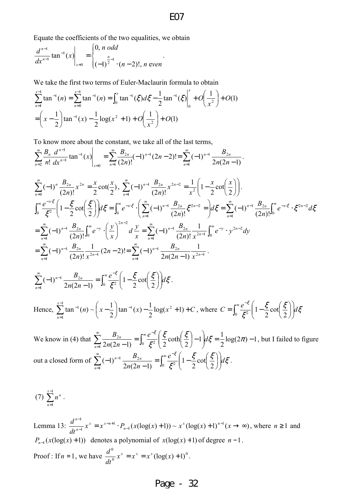Equate the coefficients of the two equalities, we obtain

$$
\frac{d^{n-1}}{dx^{n-1}}\tan^{-1}(x)\Big|_{x=0}=\begin{cases} 0, n \text{ odd} \\ \frac{n}{(-1)^{2}} \cdot (n-2)!, n \text{ even} \end{cases}.
$$

We take the first two terms of Euler-Maclaurin formula to obtain

$$
\sum_{n=1}^{x-1} \tan^{-1}(n) = \sum_{n=0}^{x-1} \tan^{-1}(n) = \int_0^x \tan^{-1}(\xi) d\xi - \frac{1}{2} \tan^{-1}(\xi) \Big|_0^x + O\left(\frac{1}{x^2}\right) + O(1)
$$
  
=  $\left(x - \frac{1}{2}\right) \tan^{-1}(x) - \frac{1}{2} \log(x^2 + 1) + O\left(\frac{1}{x^2}\right) + O(1)$ 

To know more about the constant, we take all of the last terms,

$$
\sum_{n=2}^{\infty} \frac{B_n}{n!} \frac{d^{n-1}}{dx^{n-1}} \tan^{-1}(x) \Big|_{x=0} = \sum_{n=1}^{\infty} \frac{B_{2n}}{(2n)!} (-1)^{n-1} (2n-2)! = \sum_{n=1}^{\infty} (-1)^{n-1} \frac{B_{2n}}{2n(2n-1)}.
$$

$$
\sum_{n=0}^{\infty} (-1)^n \frac{B_{2n}}{(2n)!} x^{2n} = \frac{x}{2} \cot(\frac{x}{2}), \quad \sum_{n=1}^{\infty} (-1)^{n-1} \frac{B_{2n}}{(2n)!} x^{2n-2} = \frac{1}{x^2} \left( 1 - \frac{x}{2} \cot(\frac{x}{2}) \right).
$$
\n
$$
\int_0^{\infty} \frac{e^{-x\cdot\xi}}{\xi^2} \left( 1 - \frac{\xi}{2} \cot(\frac{\xi}{2}) \right) d\xi = \int_0^{\infty} e^{-x\cdot\xi} \cdot \left( \sum_{n=1}^{\infty} (-1)^{n-1} \frac{B_{2n}}{(2n)!} \xi^{2n-2} = \right) d\xi = \sum_{n=1}^{\infty} (-1)^{n-1} \frac{B_{2n}}{(2n)!} \int_0^{\infty} e^{-x\cdot\xi} \cdot \xi^{2n-2} d\xi
$$
\n
$$
= \sum_{n=1}^{\infty} (-1)^{n-1} \frac{B_{2n}}{(2n)!} \int_0^{\infty} e^{-y} \cdot \left( \frac{y}{x} \right)^{2n-2} d\xi = \sum_{n=1}^{\infty} (-1)^{n-1} \frac{B_{2n}}{(2n)!} \frac{1}{x^{2n-1}} \int_0^{\infty} e^{-y} \cdot y^{2n-2} dy
$$
\n
$$
= \sum_{n=1}^{\infty} (-1)^{n-1} \frac{B_{2n}}{(2n)!} \frac{1}{x^{2n-1}} (2n-2)! = \sum_{n=1}^{\infty} (-1)^{n-1} \frac{B_{2n}}{2n(2n-1)} \frac{1}{x^{2n-1}}.
$$

$$
\sum_{n=1}^{\infty} \left(-1\right)^{n-1} \frac{B_{2n}}{2n(2n-1)} = \int_0^{\infty} \frac{e^{-\xi}}{\xi^2} \left(1 - \frac{\xi}{2} \cot\left(\frac{\xi}{2}\right)\right) d\xi.
$$

Hence, 
$$
\sum_{n=1}^{x-1} \tan^{-1}(n) \sim \left(x - \frac{1}{2}\right) \tan^{-1}(x) - \frac{1}{2} \log(x^2 + 1) + C
$$
, where  $C = \int_0^\infty \frac{e^{-\xi}}{\xi^2} \left(1 - \frac{\xi}{2} \cot\left(\frac{\xi}{2}\right)\right) d\xi$ 

We know in (4) that  $\sum_{n=1}^{\infty} \frac{2n}{2}$  =  $\frac{1}{2}$   $\frac{3}{2}$  coth  $\frac{3}{2}$  - 1  $d\zeta = \frac{1}{2} \log(2\pi) - 1$ 2  $1\,d\xi=\frac{1}{2}$ 2 coth  $\sum_{1}^{D_{2n}} \frac{b_{2n}}{2n(2n-1)} = \int_0^{\infty} \frac{e}{\xi^2} \left( \frac{5}{2} \coth \left( \frac{5}{2} \right) - 1 \right) d\xi = \frac{1}{2} \log(2\pi) -$ J  $\backslash$  $\overline{\phantom{a}}$  $\setminus$ ſ − J  $\left(\frac{\xi}{\xi}\right)$ J ſ =  $\sum_{n=1}^{\infty} \frac{B_{2n}}{2n(2n-1)} = \int_0^{\infty} \frac{e^{-z}}{\xi^z}$ =  $\frac{\xi}{2}$  coth $\left(\frac{\xi}{2}\right)$  - 1  $d\xi = \frac{1}{2} \log(2\pi)$ ξ ξ  $\frac{e^{-\xi}}{\xi} \left( \frac{\xi}{2} \coth \left( \frac{\xi}{2} \right) - 1 \right) d$ *nn B n*  $\frac{n}{\epsilon} = \left| \frac{\epsilon}{\epsilon^2} \right| \frac{5}{2} \coth \left| \frac{5}{2} \right| - 1 \, d\zeta = \frac{1}{2} \log(2\pi) - 1$ , but I failed to figure out a closed form of  $\sum_{n=1}^{\infty}(-1)^{n-1}\frac{B_{2n}}{2\sigma^2}=\int_{0}^{\infty}\frac{e^{-\xi}}{\xi^2}\left(1-\frac{\xi}{2}\cot\left(\frac{\xi}{2}\right)\right)d\xi$ ξ ξ  $\frac{e^{-\xi}}{e^2}\left(1-\frac{\xi}{2}\cot\left(\frac{\xi}{2}\right)\right)d$ *nn B*  $\sum_{n=1}^{\infty} (-1)^{n-1} \frac{B_{2n}}{2n(2n-1)} = \int_0^{\infty} \frac{e^{-z}}{\xi^2}$ =  $-\frac{D_{2n}}{2n(2n-1)} = \int_0^\infty \frac{e}{\epsilon^2} \left| 1 - \frac{5}{2} \cot \left( \frac{5}{2} \right) \right|$ J  $\backslash$  $\overline{\phantom{a}}$ l ſ  $\overline{\phantom{a}}$ J  $\left(\frac{\xi}{\cdot}\right)$ J ſ  $= \int_{\alpha} \frac{c}{\epsilon^2} |1 -$ −  $\int_{1}^{1}(-1)^{n-1}\frac{b_{2n}}{2n(2n-1)}=\int_{0}^{\infty}\frac{e^{2n}}{\xi^{2}}$  $\mathbf{v}_1$   $\mathbf{v}_2$ 2 cot 2 1  $2n(2n-1)$  $(-1)^{n-1}$   $\frac{2^{n}}{2^{n}} = \int_{0}^{1} \frac{e^{x}}{x^{2}} dx = 1 - \frac{1}{2} \cot \frac{1}{2} dx = 1$ 

$$
(7) \sum_{n=1}^{x-1} n^n .
$$

Lemma 13:  $\frac{u}{1-x-1}x^x = x^{x-n+1} \cdot P_{n-1}(x(\log(x)+1)) \sim x^x(\log(x)+1)^{n-1}(x \to \infty)$ 1 1 1 1  $= x^{x-n+1} \cdot P_{n-1}(x(\log(x)+1)) \sim x^x (\log(x)+1)^{n-1}(x \to \infty)$ −  $-n+$ − −  $x^x = x^{x-n+1} \cdot P_{n-1}(x(\log(x)+1)) \sim x^x(\log(x)+1)^{n-1}(x)$ *dt*  $d^{n-1}$   $x^x = x^{x-n+1}$  *D*  $(x(\log(x)+1)) = x^x(\log(x)+1)^n$ *n*  $x = x^{x-n}$ *n n* , where  $n \geq 1$  and  $P_{n-1}(x(\log(x) + 1))$  denotes a polynomial of  $x(\log(x) + 1)$  of degree  $n-1$ . Proof : If  $n = 1$ , we have  $\frac{d}{dt^0} x^x = x^x = x^x (\log(x) + 1)^0$ 0  $x^x = x^x = x^x(\log(x) + 1)$ *dt*  $\frac{d^0}{dx^0} x^x = x^x = x^x (\log(x) + 1)^0.$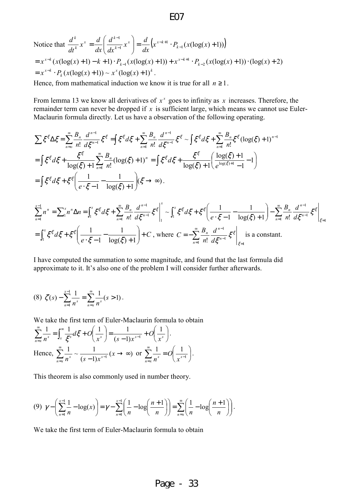Notice that 
$$
\frac{d^k}{dt^k} x^x = \frac{d}{dx} \left( \frac{d^{k-1}}{dx^{k-1}} x^x \right) = \frac{d}{dx} \left( x^{x-k+1} \cdot P_{k-1} (x(\log(x) + 1)) \right)
$$
  
=  $x^{x-k} (x(\log(x) + 1) - k + 1) \cdot P_{k-1} (x(\log(x) + 1)) + x^{x-k+1} \cdot P_{k-2} (x(\log(x) + 1)) \cdot (\log(x) + 2)$   
=  $x^{x-k} \cdot P_k (x(\log(x) + 1)) \sim x^x (\log(x) + 1)^k$ .

Hence, from mathematical induction we know it is true for all  $n \ge 1$ .

From lemma 13 we know all derivatives of  $x^x$  goes to infinity as  $x$  increases. Therefore, the remainder term can never be dropped if *x* is sufficient large, which means we cannot use Euler-Maclaurin formula directly. Let us have a observation of the following operating.

$$
\sum \xi^{\xi} \Delta \xi = \sum_{n=0}^{\infty} \frac{B_n}{n!} \frac{d^{n-1}}{d\xi^{n-1}} \xi^{\xi} = \int \xi^{\xi} d\xi + \sum_{n=1}^{\infty} \frac{B_n}{n!} \frac{d^{n-1}}{d\xi^{n-1}} \xi^{\xi} \sim \int \xi^{\xi} d\xi + \sum_{n=1}^{\infty} \frac{B_n}{n!} \xi^{\xi} (\log(\xi) + 1)^{n-1}
$$
  
\n
$$
= \int \xi^{\xi} d\xi + \frac{\xi^{\xi}}{\log(\xi) + 1} \sum_{n=1}^{\infty} \frac{B_n}{n!} (\log(\xi) + 1)^n = \int \xi^{\xi} d\xi + \frac{\xi^{\xi}}{\log(\xi) + 1} \frac{(\log(\xi) + 1)}{e^{\log(\xi) + 1} - 1} - 1)
$$
  
\n
$$
= \int \xi^{\xi} d\xi + \xi^{\xi} \left( \frac{1}{e \cdot \xi - 1} - \frac{1}{\log(\xi) + 1} \right) (\xi \to \infty).
$$

$$
\sum_{n=1}^{x-1} n^n = \sum_{n=1}^{x} n^n \Delta n = \int_1^x \xi^{\xi} d\xi + \sum_{n=1}^{\infty} \frac{B_n}{n!} \frac{d^{n-1}}{d\xi^{n-1}} \xi^{\xi} \Big|_1^x \sim \int_1^x \xi^{\xi} d\xi + \xi^{\xi} \Big( \frac{1}{e \cdot \xi - 1} - \frac{1}{\log(\xi) + 1} \Big) - \sum_{n=1}^{\infty} \frac{B_n}{n!} \frac{d^{n-1}}{d\xi^{n-1}} \xi^{\xi} \Big|_{\xi=1}
$$
  
= 
$$
\int_1^x \xi^{\xi} d\xi + \xi^{\xi} \Big( \frac{1}{e \cdot \xi - 1} - \frac{1}{\log(\xi) + 1} \Big) + C
$$
, where  $C = -\sum_{n=1}^{\infty} \frac{B_n}{n!} \frac{d^{n-1}}{d\xi^{n-1}} \xi^{\xi} \Big|_{\xi=1}$  is a constant.

I have computed the summation to some magnitude, and found that the last formula did approximate to it. It's also one of the problem I will consider further afterwards.

$$
(8) \ \zeta(s) - \sum_{n=1}^{x-1} \frac{1}{n^s} = \sum_{n=x}^{\infty} \frac{1}{n^s} (s > 1).
$$

We take the first term of Euler-Maclaurin formula to obtain

$$
\sum_{n=x}^{\infty} \frac{1}{n^s} = \int_x^{\infty} \frac{1}{\xi^s} d\xi + O\left(\frac{1}{x^s}\right) = \frac{1}{(s-1)x^{s-1}} + O\left(\frac{1}{x^s}\right).
$$
  
Hence, 
$$
\sum_{n=x}^{\infty} \frac{1}{n^s} \sim \frac{1}{(s-1)x^{s-1}} (x \to \infty) \text{ or } \sum_{n=x}^{\infty} \frac{1}{n^s} = O\left(\frac{1}{x^{s-1}}\right).
$$

This theorem is also commonly used in number theory.

$$
(9) \ \ \gamma - \left(\sum_{n=1}^{x-1} \frac{1}{n} - \log(x)\right) = \gamma - \sum_{n=1}^{x-1} \left(\frac{1}{n} - \log\left(\frac{n+1}{n}\right)\right) = \sum_{n=x}^{\infty} \left(\frac{1}{n} - \log\left(\frac{n+1}{n}\right)\right).
$$

We take the first term of Euler-Maclaurin formula to obtain